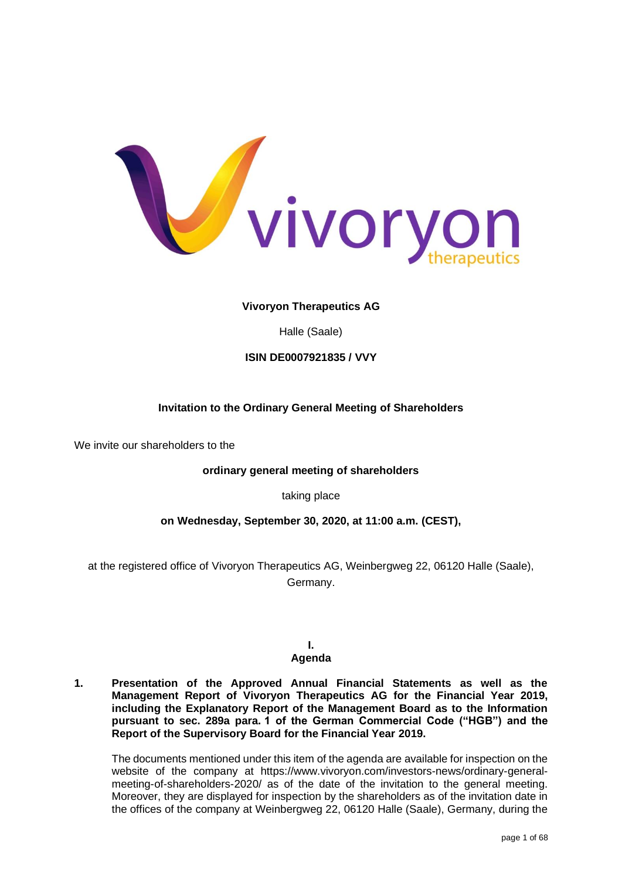

## **Vivoryon Therapeutics AG**

Halle (Saale)

## **ISIN DE0007921835 / VVY**

## **Invitation to the Ordinary General Meeting of Shareholders**

We invite our shareholders to the

## **ordinary general meeting of shareholders**

taking place

## **on Wednesday, September 30, 2020, at 11:00 a.m. (CEST),**

at the registered office of Vivoryon Therapeutics AG, Weinbergweg 22, 06120 Halle (Saale), Germany.

# **I.**

## **Agenda**

**1. Presentation of the Approved Annual Financial Statements as well as the Management Report of Vivoryon Therapeutics AG for the Financial Year 2019, including the Explanatory Report of the Management Board as to the Information pursuant to sec. 289a para. 1 of the German Commercial Code ("HGB") and the Report of the Supervisory Board for the Financial Year 2019.**

The documents mentioned under this item of the agenda are available for inspection on the website of the company at https://www.vivoryon.com/investors-news/ordinary-generalmeeting-of-shareholders-2020/ as of the date of the invitation to the general meeting. Moreover, they are displayed for inspection by the shareholders as of the invitation date in the offices of the company at Weinbergweg 22, 06120 Halle (Saale), Germany, during the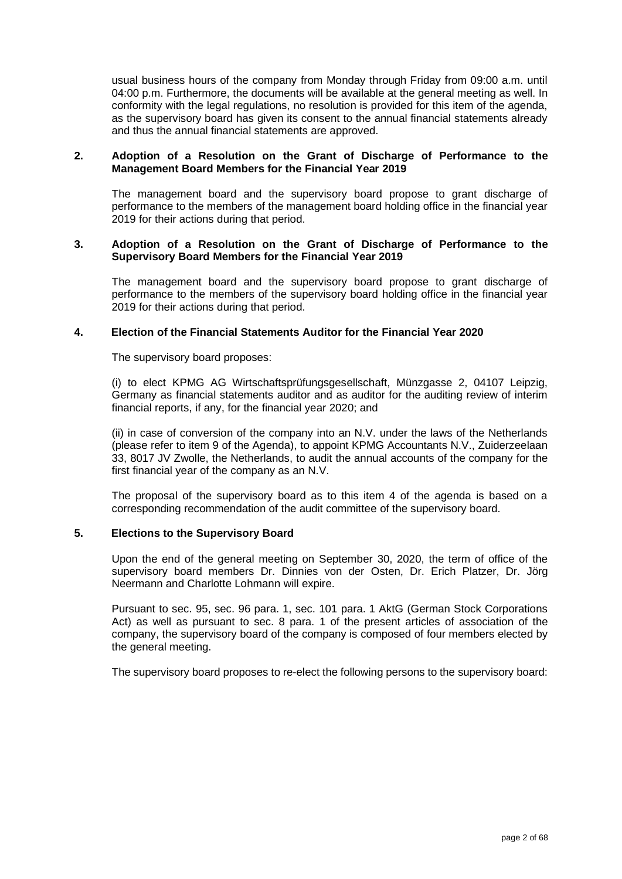usual business hours of the company from Monday through Friday from 09:00 a.m. until 04:00 p.m. Furthermore, the documents will be available at the general meeting as well. In conformity with the legal regulations, no resolution is provided for this item of the agenda, as the supervisory board has given its consent to the annual financial statements already and thus the annual financial statements are approved.

### **2. Adoption of a Resolution on the Grant of Discharge of Performance to the Management Board Members for the Financial Year 2019**

The management board and the supervisory board propose to grant discharge of performance to the members of the management board holding office in the financial year 2019 for their actions during that period.

### **3. Adoption of a Resolution on the Grant of Discharge of Performance to the Supervisory Board Members for the Financial Year 2019**

The management board and the supervisory board propose to grant discharge of performance to the members of the supervisory board holding office in the financial year 2019 for their actions during that period.

### **4. Election of the Financial Statements Auditor for the Financial Year 2020**

The supervisory board proposes:

(i) to elect KPMG AG Wirtschaftsprüfungsgesellschaft, Münzgasse 2, 04107 Leipzig, Germany as financial statements auditor and as auditor for the auditing review of interim financial reports, if any, for the financial year 2020; and

(ii) in case of conversion of the company into an N.V. under the laws of the Netherlands (please refer to item 9 of the Agenda), to appoint KPMG Accountants N.V., Zuiderzeelaan 33, 8017 JV Zwolle, the Netherlands, to audit the annual accounts of the company for the first financial year of the company as an N.V.

The proposal of the supervisory board as to this item 4 of the agenda is based on a corresponding recommendation of the audit committee of the supervisory board.

## **5. Elections to the Supervisory Board**

Upon the end of the general meeting on September 30, 2020, the term of office of the supervisory board members Dr. Dinnies von der Osten, Dr. Erich Platzer, Dr. Jörg Neermann and Charlotte Lohmann will expire.

Pursuant to sec. 95, sec. 96 para. 1, sec. 101 para. 1 AktG (German Stock Corporations Act) as well as pursuant to sec. 8 para. 1 of the present articles of association of the company, the supervisory board of the company is composed of four members elected by the general meeting.

The supervisory board proposes to re-elect the following persons to the supervisory board: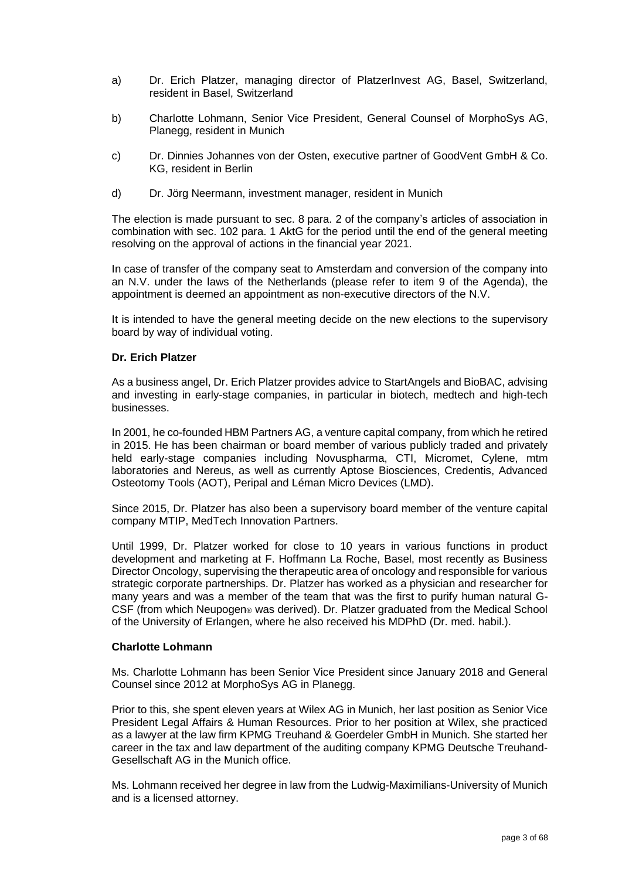- a) Dr. Erich Platzer, managing director of PlatzerInvest AG, Basel, Switzerland, resident in Basel, Switzerland
- b) Charlotte Lohmann, Senior Vice President, General Counsel of MorphoSys AG, Planegg, resident in Munich
- c) Dr. Dinnies Johannes von der Osten, executive partner of GoodVent GmbH & Co. KG, resident in Berlin
- d) Dr. Jörg Neermann, investment manager, resident in Munich

The election is made pursuant to sec. 8 para. 2 of the company's articles of association in combination with sec. 102 para. 1 AktG for the period until the end of the general meeting resolving on the approval of actions in the financial year 2021.

In case of transfer of the company seat to Amsterdam and conversion of the company into an N.V. under the laws of the Netherlands (please refer to item 9 of the Agenda), the appointment is deemed an appointment as non-executive directors of the N.V.

It is intended to have the general meeting decide on the new elections to the supervisory board by way of individual voting.

### **Dr. Erich Platzer**

As a business angel, Dr. Erich Platzer provides advice to StartAngels and BioBAC, advising and investing in early-stage companies, in particular in biotech, medtech and high-tech businesses.

In 2001, he co-founded HBM Partners AG, a venture capital company, from which he retired in 2015. He has been chairman or board member of various publicly traded and privately held early-stage companies including Novuspharma, CTI, Micromet, Cylene, mtm laboratories and Nereus, as well as currently Aptose Biosciences, Credentis, Advanced Osteotomy Tools (AOT), Peripal and Léman Micro Devices (LMD).

Since 2015, Dr. Platzer has also been a supervisory board member of the venture capital company MTIP, MedTech Innovation Partners.

Until 1999, Dr. Platzer worked for close to 10 years in various functions in product development and marketing at F. Hoffmann La Roche, Basel, most recently as Business Director Oncology, supervising the therapeutic area of oncology and responsible for various strategic corporate partnerships. Dr. Platzer has worked as a physician and researcher for many years and was a member of the team that was the first to purify human natural G-CSF (from which Neupogen® was derived). Dr. Platzer graduated from the Medical School of the University of Erlangen, where he also received his MDPhD (Dr. med. habil.).

#### **Charlotte Lohmann**

Ms. Charlotte Lohmann has been Senior Vice President since January 2018 and General Counsel since 2012 at MorphoSys AG in Planegg.

Prior to this, she spent eleven years at Wilex AG in Munich, her last position as Senior Vice President Legal Affairs & Human Resources. Prior to her position at Wilex, she practiced as a lawyer at the law firm KPMG Treuhand & Goerdeler GmbH in Munich. She started her career in the tax and law department of the auditing company KPMG Deutsche Treuhand-Gesellschaft AG in the Munich office.

Ms. Lohmann received her degree in law from the Ludwig-Maximilians-University of Munich and is a licensed attorney.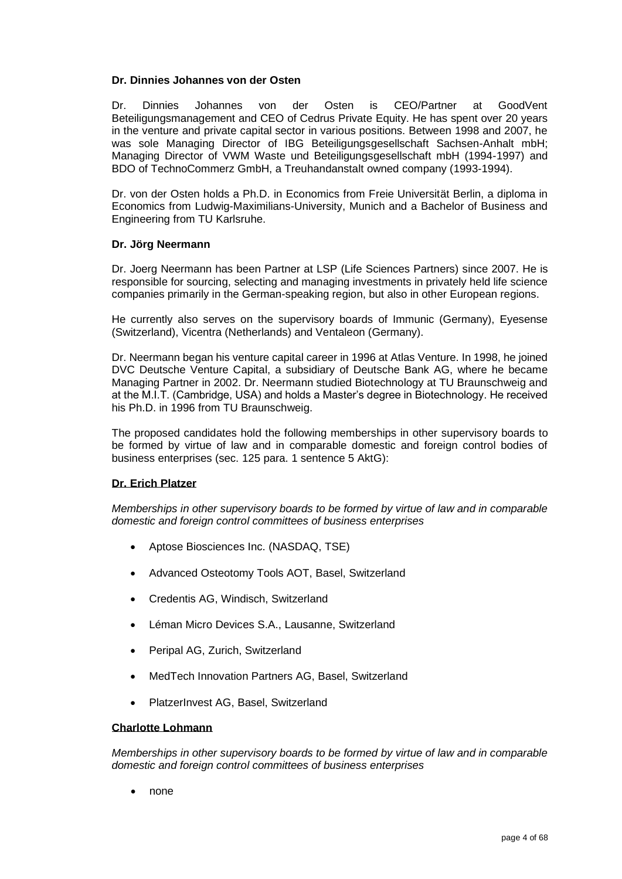## **Dr. Dinnies Johannes von der Osten**

Dr. Dinnies Johannes von der Osten is CEO/Partner at GoodVent Beteiligungsmanagement and CEO of Cedrus Private Equity. He has spent over 20 years in the venture and private capital sector in various positions. Between 1998 and 2007, he was sole Managing Director of IBG Beteiligungsgesellschaft Sachsen-Anhalt mbH; Managing Director of VWM Waste und Beteiligungsgesellschaft mbH (1994-1997) and BDO of TechnoCommerz GmbH, a Treuhandanstalt owned company (1993-1994).

Dr. von der Osten holds a Ph.D. in Economics from Freie Universität Berlin, a diploma in Economics from Ludwig-Maximilians-University, Munich and a Bachelor of Business and Engineering from TU Karlsruhe.

#### **Dr. Jörg Neermann**

Dr. Joerg Neermann has been Partner at LSP (Life Sciences Partners) since 2007. He is responsible for sourcing, selecting and managing investments in privately held life science companies primarily in the German-speaking region, but also in other European regions.

He currently also serves on the supervisory boards of Immunic (Germany), Eyesense (Switzerland), Vicentra (Netherlands) and Ventaleon (Germany).

Dr. Neermann began his venture capital career in 1996 at Atlas Venture. In 1998, he joined DVC Deutsche Venture Capital, a subsidiary of Deutsche Bank AG, where he became Managing Partner in 2002. Dr. Neermann studied Biotechnology at TU Braunschweig and at the M.I.T. (Cambridge, USA) and holds a Master's degree in Biotechnology. He received his Ph.D. in 1996 from TU Braunschweig.

The proposed candidates hold the following memberships in other supervisory boards to be formed by virtue of law and in comparable domestic and foreign control bodies of business enterprises (sec. 125 para. 1 sentence 5 AktG):

#### **Dr. Erich Platzer**

*Memberships in other supervisory boards to be formed by virtue of law and in comparable domestic and foreign control committees of business enterprises*

- Aptose Biosciences Inc. (NASDAQ, TSE)
- Advanced Osteotomy Tools AOT, Basel, Switzerland
- Credentis AG, Windisch, Switzerland
- Léman Micro Devices S.A., Lausanne, Switzerland
- Peripal AG, Zurich, Switzerland
- MedTech Innovation Partners AG, Basel, Switzerland
- PlatzerInvest AG, Basel, Switzerland

### **Charlotte Lohmann**

*Memberships in other supervisory boards to be formed by virtue of law and in comparable domestic and foreign control committees of business enterprises*

• none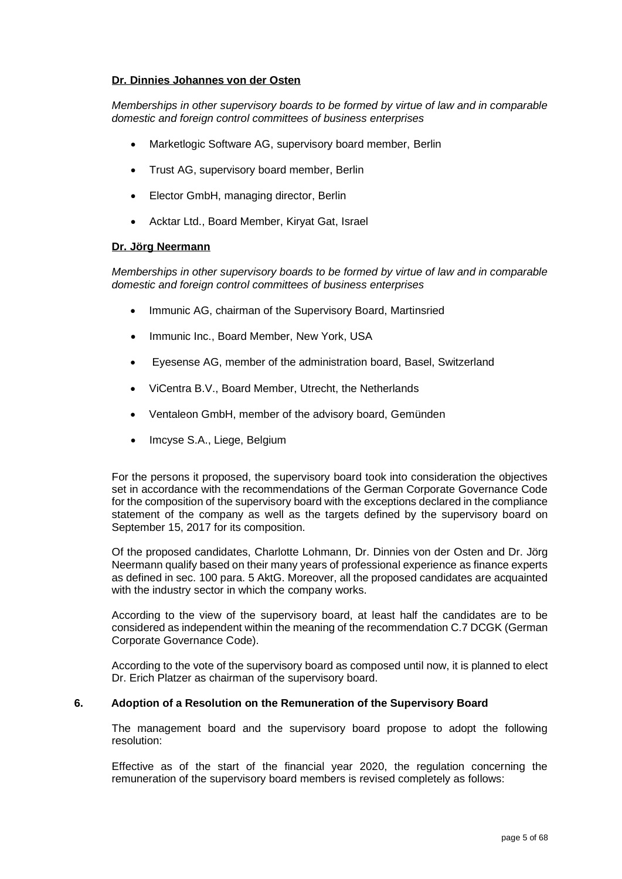#### **Dr. Dinnies Johannes von der Osten**

*Memberships in other supervisory boards to be formed by virtue of law and in comparable domestic and foreign control committees of business enterprises* 

- Marketlogic Software AG, supervisory board member, Berlin
- Trust AG, supervisory board member, Berlin
- Elector GmbH, managing director, Berlin
- Acktar Ltd., Board Member, Kiryat Gat, Israel

## **Dr. Jörg Neermann**

*Memberships in other supervisory boards to be formed by virtue of law and in comparable domestic and foreign control committees of business enterprises* 

- Immunic AG, chairman of the Supervisory Board, Martinsried
- Immunic Inc., Board Member, New York, USA
- Eyesense AG, member of the administration board, Basel, Switzerland
- ViCentra B.V., Board Member, Utrecht, the Netherlands
- Ventaleon GmbH, member of the advisory board, Gemünden
- Imcyse S.A., Liege, Belgium

For the persons it proposed, the supervisory board took into consideration the objectives set in accordance with the recommendations of the German Corporate Governance Code for the composition of the supervisory board with the exceptions declared in the compliance statement of the company as well as the targets defined by the supervisory board on September 15, 2017 for its composition.

Of the proposed candidates, Charlotte Lohmann, Dr. Dinnies von der Osten and Dr. Jörg Neermann qualify based on their many years of professional experience as finance experts as defined in sec. 100 para. 5 AktG. Moreover, all the proposed candidates are acquainted with the industry sector in which the company works.

According to the view of the supervisory board, at least half the candidates are to be considered as independent within the meaning of the recommendation C.7 DCGK (German Corporate Governance Code).

According to the vote of the supervisory board as composed until now, it is planned to elect Dr. Erich Platzer as chairman of the supervisory board.

## **6. Adoption of a Resolution on the Remuneration of the Supervisory Board**

The management board and the supervisory board propose to adopt the following resolution:

Effective as of the start of the financial year 2020, the regulation concerning the remuneration of the supervisory board members is revised completely as follows: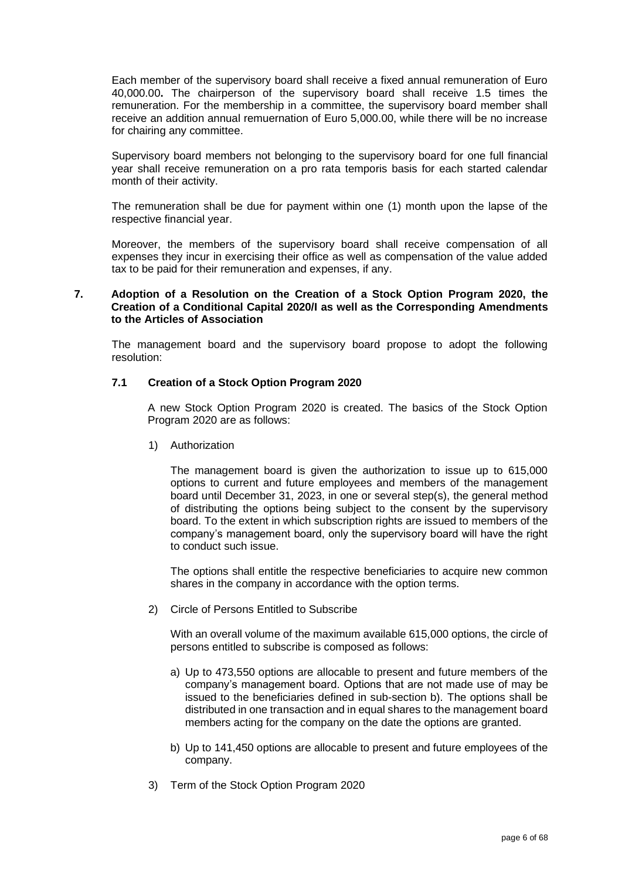Each member of the supervisory board shall receive a fixed annual remuneration of Euro 40,000.00**.** The chairperson of the supervisory board shall receive 1.5 times the remuneration. For the membership in a committee, the supervisory board member shall receive an addition annual remuernation of Euro 5,000.00, while there will be no increase for chairing any committee.

Supervisory board members not belonging to the supervisory board for one full financial year shall receive remuneration on a pro rata temporis basis for each started calendar month of their activity.

The remuneration shall be due for payment within one (1) month upon the lapse of the respective financial year.

Moreover, the members of the supervisory board shall receive compensation of all expenses they incur in exercising their office as well as compensation of the value added tax to be paid for their remuneration and expenses, if any.

### **7. Adoption of a Resolution on the Creation of a Stock Option Program 2020, the Creation of a Conditional Capital 2020/I as well as the Corresponding Amendments to the Articles of Association**

The management board and the supervisory board propose to adopt the following resolution:

### **7.1 Creation of a Stock Option Program 2020**

A new Stock Option Program 2020 is created. The basics of the Stock Option Program 2020 are as follows:

1) Authorization

The management board is given the authorization to issue up to 615,000 options to current and future employees and members of the management board until December 31, 2023, in one or several step(s), the general method of distributing the options being subject to the consent by the supervisory board. To the extent in which subscription rights are issued to members of the company's management board, only the supervisory board will have the right to conduct such issue.

The options shall entitle the respective beneficiaries to acquire new common shares in the company in accordance with the option terms.

2) Circle of Persons Entitled to Subscribe

With an overall volume of the maximum available 615,000 options, the circle of persons entitled to subscribe is composed as follows:

- a) Up to 473,550 options are allocable to present and future members of the company's management board. Options that are not made use of may be issued to the beneficiaries defined in sub-section b). The options shall be distributed in one transaction and in equal shares to the management board members acting for the company on the date the options are granted.
- b) Up to 141,450 options are allocable to present and future employees of the company.
- 3) Term of the Stock Option Program 2020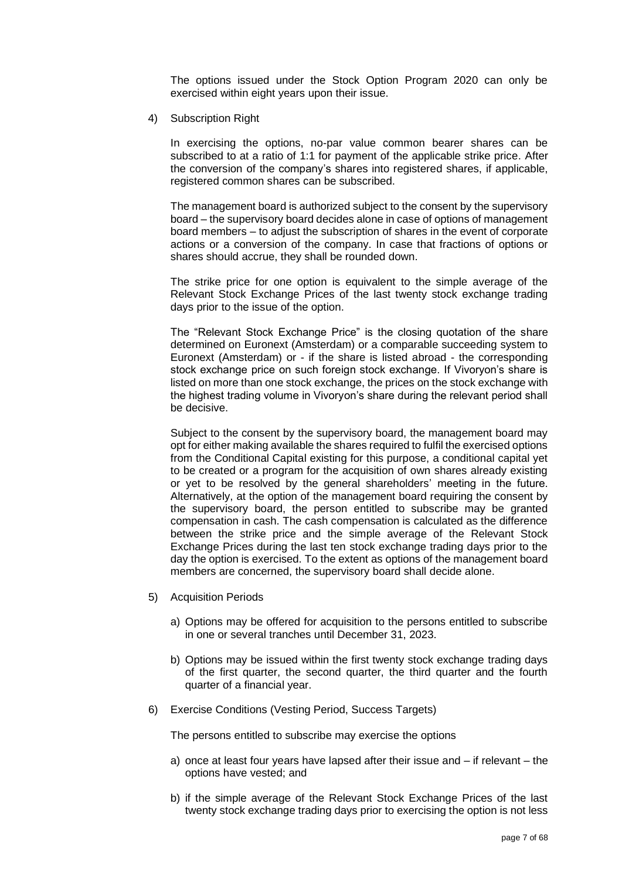The options issued under the Stock Option Program 2020 can only be exercised within eight years upon their issue.

4) Subscription Right

In exercising the options, no-par value common bearer shares can be subscribed to at a ratio of 1:1 for payment of the applicable strike price. After the conversion of the company's shares into registered shares, if applicable, registered common shares can be subscribed.

The management board is authorized subject to the consent by the supervisory board – the supervisory board decides alone in case of options of management board members – to adjust the subscription of shares in the event of corporate actions or a conversion of the company. In case that fractions of options or shares should accrue, they shall be rounded down.

The strike price for one option is equivalent to the simple average of the Relevant Stock Exchange Prices of the last twenty stock exchange trading days prior to the issue of the option.

The "Relevant Stock Exchange Price" is the closing quotation of the share determined on Euronext (Amsterdam) or a comparable succeeding system to Euronext (Amsterdam) or - if the share is listed abroad - the corresponding stock exchange price on such foreign stock exchange. If Vivoryon's share is listed on more than one stock exchange, the prices on the stock exchange with the highest trading volume in Vivoryon's share during the relevant period shall be decisive.

Subject to the consent by the supervisory board, the management board may opt for either making available the shares required to fulfil the exercised options from the Conditional Capital existing for this purpose, a conditional capital yet to be created or a program for the acquisition of own shares already existing or yet to be resolved by the general shareholders' meeting in the future. Alternatively, at the option of the management board requiring the consent by the supervisory board, the person entitled to subscribe may be granted compensation in cash. The cash compensation is calculated as the difference between the strike price and the simple average of the Relevant Stock Exchange Prices during the last ten stock exchange trading days prior to the day the option is exercised. To the extent as options of the management board members are concerned, the supervisory board shall decide alone.

- 5) Acquisition Periods
	- a) Options may be offered for acquisition to the persons entitled to subscribe in one or several tranches until December 31, 2023.
	- b) Options may be issued within the first twenty stock exchange trading days of the first quarter, the second quarter, the third quarter and the fourth quarter of a financial year.
- 6) Exercise Conditions (Vesting Period, Success Targets)

The persons entitled to subscribe may exercise the options

- a) once at least four years have lapsed after their issue and if relevant the options have vested; and
- b) if the simple average of the Relevant Stock Exchange Prices of the last twenty stock exchange trading days prior to exercising the option is not less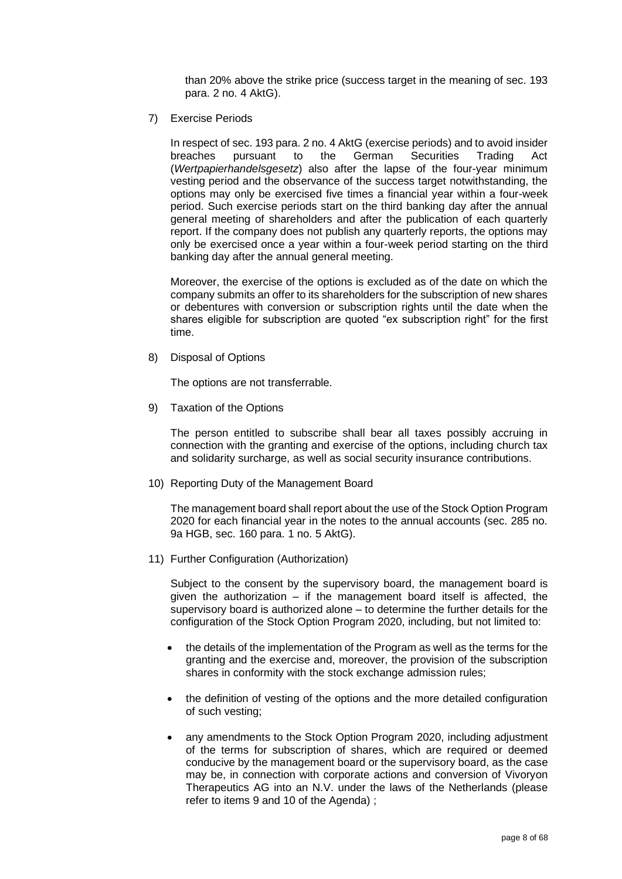than 20% above the strike price (success target in the meaning of sec. 193 para. 2 no. 4 AktG).

7) Exercise Periods

In respect of sec. 193 para. 2 no. 4 AktG (exercise periods) and to avoid insider breaches pursuant to the German Securities Trading Act (*Wertpapierhandelsgesetz*) also after the lapse of the four-year minimum vesting period and the observance of the success target notwithstanding, the options may only be exercised five times a financial year within a four-week period. Such exercise periods start on the third banking day after the annual general meeting of shareholders and after the publication of each quarterly report. If the company does not publish any quarterly reports, the options may only be exercised once a year within a four-week period starting on the third banking day after the annual general meeting.

Moreover, the exercise of the options is excluded as of the date on which the company submits an offer to its shareholders for the subscription of new shares or debentures with conversion or subscription rights until the date when the shares eligible for subscription are quoted "ex subscription right" for the first time.

8) Disposal of Options

The options are not transferrable.

9) Taxation of the Options

The person entitled to subscribe shall bear all taxes possibly accruing in connection with the granting and exercise of the options, including church tax and solidarity surcharge, as well as social security insurance contributions.

10) Reporting Duty of the Management Board

The management board shall report about the use of the Stock Option Program 2020 for each financial year in the notes to the annual accounts (sec. 285 no. 9a HGB, sec. 160 para. 1 no. 5 AktG).

11) Further Configuration (Authorization)

Subject to the consent by the supervisory board, the management board is given the authorization – if the management board itself is affected, the supervisory board is authorized alone – to determine the further details for the configuration of the Stock Option Program 2020, including, but not limited to:

- the details of the implementation of the Program as well as the terms for the granting and the exercise and, moreover, the provision of the subscription shares in conformity with the stock exchange admission rules;
- the definition of vesting of the options and the more detailed configuration of such vesting;
- any amendments to the Stock Option Program 2020, including adjustment of the terms for subscription of shares, which are required or deemed conducive by the management board or the supervisory board, as the case may be, in connection with corporate actions and conversion of Vivoryon Therapeutics AG into an N.V. under the laws of the Netherlands (please refer to items 9 and 10 of the Agenda) ;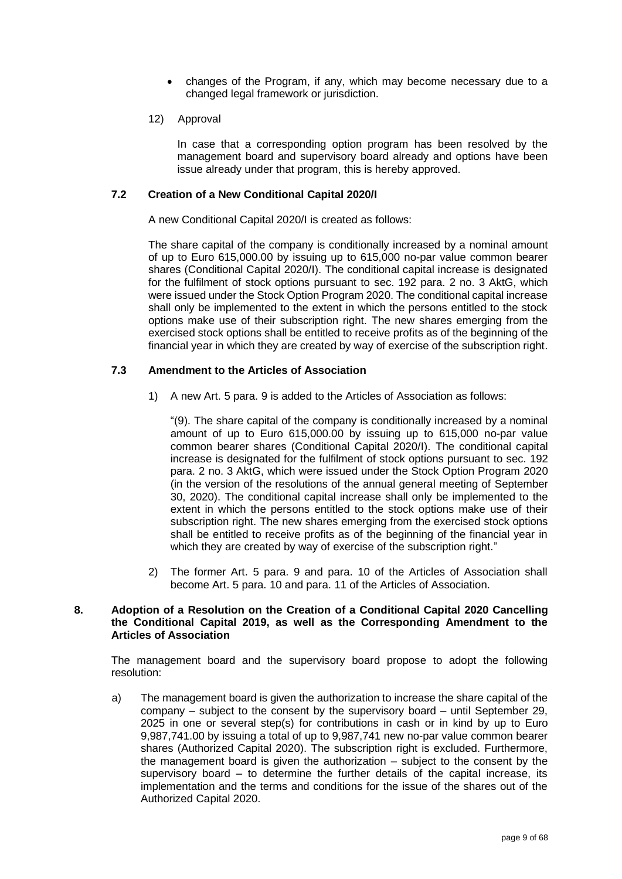- changes of the Program, if any, which may become necessary due to a changed legal framework or jurisdiction.
- 12) Approval

In case that a corresponding option program has been resolved by the management board and supervisory board already and options have been issue already under that program, this is hereby approved.

### **7.2 Creation of a New Conditional Capital 2020/I**

A new Conditional Capital 2020/I is created as follows:

The share capital of the company is conditionally increased by a nominal amount of up to Euro 615,000.00 by issuing up to 615,000 no-par value common bearer shares (Conditional Capital 2020/I). The conditional capital increase is designated for the fulfilment of stock options pursuant to sec. 192 para. 2 no. 3 AktG, which were issued under the Stock Option Program 2020. The conditional capital increase shall only be implemented to the extent in which the persons entitled to the stock options make use of their subscription right. The new shares emerging from the exercised stock options shall be entitled to receive profits as of the beginning of the financial year in which they are created by way of exercise of the subscription right.

## **7.3 Amendment to the Articles of Association**

1) A new Art. 5 para. 9 is added to the Articles of Association as follows:

"(9). The share capital of the company is conditionally increased by a nominal amount of up to Euro 615,000.00 by issuing up to 615,000 no-par value common bearer shares (Conditional Capital 2020/I). The conditional capital increase is designated for the fulfilment of stock options pursuant to sec. 192 para. 2 no. 3 AktG, which were issued under the Stock Option Program 2020 (in the version of the resolutions of the annual general meeting of September 30, 2020). The conditional capital increase shall only be implemented to the extent in which the persons entitled to the stock options make use of their subscription right. The new shares emerging from the exercised stock options shall be entitled to receive profits as of the beginning of the financial year in which they are created by way of exercise of the subscription right."

2) The former Art. 5 para. 9 and para. 10 of the Articles of Association shall become Art. 5 para. 10 and para. 11 of the Articles of Association.

### **8. Adoption of a Resolution on the Creation of a Conditional Capital 2020 Cancelling the Conditional Capital 2019, as well as the Corresponding Amendment to the Articles of Association**

The management board and the supervisory board propose to adopt the following resolution:

a) The management board is given the authorization to increase the share capital of the company – subject to the consent by the supervisory board – until September 29, 2025 in one or several step(s) for contributions in cash or in kind by up to Euro 9,987,741.00 by issuing a total of up to 9,987,741 new no-par value common bearer shares (Authorized Capital 2020). The subscription right is excluded. Furthermore, the management board is given the authorization – subject to the consent by the supervisory board – to determine the further details of the capital increase, its implementation and the terms and conditions for the issue of the shares out of the Authorized Capital 2020.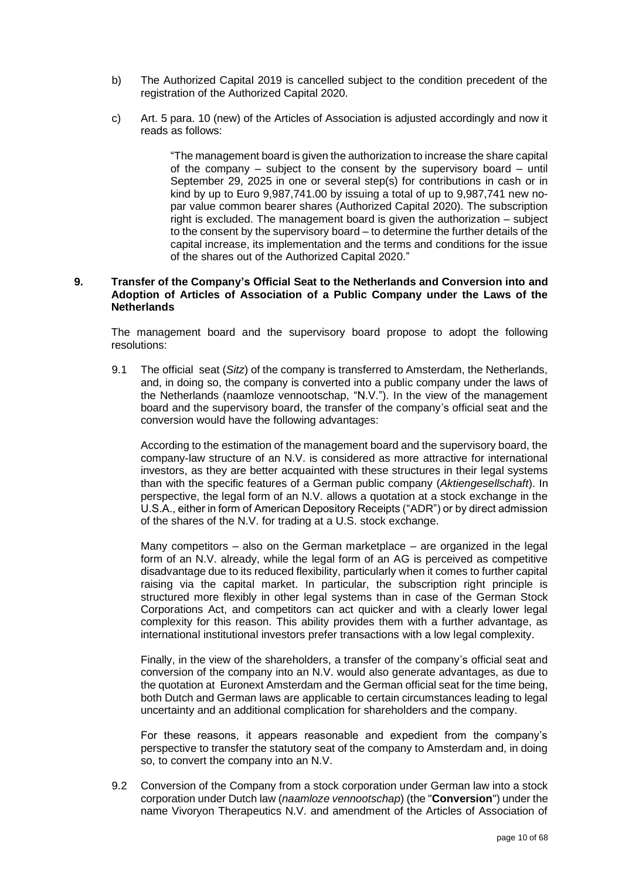- b) The Authorized Capital 2019 is cancelled subject to the condition precedent of the registration of the Authorized Capital 2020.
- c) Art. 5 para. 10 (new) of the Articles of Association is adjusted accordingly and now it reads as follows:

"The management board is given the authorization to increase the share capital of the company – subject to the consent by the supervisory board – until September 29, 2025 in one or several step(s) for contributions in cash or in kind by up to Euro 9,987,741.00 by issuing a total of up to 9,987,741 new nopar value common bearer shares (Authorized Capital 2020). The subscription right is excluded. The management board is given the authorization – subject to the consent by the supervisory board – to determine the further details of the capital increase, its implementation and the terms and conditions for the issue of the shares out of the Authorized Capital 2020."

### **9. Transfer of the Company's Official Seat to the Netherlands and Conversion into and Adoption of Articles of Association of a Public Company under the Laws of the Netherlands**

The management board and the supervisory board propose to adopt the following resolutions:

9.1 The official seat (*Sitz*) of the company is transferred to Amsterdam, the Netherlands, and, in doing so, the company is converted into a public company under the laws of the Netherlands (naamloze vennootschap, "N.V."). In the view of the management board and the supervisory board, the transfer of the company's official seat and the conversion would have the following advantages:

According to the estimation of the management board and the supervisory board, the company-law structure of an N.V. is considered as more attractive for international investors, as they are better acquainted with these structures in their legal systems than with the specific features of a German public company (*Aktiengesellschaft*). In perspective, the legal form of an N.V. allows a quotation at a stock exchange in the U.S.A., either in form of American Depository Receipts ("ADR") or by direct admission of the shares of the N.V. for trading at a U.S. stock exchange.

Many competitors – also on the German marketplace – are organized in the legal form of an N.V. already, while the legal form of an AG is perceived as competitive disadvantage due to its reduced flexibility, particularly when it comes to further capital raising via the capital market. In particular, the subscription right principle is structured more flexibly in other legal systems than in case of the German Stock Corporations Act, and competitors can act quicker and with a clearly lower legal complexity for this reason. This ability provides them with a further advantage, as international institutional investors prefer transactions with a low legal complexity.

Finally, in the view of the shareholders, a transfer of the company's official seat and conversion of the company into an N.V. would also generate advantages, as due to the quotation at Euronext Amsterdam and the German official seat for the time being, both Dutch and German laws are applicable to certain circumstances leading to legal uncertainty and an additional complication for shareholders and the company.

For these reasons, it appears reasonable and expedient from the company's perspective to transfer the statutory seat of the company to Amsterdam and, in doing so, to convert the company into an N.V.

9.2 Conversion of the Company from a stock corporation under German law into a stock corporation under Dutch law (*naamloze vennootschap*) (the "**Conversion**") under the name Vivoryon Therapeutics N.V. and amendment of the Articles of Association of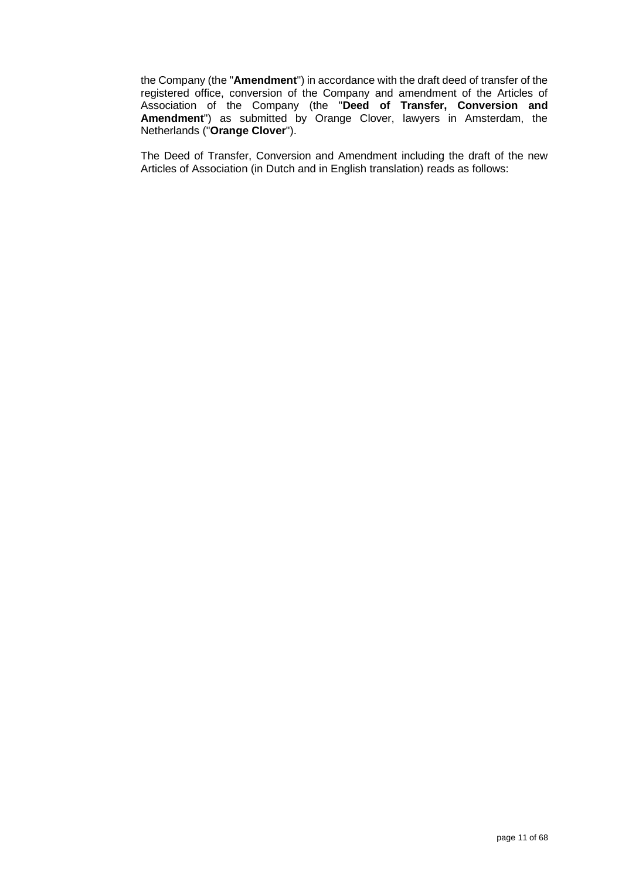the Company (the "**Amendment**") in accordance with the draft deed of transfer of the registered office, conversion of the Company and amendment of the Articles of Association of the Company (the "**Deed of Transfer, Conversion and Amendment**") as submitted by Orange Clover, lawyers in Amsterdam, the Netherlands ("**Orange Clover**").

The Deed of Transfer, Conversion and Amendment including the draft of the new Articles of Association (in Dutch and in English translation) reads as follows: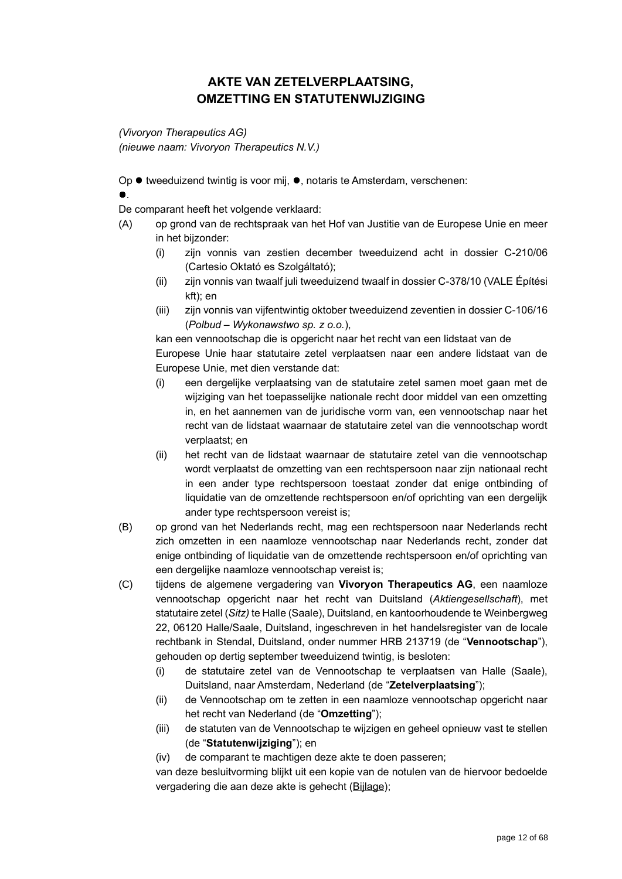## **AKTE VAN ZETELVERPLAATSING, OMZETTING EN STATUTENWIJZIGING**

*(Vivoryon Therapeutics AG) (nieuwe naam: Vivoryon Therapeutics N.V.)*

Op ● tweeduizend twintig is voor mij, ●, notaris te Amsterdam, verschenen:

## .

De comparant heeft het volgende verklaard:

- (A) op grond van de rechtspraak van het Hof van Justitie van de Europese Unie en meer in het bijzonder:
	- (i) zijn vonnis van zestien december tweeduizend acht in dossier C-210/06 (Cartesio Oktató es Szolgáltató);
	- (ii) zijn vonnis van twaalf juli tweeduizend twaalf in dossier C-378/10 (VALE Építési kft); en
	- (iii) zijn vonnis van vijfentwintig oktober tweeduizend zeventien in dossier C-106/16 (*Polbud – Wykonawstwo sp. z o.o.*),

kan een vennootschap die is opgericht naar het recht van een lidstaat van de Europese Unie haar statutaire zetel verplaatsen naar een andere lidstaat van de Europese Unie, met dien verstande dat:

- (i) een dergelijke verplaatsing van de statutaire zetel samen moet gaan met de wijziging van het toepasselijke nationale recht door middel van een omzetting in, en het aannemen van de juridische vorm van, een vennootschap naar het recht van de lidstaat waarnaar de statutaire zetel van die vennootschap wordt verplaatst; en
- (ii) het recht van de lidstaat waarnaar de statutaire zetel van die vennootschap wordt verplaatst de omzetting van een rechtspersoon naar zijn nationaal recht in een ander type rechtspersoon toestaat zonder dat enige ontbinding of liquidatie van de omzettende rechtspersoon en/of oprichting van een dergelijk ander type rechtspersoon vereist is;
- (B) op grond van het Nederlands recht, mag een rechtspersoon naar Nederlands recht zich omzetten in een naamloze vennootschap naar Nederlands recht, zonder dat enige ontbinding of liquidatie van de omzettende rechtspersoon en/of oprichting van een dergelijke naamloze vennootschap vereist is;
- (C) tijdens de algemene vergadering van **Vivoryon Therapeutics AG**, een naamloze vennootschap opgericht naar het recht van Duitsland (*Aktiengesellschaft*), met statutaire zetel (*Sitz)* te Halle (Saale), Duitsland, en kantoorhoudende te Weinbergweg 22, 06120 Halle/Saale, Duitsland, ingeschreven in het handelsregister van de locale rechtbank in Stendal, Duitsland, onder nummer HRB 213719 (de "**Vennootschap**"), gehouden op dertig september tweeduizend twintig, is besloten:
	- (i) de statutaire zetel van de Vennootschap te verplaatsen van Halle (Saale), Duitsland, naar Amsterdam, Nederland (de "**Zetelverplaatsing**");
	- (ii) de Vennootschap om te zetten in een naamloze vennootschap opgericht naar het recht van Nederland (de "**Omzetting**");
	- (iii) de statuten van de Vennootschap te wijzigen en geheel opnieuw vast te stellen (de "**Statutenwijziging**"); en
	- (iv) de comparant te machtigen deze akte te doen passeren;

van deze besluitvorming blijkt uit een kopie van de notulen van de hiervoor bedoelde vergadering die aan deze akte is gehecht (Bijlage);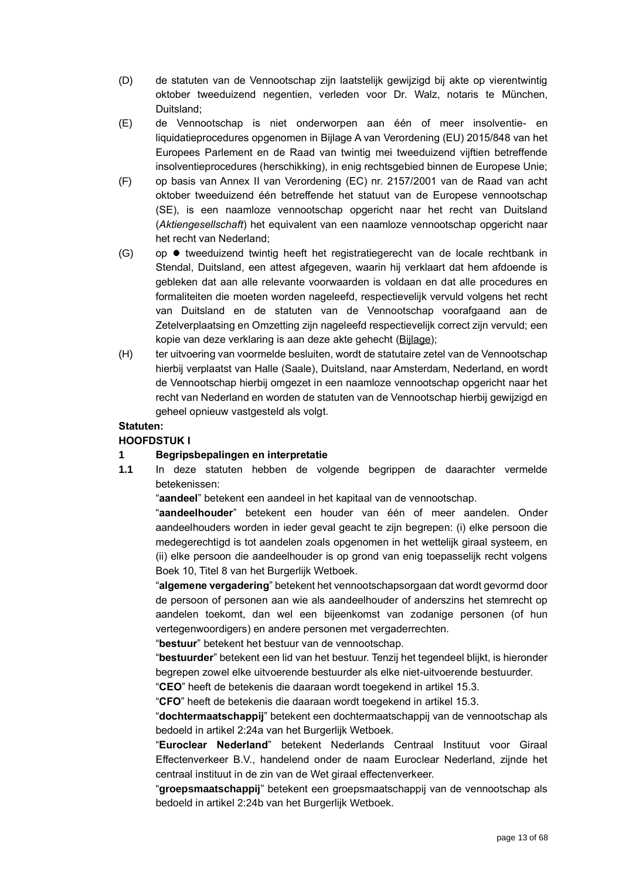- (D) de statuten van de Vennootschap zijn laatstelijk gewijzigd bij akte op vierentwintig oktober tweeduizend negentien, verleden voor Dr. Walz, notaris te München, Duitsland;
- (E) de Vennootschap is niet onderworpen aan één of meer insolventie- en liquidatieprocedures opgenomen in Bijlage A van Verordening (EU) 2015/848 van het Europees Parlement en de Raad van twintig mei tweeduizend vijftien betreffende insolventieprocedures (herschikking), in enig rechtsgebied binnen de Europese Unie;
- (F) op basis van Annex II van Verordening (EC) nr. 2157/2001 van de Raad van acht oktober tweeduizend één betreffende het statuut van de Europese vennootschap (SE), is een naamloze vennootschap opgericht naar het recht van Duitsland (*Aktiengesellschaft*) het equivalent van een naamloze vennootschap opgericht naar het recht van Nederland;
- (G) op tweeduizend twintig heeft het registratiegerecht van de locale rechtbank in Stendal, Duitsland, een attest afgegeven, waarin hij verklaart dat hem afdoende is gebleken dat aan alle relevante voorwaarden is voldaan en dat alle procedures en formaliteiten die moeten worden nageleefd, respectievelijk vervuld volgens het recht van Duitsland en de statuten van de Vennootschap voorafgaand aan de Zetelverplaatsing en Omzetting zijn nageleefd respectievelijk correct zijn vervuld; een kopie van deze verklaring is aan deze akte gehecht (Bijlage);
- (H) ter uitvoering van voormelde besluiten, wordt de statutaire zetel van de Vennootschap hierbij verplaatst van Halle (Saale), Duitsland, naar Amsterdam, Nederland, en wordt de Vennootschap hierbij omgezet in een naamloze vennootschap opgericht naar het recht van Nederland en worden de statuten van de Vennootschap hierbij gewijzigd en geheel opnieuw vastgesteld als volgt.

## **Statuten:**

## **HOOFDSTUK I**

## **1 Begripsbepalingen en interpretatie**

**1.1** In deze statuten hebben de volgende begrippen de daarachter vermelde betekenissen:

"**aandeel**" betekent een aandeel in het kapitaal van de vennootschap.

"**aandeelhouder**" betekent een houder van één of meer aandelen. Onder aandeelhouders worden in ieder geval geacht te zijn begrepen: (i) elke persoon die medegerechtigd is tot aandelen zoals opgenomen in het wettelijk giraal systeem, en (ii) elke persoon die aandeelhouder is op grond van enig toepasselijk recht volgens Boek 10, Titel 8 van het Burgerlijk Wetboek.

"**algemene vergadering**" betekent het vennootschapsorgaan dat wordt gevormd door de persoon of personen aan wie als aandeelhouder of anderszins het stemrecht op aandelen toekomt, dan wel een bijeenkomst van zodanige personen (of hun vertegenwoordigers) en andere personen met vergaderrechten.

"**bestuur**" betekent het bestuur van de vennootschap.

"**bestuurder**" betekent een lid van het bestuur. Tenzij het tegendeel blijkt, is hieronder begrepen zowel elke uitvoerende bestuurder als elke niet-uitvoerende bestuurder.

"**CEO**" heeft de betekenis die daaraan wordt toegekend in artikel [15.3.](#page-18-0)

"**CFO**" heeft de betekenis die daaraan wordt toegekend in artikel [15.3.](#page-18-0)

"**dochtermaatschappij**" betekent een dochtermaatschappij van de vennootschap als bedoeld in artikel 2:24a van het Burgerlijk Wetboek.

"**Euroclear Nederland**" betekent Nederlands Centraal Instituut voor Giraal Effectenverkeer B.V., handelend onder de naam Euroclear Nederland, zijnde het centraal instituut in de zin van de Wet giraal effectenverkeer.

"**groepsmaatschappij**" betekent een groepsmaatschappij van de vennootschap als bedoeld in artikel 2:24b van het Burgerlijk Wetboek.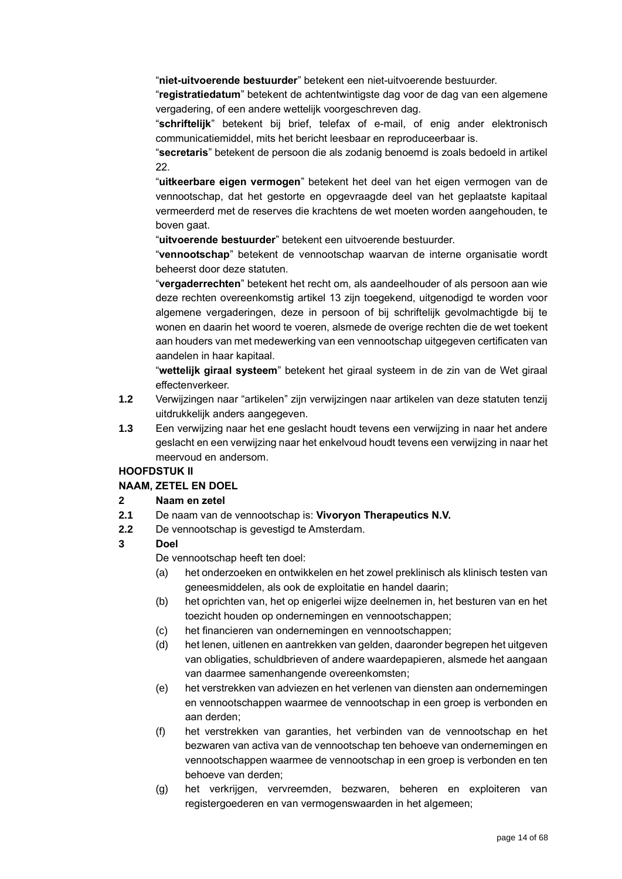"**niet-uitvoerende bestuurder**" betekent een niet-uitvoerende bestuurder.

"**registratiedatum**" betekent de achtentwintigste dag voor de dag van een algemene vergadering, of een andere wettelijk voorgeschreven dag.

"**schriftelijk**" betekent bij brief, telefax of e-mail, of enig ander elektronisch communicatiemiddel, mits het bericht leesbaar en reproduceerbaar is.

"**secretaris**" betekent de persoon die als zodanig benoemd is zoals bedoeld in artikel [22.](#page-21-0)

"**uitkeerbare eigen vermogen**" betekent het deel van het eigen vermogen van de vennootschap, dat het gestorte en opgevraagde deel van het geplaatste kapitaal vermeerderd met de reserves die krachtens de wet moeten worden aangehouden, te boven gaat.

"**uitvoerende bestuurder**" betekent een uitvoerende bestuurder.

"**vennootschap**" betekent de vennootschap waarvan de interne organisatie wordt beheerst door deze statuten.

"**vergaderrechten**" betekent het recht om, als aandeelhouder of als persoon aan wie deze rechten overeenkomstig artikel [13](#page-17-0) zijn toegekend, uitgenodigd te worden voor algemene vergaderingen, deze in persoon of bij schriftelijk gevolmachtigde bij te wonen en daarin het woord te voeren, alsmede de overige rechten die de wet toekent aan houders van met medewerking van een vennootschap uitgegeven certificaten van aandelen in haar kapitaal.

"**wettelijk giraal systeem**" betekent het giraal systeem in de zin van de Wet giraal effectenverkeer.

- **1.2** Verwijzingen naar "artikelen" zijn verwijzingen naar artikelen van deze statuten tenzij uitdrukkelijk anders aangegeven.
- **1.3** Een verwijzing naar het ene geslacht houdt tevens een verwijzing in naar het andere geslacht en een verwijzing naar het enkelvoud houdt tevens een verwijzing in naar het meervoud en andersom.

## **HOOFDSTUK II**

## **NAAM, ZETEL EN DOEL**

#### **2 Naam en zetel**

- **2.1** De naam van de vennootschap is: **Vivoryon Therapeutics N.V.**
- **2.2** De vennootschap is gevestigd te Amsterdam.

## **3 Doel**

De vennootschap heeft ten doel:

- (a) het onderzoeken en ontwikkelen en het zowel preklinisch als klinisch testen van geneesmiddelen, als ook de exploitatie en handel daarin;
- (b) het oprichten van, het op enigerlei wijze deelnemen in, het besturen van en het toezicht houden op ondernemingen en vennootschappen;
- (c) het financieren van ondernemingen en vennootschappen;
- (d) het lenen, uitlenen en aantrekken van gelden, daaronder begrepen het uitgeven van obligaties, schuldbrieven of andere waardepapieren, alsmede het aangaan van daarmee samenhangende overeenkomsten;
- (e) het verstrekken van adviezen en het verlenen van diensten aan ondernemingen en vennootschappen waarmee de vennootschap in een groep is verbonden en aan derden;
- (f) het verstrekken van garanties, het verbinden van de vennootschap en het bezwaren van activa van de vennootschap ten behoeve van ondernemingen en vennootschappen waarmee de vennootschap in een groep is verbonden en ten behoeve van derden;
- (g) het verkrijgen, vervreemden, bezwaren, beheren en exploiteren van registergoederen en van vermogenswaarden in het algemeen;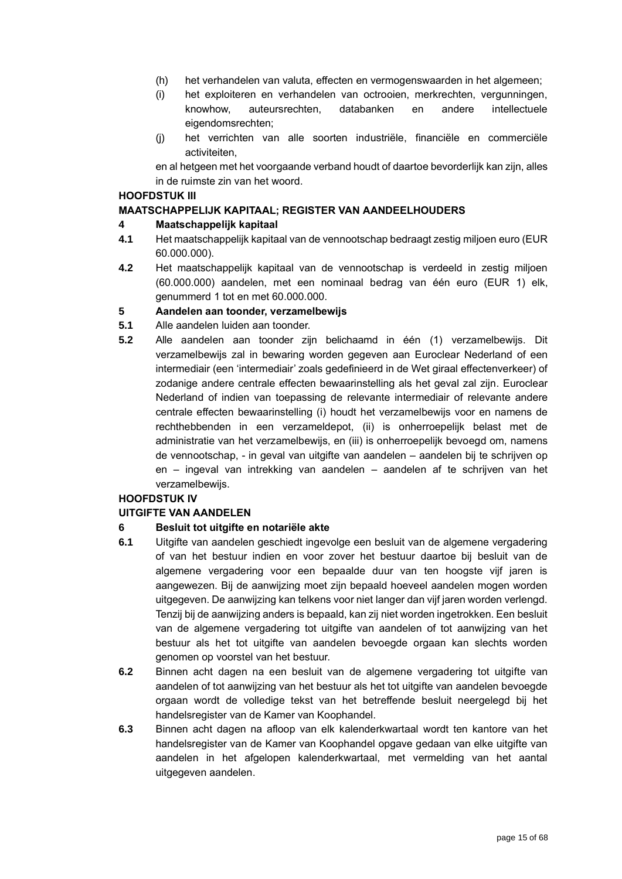- (h) het verhandelen van valuta, effecten en vermogenswaarden in het algemeen;
- (i) het exploiteren en verhandelen van octrooien, merkrechten, vergunningen, knowhow, auteursrechten, databanken en andere intellectuele eigendomsrechten;
- (j) het verrichten van alle soorten industriële, financiële en commerciële activiteiten,

en al hetgeen met het voorgaande verband houdt of daartoe bevorderlijk kan zijn, alles in de ruimste zin van het woord.

### **HOOFDSTUK III**

### **MAATSCHAPPELIJK KAPITAAL; REGISTER VAN AANDEELHOUDERS**

### **4 Maatschappelijk kapitaal**

- **4.1** Het maatschappelijk kapitaal van de vennootschap bedraagt zestig miljoen euro (EUR 60.000.000).
- **4.2** Het maatschappelijk kapitaal van de vennootschap is verdeeld in zestig miljoen (60.000.000) aandelen, met een nominaal bedrag van één euro (EUR 1) elk, genummerd 1 tot en met 60.000.000.

### **5 Aandelen aan toonder, verzamelbewijs**

- **5.1** Alle aandelen luiden aan toonder.
- **5.2** Alle aandelen aan toonder zijn belichaamd in één (1) verzamelbewijs. Dit verzamelbewijs zal in bewaring worden gegeven aan Euroclear Nederland of een intermediair (een 'intermediair' zoals gedefinieerd in de Wet giraal effectenverkeer) of zodanige andere centrale effecten bewaarinstelling als het geval zal zijn. Euroclear Nederland of indien van toepassing de relevante intermediair of relevante andere centrale effecten bewaarinstelling (i) houdt het verzamelbewijs voor en namens de rechthebbenden in een verzameldepot, (ii) is onherroepelijk belast met de administratie van het verzamelbewijs, en (iii) is onherroepelijk bevoegd om, namens de vennootschap, - in geval van uitgifte van aandelen – aandelen bij te schrijven op en – ingeval van intrekking van aandelen – aandelen af te schrijven van het verzamelbewijs.

### **HOOFDSTUK IV**

## **UITGIFTE VAN AANDELEN**

## <span id="page-14-1"></span>**6 Besluit tot uitgifte en notariële akte**

- <span id="page-14-0"></span>**6.1** Uitgifte van aandelen geschiedt ingevolge een besluit van de algemene vergadering of van het bestuur indien en voor zover het bestuur daartoe bij besluit van de algemene vergadering voor een bepaalde duur van ten hoogste vijf jaren is aangewezen. Bij de aanwijzing moet zijn bepaald hoeveel aandelen mogen worden uitgegeven. De aanwijzing kan telkens voor niet langer dan vijf jaren worden verlengd. Tenzij bij de aanwijzing anders is bepaald, kan zij niet worden ingetrokken. Een besluit van de algemene vergadering tot uitgifte van aandelen of tot aanwijzing van het bestuur als het tot uitgifte van aandelen bevoegde orgaan kan slechts worden genomen op voorstel van het bestuur.
- **6.2** Binnen acht dagen na een besluit van de algemene vergadering tot uitgifte van aandelen of tot aanwijzing van het bestuur als het tot uitgifte van aandelen bevoegde orgaan wordt de volledige tekst van het betreffende besluit neergelegd bij het handelsregister van de Kamer van Koophandel.
- **6.3** Binnen acht dagen na afloop van elk kalenderkwartaal wordt ten kantore van het handelsregister van de Kamer van Koophandel opgave gedaan van elke uitgifte van aandelen in het afgelopen kalenderkwartaal, met vermelding van het aantal uitgegeven aandelen.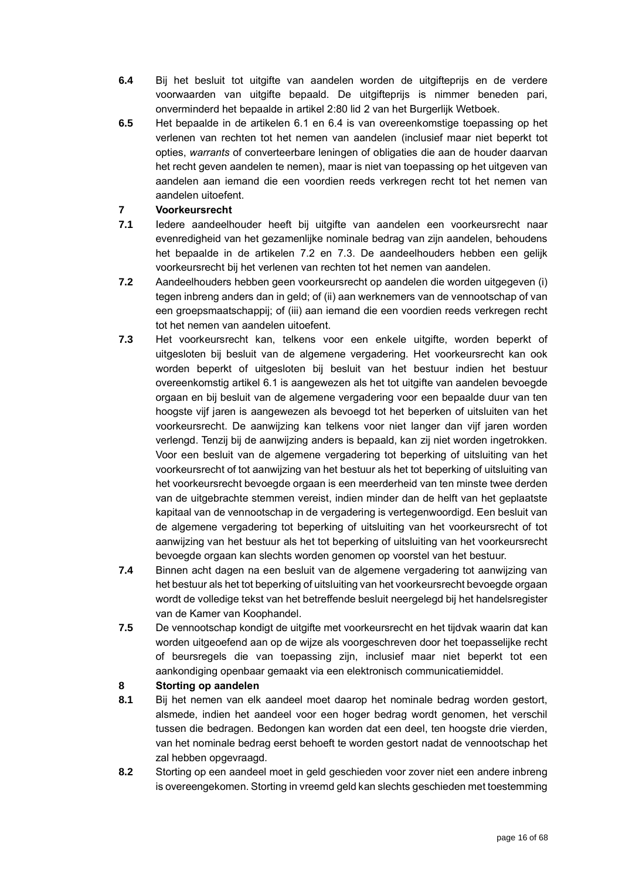- <span id="page-15-0"></span>**6.4** Bij het besluit tot uitgifte van aandelen worden de uitgifteprijs en de verdere voorwaarden van uitgifte bepaald. De uitgifteprijs is nimmer beneden pari, onverminderd het bepaalde in artikel 2:80 lid 2 van het Burgerlijk Wetboek.
- **6.5** Het bepaalde in de artikelen [6.1](#page-14-0) en [6.4](#page-15-0) is van overeenkomstige toepassing op het verlenen van rechten tot het nemen van aandelen (inclusief maar niet beperkt tot opties, *warrants* of converteerbare leningen of obligaties die aan de houder daarvan het recht geven aandelen te nemen), maar is niet van toepassing op het uitgeven van aandelen aan iemand die een voordien reeds verkregen recht tot het nemen van aandelen uitoefent.

## <span id="page-15-3"></span>**7 Voorkeursrecht**

- **7.1** Iedere aandeelhouder heeft bij uitgifte van aandelen een voorkeursrecht naar evenredigheid van het gezamenlijke nominale bedrag van zijn aandelen, behoudens het bepaalde in de artikelen [7.2](#page-15-1) en [7.3.](#page-15-2) De aandeelhouders hebben een gelijk voorkeursrecht bij het verlenen van rechten tot het nemen van aandelen.
- <span id="page-15-1"></span>**7.2** Aandeelhouders hebben geen voorkeursrecht op aandelen die worden uitgegeven (i) tegen inbreng anders dan in geld; of (ii) aan werknemers van de vennootschap of van een groepsmaatschappij; of (iii) aan iemand die een voordien reeds verkregen recht tot het nemen van aandelen uitoefent.
- <span id="page-15-2"></span>**7.3** Het voorkeursrecht kan, telkens voor een enkele uitgifte, worden beperkt of uitgesloten bij besluit van de algemene vergadering. Het voorkeursrecht kan ook worden beperkt of uitgesloten bij besluit van het bestuur indien het bestuur overeenkomstig artikel [6.1](#page-14-0) is aangewezen als het tot uitgifte van aandelen bevoegde orgaan en bij besluit van de algemene vergadering voor een bepaalde duur van ten hoogste vijf jaren is aangewezen als bevoegd tot het beperken of uitsluiten van het voorkeursrecht. De aanwijzing kan telkens voor niet langer dan vijf jaren worden verlengd. Tenzij bij de aanwijzing anders is bepaald, kan zij niet worden ingetrokken. Voor een besluit van de algemene vergadering tot beperking of uitsluiting van het voorkeursrecht of tot aanwijzing van het bestuur als het tot beperking of uitsluiting van het voorkeursrecht bevoegde orgaan is een meerderheid van ten minste twee derden van de uitgebrachte stemmen vereist, indien minder dan de helft van het geplaatste kapitaal van de vennootschap in de vergadering is vertegenwoordigd. Een besluit van de algemene vergadering tot beperking of uitsluiting van het voorkeursrecht of tot aanwijzing van het bestuur als het tot beperking of uitsluiting van het voorkeursrecht bevoegde orgaan kan slechts worden genomen op voorstel van het bestuur.
- **7.4** Binnen acht dagen na een besluit van de algemene vergadering tot aanwijzing van het bestuur als het tot beperking of uitsluiting van het voorkeursrecht bevoegde orgaan wordt de volledige tekst van het betreffende besluit neergelegd bij het handelsregister van de Kamer van Koophandel.
- **7.5** De vennootschap kondigt de uitgifte met voorkeursrecht en het tijdvak waarin dat kan worden uitgeoefend aan op de wijze als voorgeschreven door het toepasselijke recht of beursregels die van toepassing zijn, inclusief maar niet beperkt tot een aankondiging openbaar gemaakt via een elektronisch communicatiemiddel.

## **8 Storting op aandelen**

- **8.1** Bij het nemen van elk aandeel moet daarop het nominale bedrag worden gestort, alsmede, indien het aandeel voor een hoger bedrag wordt genomen, het verschil tussen die bedragen. Bedongen kan worden dat een deel, ten hoogste drie vierden, van het nominale bedrag eerst behoeft te worden gestort nadat de vennootschap het zal hebben opgevraagd.
- **8.2** Storting op een aandeel moet in geld geschieden voor zover niet een andere inbreng is overeengekomen. Storting in vreemd geld kan slechts geschieden met toestemming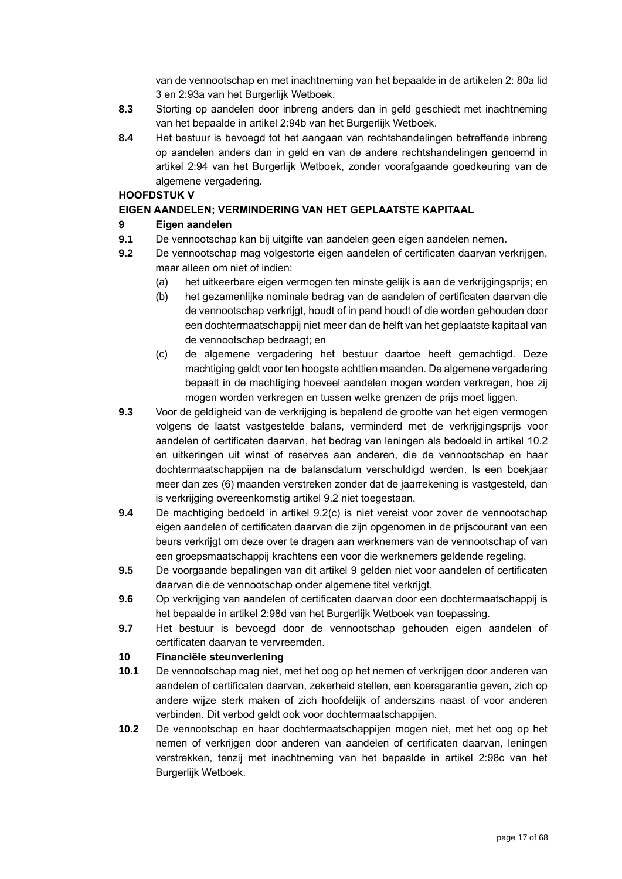van de vennootschap en met inachtneming van het bepaalde in de artikelen 2: 80a lid 3 en 2:93a van het Burgerlijk Wetboek.

- **8.3** Storting op aandelen door inbreng anders dan in geld geschiedt met inachtneming van het bepaalde in artikel 2:94b van het Burgerlijk Wetboek.
- **8.4** Het bestuur is bevoegd tot het aangaan van rechtshandelingen betreffende inbreng op aandelen anders dan in geld en van de andere rechtshandelingen genoemd in artikel 2:94 van het Burgerlijk Wetboek, zonder voorafgaande goedkeuring van de algemene vergadering.

## **HOOFDSTUK V**

## **EIGEN AANDELEN; VERMINDERING VAN HET GEPLAATSTE KAPITAAL**

## <span id="page-16-2"></span>**9 Eigen aandelen**

- **9.1** De vennootschap kan bij uitgifte van aandelen geen eigen aandelen nemen.
- <span id="page-16-1"></span>**9.2** De vennootschap mag volgestorte eigen aandelen of certificaten daarvan verkrijgen, maar alleen om niet of indien:
	- (a) het uitkeerbare eigen vermogen ten minste gelijk is aan de verkrijgingsprijs; en
	- (b) het gezamenlijke nominale bedrag van de aandelen of certificaten daarvan die de vennootschap verkrijgt, houdt of in pand houdt of die worden gehouden door een dochtermaatschappij niet meer dan de helft van het geplaatste kapitaal van de vennootschap bedraagt; en
	- (c) de algemene vergadering het bestuur daartoe heeft gemachtigd. Deze machtiging geldt voor ten hoogste achttien maanden. De algemene vergadering bepaalt in de machtiging hoeveel aandelen mogen worden verkregen, hoe zij mogen worden verkregen en tussen welke grenzen de prijs moet liggen.
- **9.3** Voor de geldigheid van de verkrijging is bepalend de grootte van het eigen vermogen volgens de laatst vastgestelde balans, verminderd met de verkrijgingsprijs voor aandelen of certificaten daarvan, het bedrag van leningen als bedoeld in artikel [10.2](#page-16-0) en uitkeringen uit winst of reserves aan anderen, die de vennootschap en haar dochtermaatschappijen na de balansdatum verschuldigd werden. Is een boekjaar meer dan zes (6) maanden verstreken zonder dat de jaarrekening is vastgesteld, dan is verkrijging overeenkomstig artikel [9.2](#page-16-1) niet toegestaan.
- **9.4** De machtiging bedoeld in artikel 9.2(c) is niet vereist voor zover de vennootschap eigen aandelen of certificaten daarvan die zijn opgenomen in de prijscourant van een beurs verkrijgt om deze over te dragen aan werknemers van de vennootschap of van een groepsmaatschappij krachtens een voor die werknemers geldende regeling.
- **9.5** De voorgaande bepalingen van dit artikel [9](#page-16-2) gelden niet voor aandelen of certificaten daarvan die de vennootschap onder algemene titel verkrijgt.
- **9.6** Op verkrijging van aandelen of certificaten daarvan door een dochtermaatschappij is het bepaalde in artikel 2:98d van het Burgerlijk Wetboek van toepassing.
- **9.7** Het bestuur is bevoegd door de vennootschap gehouden eigen aandelen of certificaten daarvan te vervreemden.

## **10 Financiële steunverlening**

- <span id="page-16-3"></span>**10.1** De vennootschap mag niet, met het oog op het nemen of verkrijgen door anderen van aandelen of certificaten daarvan, zekerheid stellen, een koersgarantie geven, zich op andere wijze sterk maken of zich hoofdelijk of anderszins naast of voor anderen verbinden. Dit verbod geldt ook voor dochtermaatschappijen.
- <span id="page-16-0"></span>**10.2** De vennootschap en haar dochtermaatschappijen mogen niet, met het oog op het nemen of verkrijgen door anderen van aandelen of certificaten daarvan, leningen verstrekken, tenzij met inachtneming van het bepaalde in artikel 2:98c van het Burgerlijk Wetboek.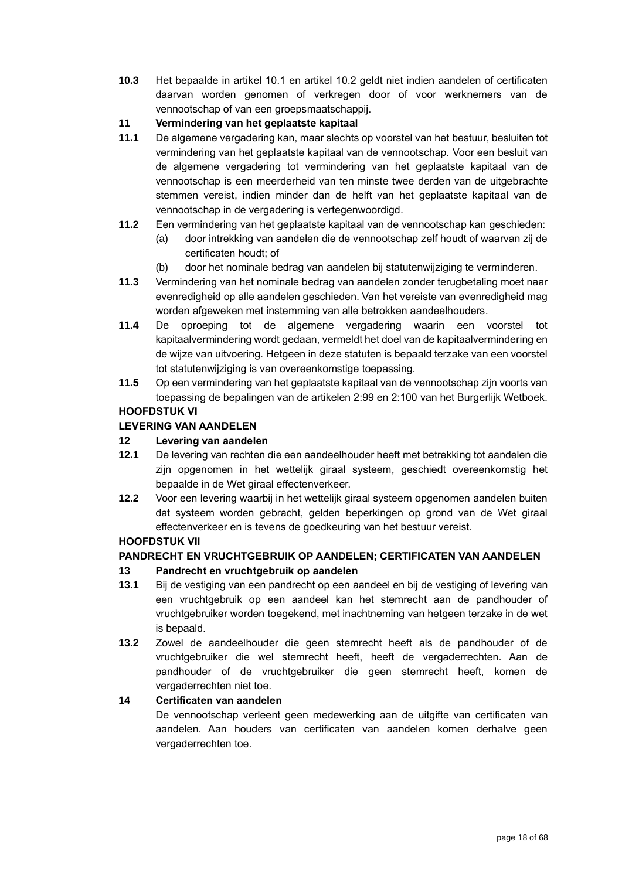**10.3** Het bepaalde in artikel [10.1](#page-16-3) en artikel [10.2](#page-16-0) geldt niet indien aandelen of certificaten daarvan worden genomen of verkregen door of voor werknemers van de vennootschap of van een groepsmaatschappij.

## **11 Vermindering van het geplaatste kapitaal**

- **11.1** De algemene vergadering kan, maar slechts op voorstel van het bestuur, besluiten tot vermindering van het geplaatste kapitaal van de vennootschap. Voor een besluit van de algemene vergadering tot vermindering van het geplaatste kapitaal van de vennootschap is een meerderheid van ten minste twee derden van de uitgebrachte stemmen vereist, indien minder dan de helft van het geplaatste kapitaal van de vennootschap in de vergadering is vertegenwoordigd.
- **11.2** Een vermindering van het geplaatste kapitaal van de vennootschap kan geschieden:
	- (a) door intrekking van aandelen die de vennootschap zelf houdt of waarvan zij de certificaten houdt; of
	- (b) door het nominale bedrag van aandelen bij statutenwijziging te verminderen.
- **11.3** Vermindering van het nominale bedrag van aandelen zonder terugbetaling moet naar evenredigheid op alle aandelen geschieden. Van het vereiste van evenredigheid mag worden afgeweken met instemming van alle betrokken aandeelhouders.
- 11.4 De oproeping tot de algemene vergadering waarin een voorstel kapitaalvermindering wordt gedaan, vermeldt het doel van de kapitaalvermindering en de wijze van uitvoering. Hetgeen in deze statuten is bepaald terzake van een voorstel tot statutenwijziging is van overeenkomstige toepassing.
- **11.5** Op een vermindering van het geplaatste kapitaal van de vennootschap zijn voorts van toepassing de bepalingen van de artikelen 2:99 en 2:100 van het Burgerlijk Wetboek.

## **HOOFDSTUK VI**

## **LEVERING VAN AANDELEN**

## **12 Levering van aandelen**

- **12.1** De levering van rechten die een aandeelhouder heeft met betrekking tot aandelen die zijn opgenomen in het wettelijk giraal systeem, geschiedt overeenkomstig het bepaalde in de Wet giraal effectenverkeer.
- **12.2** Voor een levering waarbij in het wettelijk giraal systeem opgenomen aandelen buiten dat systeem worden gebracht, gelden beperkingen op grond van de Wet giraal effectenverkeer en is tevens de goedkeuring van het bestuur vereist.

## **HOOFDSTUK VII**

## **PANDRECHT EN VRUCHTGEBRUIK OP AANDELEN; CERTIFICATEN VAN AANDELEN**

## <span id="page-17-0"></span>**13 Pandrecht en vruchtgebruik op aandelen**

- **13.1** Bij de vestiging van een pandrecht op een aandeel en bij de vestiging of levering van een vruchtgebruik op een aandeel kan het stemrecht aan de pandhouder of vruchtgebruiker worden toegekend, met inachtneming van hetgeen terzake in de wet is bepaald.
- **13.2** Zowel de aandeelhouder die geen stemrecht heeft als de pandhouder of de vruchtgebruiker die wel stemrecht heeft, heeft de vergaderrechten. Aan de pandhouder of de vruchtgebruiker die geen stemrecht heeft, komen de vergaderrechten niet toe.

## **14 Certificaten van aandelen**

De vennootschap verleent geen medewerking aan de uitgifte van certificaten van aandelen. Aan houders van certificaten van aandelen komen derhalve geen vergaderrechten toe.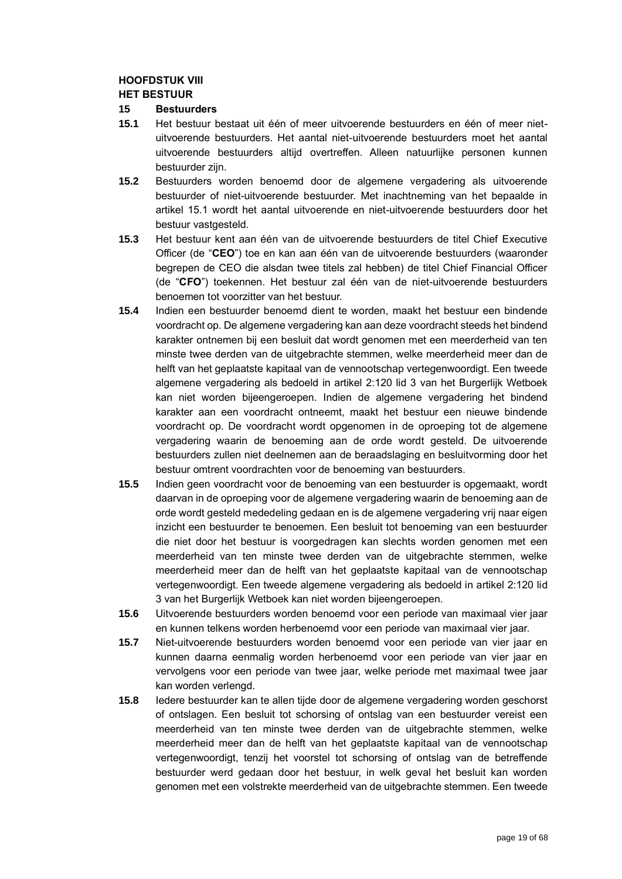### **HOOFDSTUK VIII**

### **HET BESTUUR**

### **15 Bestuurders**

- <span id="page-18-1"></span>**15.1** Het bestuur bestaat uit één of meer uitvoerende bestuurders en één of meer nietuitvoerende bestuurders. Het aantal niet-uitvoerende bestuurders moet het aantal uitvoerende bestuurders altijd overtreffen. Alleen natuurlijke personen kunnen bestuurder zijn.
- **15.2** Bestuurders worden benoemd door de algemene vergadering als uitvoerende bestuurder of niet-uitvoerende bestuurder. Met inachtneming van het bepaalde in artikel [15.1](#page-18-1) wordt het aantal uitvoerende en niet-uitvoerende bestuurders door het bestuur vastgesteld.
- <span id="page-18-0"></span>**15.3** Het bestuur kent aan één van de uitvoerende bestuurders de titel Chief Executive Officer (de "**CEO**") toe en kan aan één van de uitvoerende bestuurders (waaronder begrepen de CEO die alsdan twee titels zal hebben) de titel Chief Financial Officer (de "**CFO**") toekennen. Het bestuur zal één van de niet-uitvoerende bestuurders benoemen tot voorzitter van het bestuur.
- **15.4** Indien een bestuurder benoemd dient te worden, maakt het bestuur een bindende voordracht op. De algemene vergadering kan aan deze voordracht steeds het bindend karakter ontnemen bij een besluit dat wordt genomen met een meerderheid van ten minste twee derden van de uitgebrachte stemmen, welke meerderheid meer dan de helft van het geplaatste kapitaal van de vennootschap vertegenwoordigt. Een tweede algemene vergadering als bedoeld in artikel 2:120 lid 3 van het Burgerlijk Wetboek kan niet worden bijeengeroepen. Indien de algemene vergadering het bindend karakter aan een voordracht ontneemt, maakt het bestuur een nieuwe bindende voordracht op. De voordracht wordt opgenomen in de oproeping tot de algemene vergadering waarin de benoeming aan de orde wordt gesteld. De uitvoerende bestuurders zullen niet deelnemen aan de beraadslaging en besluitvorming door het bestuur omtrent voordrachten voor de benoeming van bestuurders.
- **15.5** Indien geen voordracht voor de benoeming van een bestuurder is opgemaakt, wordt daarvan in de oproeping voor de algemene vergadering waarin de benoeming aan de orde wordt gesteld mededeling gedaan en is de algemene vergadering vrij naar eigen inzicht een bestuurder te benoemen. Een besluit tot benoeming van een bestuurder die niet door het bestuur is voorgedragen kan slechts worden genomen met een meerderheid van ten minste twee derden van de uitgebrachte stemmen, welke meerderheid meer dan de helft van het geplaatste kapitaal van de vennootschap vertegenwoordigt. Een tweede algemene vergadering als bedoeld in artikel 2:120 lid 3 van het Burgerlijk Wetboek kan niet worden bijeengeroepen.
- **15.6** Uitvoerende bestuurders worden benoemd voor een periode van maximaal vier jaar en kunnen telkens worden herbenoemd voor een periode van maximaal vier jaar.
- **15.7** Niet-uitvoerende bestuurders worden benoemd voor een periode van vier jaar en kunnen daarna eenmalig worden herbenoemd voor een periode van vier jaar en vervolgens voor een periode van twee jaar, welke periode met maximaal twee jaar kan worden verlengd.
- **15.8** Iedere bestuurder kan te allen tijde door de algemene vergadering worden geschorst of ontslagen. Een besluit tot schorsing of ontslag van een bestuurder vereist een meerderheid van ten minste twee derden van de uitgebrachte stemmen, welke meerderheid meer dan de helft van het geplaatste kapitaal van de vennootschap vertegenwoordigt, tenzij het voorstel tot schorsing of ontslag van de betreffende bestuurder werd gedaan door het bestuur, in welk geval het besluit kan worden genomen met een volstrekte meerderheid van de uitgebrachte stemmen. Een tweede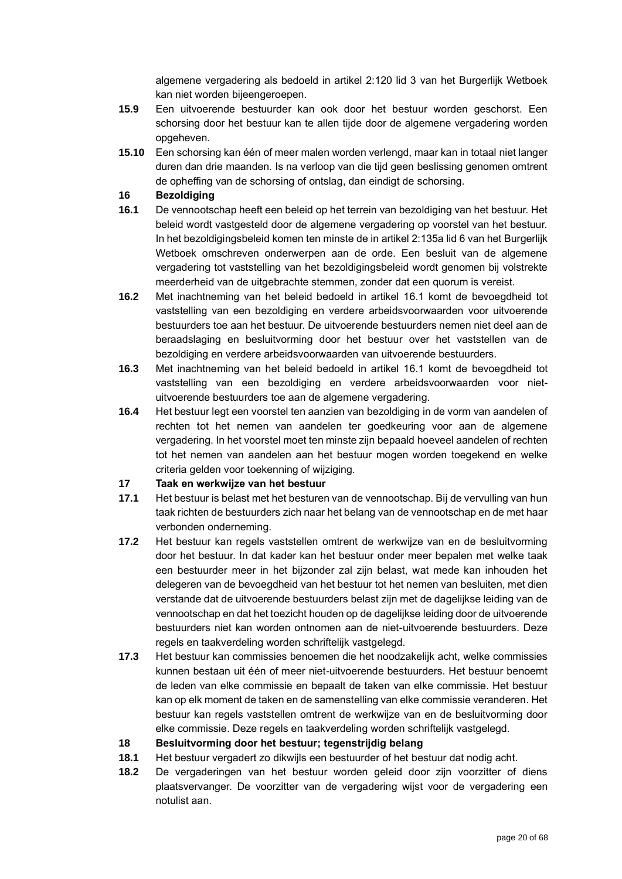algemene vergadering als bedoeld in artikel 2:120 lid 3 van het Burgerlijk Wetboek kan niet worden bijeengeroepen.

- **15.9** Een uitvoerende bestuurder kan ook door het bestuur worden geschorst. Een schorsing door het bestuur kan te allen tijde door de algemene vergadering worden opgeheven.
- **15.10** Een schorsing kan één of meer malen worden verlengd, maar kan in totaal niet langer duren dan drie maanden. Is na verloop van die tijd geen beslissing genomen omtrent de opheffing van de schorsing of ontslag, dan eindigt de schorsing.

## **16 Bezoldiging**

- <span id="page-19-0"></span>**16.1** De vennootschap heeft een beleid op het terrein van bezoldiging van het bestuur. Het beleid wordt vastgesteld door de algemene vergadering op voorstel van het bestuur. In het bezoldigingsbeleid komen ten minste de in artikel 2:135a lid 6 van het Burgerlijk Wetboek omschreven onderwerpen aan de orde. Een besluit van de algemene vergadering tot vaststelling van het bezoldigingsbeleid wordt genomen bij volstrekte meerderheid van de uitgebrachte stemmen, zonder dat een quorum is vereist.
- **16.2** Met inachtneming van het beleid bedoeld in artikel [16.1](#page-19-0) komt de bevoegdheid tot vaststelling van een bezoldiging en verdere arbeidsvoorwaarden voor uitvoerende bestuurders toe aan het bestuur. De uitvoerende bestuurders nemen niet deel aan de beraadslaging en besluitvorming door het bestuur over het vaststellen van de bezoldiging en verdere arbeidsvoorwaarden van uitvoerende bestuurders.
- **16.3** Met inachtneming van het beleid bedoeld in artikel [16.1](#page-19-0) komt de bevoegdheid tot vaststelling van een bezoldiging en verdere arbeidsvoorwaarden voor nietuitvoerende bestuurders toe aan de algemene vergadering.
- **16.4** Het bestuur legt een voorstel ten aanzien van bezoldiging in de vorm van aandelen of rechten tot het nemen van aandelen ter goedkeuring voor aan de algemene vergadering. In het voorstel moet ten minste zijn bepaald hoeveel aandelen of rechten tot het nemen van aandelen aan het bestuur mogen worden toegekend en welke criteria gelden voor toekenning of wijziging.

## **17 Taak en werkwijze van het bestuur**

- **17.1** Het bestuur is belast met het besturen van de vennootschap. Bij de vervulling van hun taak richten de bestuurders zich naar het belang van de vennootschap en de met haar verbonden onderneming.
- <span id="page-19-1"></span>**17.2** Het bestuur kan regels vaststellen omtrent de werkwijze van en de besluitvorming door het bestuur. In dat kader kan het bestuur onder meer bepalen met welke taak een bestuurder meer in het bijzonder zal zijn belast, wat mede kan inhouden het delegeren van de bevoegdheid van het bestuur tot het nemen van besluiten, met dien verstande dat de uitvoerende bestuurders belast zijn met de dagelijkse leiding van de vennootschap en dat het toezicht houden op de dagelijkse leiding door de uitvoerende bestuurders niet kan worden ontnomen aan de niet-uitvoerende bestuurders. Deze regels en taakverdeling worden schriftelijk vastgelegd.
- **17.3** Het bestuur kan commissies benoemen die het noodzakelijk acht, welke commissies kunnen bestaan uit één of meer niet-uitvoerende bestuurders. Het bestuur benoemt de leden van elke commissie en bepaalt de taken van elke commissie. Het bestuur kan op elk moment de taken en de samenstelling van elke commissie veranderen. Het bestuur kan regels vaststellen omtrent de werkwijze van en de besluitvorming door elke commissie. Deze regels en taakverdeling worden schriftelijk vastgelegd.

## **18 Besluitvorming door het bestuur; tegenstrijdig belang**

- **18.1** Het bestuur vergadert zo dikwijls een bestuurder of het bestuur dat nodig acht.
- **18.2** De vergaderingen van het bestuur worden geleid door zijn voorzitter of diens plaatsvervanger. De voorzitter van de vergadering wijst voor de vergadering een notulist aan.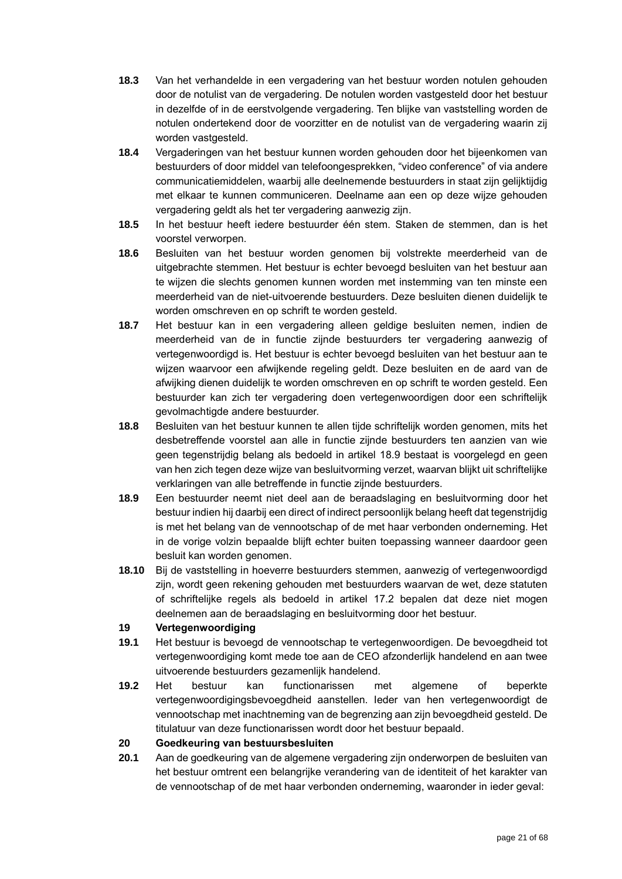- **18.3** Van het verhandelde in een vergadering van het bestuur worden notulen gehouden door de notulist van de vergadering. De notulen worden vastgesteld door het bestuur in dezelfde of in de eerstvolgende vergadering. Ten blijke van vaststelling worden de notulen ondertekend door de voorzitter en de notulist van de vergadering waarin zij worden vastgesteld.
- **18.4** Vergaderingen van het bestuur kunnen worden gehouden door het bijeenkomen van bestuurders of door middel van telefoongesprekken, "video conference" of via andere communicatiemiddelen, waarbij alle deelnemende bestuurders in staat zijn gelijktijdig met elkaar te kunnen communiceren. Deelname aan een op deze wijze gehouden vergadering geldt als het ter vergadering aanwezig zijn.
- **18.5** In het bestuur heeft iedere bestuurder één stem. Staken de stemmen, dan is het voorstel verworpen.
- **18.6** Besluiten van het bestuur worden genomen bij volstrekte meerderheid van de uitgebrachte stemmen. Het bestuur is echter bevoegd besluiten van het bestuur aan te wijzen die slechts genomen kunnen worden met instemming van ten minste een meerderheid van de niet-uitvoerende bestuurders. Deze besluiten dienen duidelijk te worden omschreven en op schrift te worden gesteld.
- **18.7** Het bestuur kan in een vergadering alleen geldige besluiten nemen, indien de meerderheid van de in functie zijnde bestuurders ter vergadering aanwezig of vertegenwoordigd is. Het bestuur is echter bevoegd besluiten van het bestuur aan te wijzen waarvoor een afwijkende regeling geldt. Deze besluiten en de aard van de afwijking dienen duidelijk te worden omschreven en op schrift te worden gesteld. Een bestuurder kan zich ter vergadering doen vertegenwoordigen door een schriftelijk gevolmachtigde andere bestuurder.
- **18.8** Besluiten van het bestuur kunnen te allen tijde schriftelijk worden genomen, mits het desbetreffende voorstel aan alle in functie zijnde bestuurders ten aanzien van wie geen tegenstrijdig belang als bedoeld in artikel [18.9](#page-20-0) bestaat is voorgelegd en geen van hen zich tegen deze wijze van besluitvorming verzet, waarvan blijkt uit schriftelijke verklaringen van alle betreffende in functie zijnde bestuurders.
- <span id="page-20-0"></span>**18.9** Een bestuurder neemt niet deel aan de beraadslaging en besluitvorming door het bestuur indien hij daarbij een direct of indirect persoonlijk belang heeft dat tegenstrijdig is met het belang van de vennootschap of de met haar verbonden onderneming. Het in de vorige volzin bepaalde blijft echter buiten toepassing wanneer daardoor geen besluit kan worden genomen.
- **18.10** Bij de vaststelling in hoeverre bestuurders stemmen, aanwezig of vertegenwoordigd zijn, wordt geen rekening gehouden met bestuurders waarvan de wet, deze statuten of schriftelijke regels als bedoeld in artikel [17.2](#page-19-1) bepalen dat deze niet mogen deelnemen aan de beraadslaging en besluitvorming door het bestuur.

## **19 Vertegenwoordiging**

- **19.1** Het bestuur is bevoegd de vennootschap te vertegenwoordigen. De bevoegdheid tot vertegenwoordiging komt mede toe aan de CEO afzonderlijk handelend en aan twee uitvoerende bestuurders gezamenlijk handelend.
- **19.2** Het bestuur kan functionarissen met algemene of beperkte vertegenwoordigingsbevoegdheid aanstellen. Ieder van hen vertegenwoordigt de vennootschap met inachtneming van de begrenzing aan zijn bevoegdheid gesteld. De titulatuur van deze functionarissen wordt door het bestuur bepaald.

## **20 Goedkeuring van bestuursbesluiten**

<span id="page-20-1"></span>**20.1** Aan de goedkeuring van de algemene vergadering zijn onderworpen de besluiten van het bestuur omtrent een belangrijke verandering van de identiteit of het karakter van de vennootschap of de met haar verbonden onderneming, waaronder in ieder geval: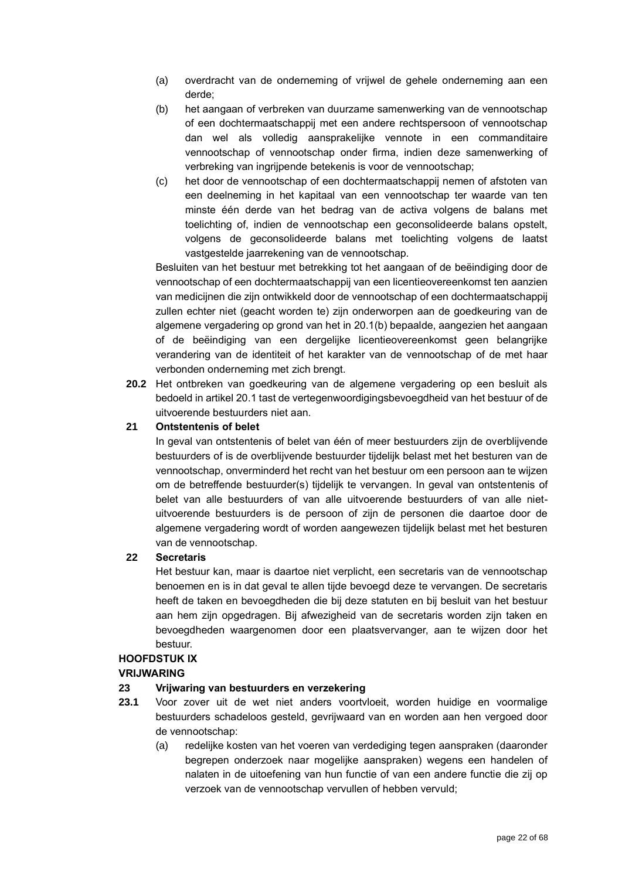- (a) overdracht van de onderneming of vrijwel de gehele onderneming aan een derde;
- <span id="page-21-1"></span>(b) het aangaan of verbreken van duurzame samenwerking van de vennootschap of een dochtermaatschappij met een andere rechtspersoon of vennootschap dan wel als volledig aansprakelijke vennote in een commanditaire vennootschap of vennootschap onder firma, indien deze samenwerking of verbreking van ingrijpende betekenis is voor de vennootschap;
- (c) het door de vennootschap of een dochtermaatschappij nemen of afstoten van een deelneming in het kapitaal van een vennootschap ter waarde van ten minste één derde van het bedrag van de activa volgens de balans met toelichting of, indien de vennootschap een geconsolideerde balans opstelt, volgens de geconsolideerde balans met toelichting volgens de laatst vastgestelde jaarrekening van de vennootschap.

Besluiten van het bestuur met betrekking tot het aangaan of de beëindiging door de vennootschap of een dochtermaatschappij van een licentieovereenkomst ten aanzien van medicijnen die zijn ontwikkeld door de vennootschap of een dochtermaatschappij zullen echter niet (geacht worden te) zijn onderworpen aan de goedkeuring van de algemene vergadering op grond van het in [20.1](#page-20-1)[\(b\)](#page-21-1) bepaalde, aangezien het aangaan of de beëindiging van een dergelijke licentieovereenkomst geen belangrijke verandering van de identiteit of het karakter van de vennootschap of de met haar verbonden onderneming met zich brengt.

**20.2** Het ontbreken van goedkeuring van de algemene vergadering op een besluit als bedoeld in artikel [20.1](#page-20-1) tast de vertegenwoordigingsbevoegdheid van het bestuur of de uitvoerende bestuurders niet aan.

## **21 Ontstentenis of belet**

In geval van ontstentenis of belet van één of meer bestuurders zijn de overblijvende bestuurders of is de overblijvende bestuurder tijdelijk belast met het besturen van de vennootschap, onverminderd het recht van het bestuur om een persoon aan te wijzen om de betreffende bestuurder(s) tijdelijk te vervangen. In geval van ontstentenis of belet van alle bestuurders of van alle uitvoerende bestuurders of van alle nietuitvoerende bestuurders is de persoon of zijn de personen die daartoe door de algemene vergadering wordt of worden aangewezen tijdelijk belast met het besturen van de vennootschap.

## <span id="page-21-0"></span>**22 Secretaris**

Het bestuur kan, maar is daartoe niet verplicht, een secretaris van de vennootschap benoemen en is in dat geval te allen tijde bevoegd deze te vervangen. De secretaris heeft de taken en bevoegdheden die bij deze statuten en bij besluit van het bestuur aan hem zijn opgedragen. Bij afwezigheid van de secretaris worden zijn taken en bevoegdheden waargenomen door een plaatsvervanger, aan te wijzen door het bestuur.

## **HOOFDSTUK IX**

## **VRIJWARING**

## <span id="page-21-2"></span>**23 Vrijwaring van bestuurders en verzekering**

- <span id="page-21-3"></span>**23.1** Voor zover uit de wet niet anders voortvloeit, worden huidige en voormalige bestuurders schadeloos gesteld, gevrijwaard van en worden aan hen vergoed door de vennootschap:
	- (a) redelijke kosten van het voeren van verdediging tegen aanspraken (daaronder begrepen onderzoek naar mogelijke aanspraken) wegens een handelen of nalaten in de uitoefening van hun functie of van een andere functie die zij op verzoek van de vennootschap vervullen of hebben vervuld;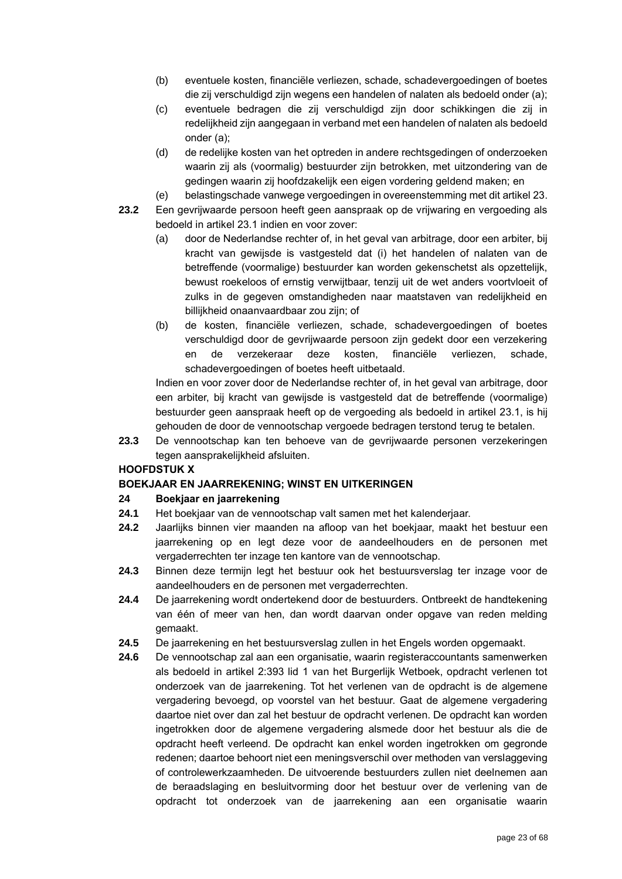- (b) eventuele kosten, financiële verliezen, schade, schadevergoedingen of boetes die zij verschuldigd zijn wegens een handelen of nalaten als bedoeld onder (a);
- (c) eventuele bedragen die zij verschuldigd zijn door schikkingen die zij in redelijkheid zijn aangegaan in verband met een handelen of nalaten als bedoeld onder (a);
- (d) de redelijke kosten van het optreden in andere rechtsgedingen of onderzoeken waarin zij als (voormalig) bestuurder zijn betrokken, met uitzondering van de gedingen waarin zij hoofdzakelijk een eigen vordering geldend maken; en
- (e) belastingschade vanwege vergoedingen in overeenstemming met dit artikel [23.](#page-21-2)
- **23.2** Een gevrijwaarde persoon heeft geen aanspraak op de vrijwaring en vergoeding als bedoeld in artikel [23.1](#page-21-3) indien en voor zover:
	- (a) door de Nederlandse rechter of, in het geval van arbitrage, door een arbiter, bij kracht van gewijsde is vastgesteld dat (i) het handelen of nalaten van de betreffende (voormalige) bestuurder kan worden gekenschetst als opzettelijk, bewust roekeloos of ernstig verwijtbaar, tenzij uit de wet anders voortvloeit of zulks in de gegeven omstandigheden naar maatstaven van redelijkheid en billijkheid onaanvaardbaar zou zijn; of
	- (b) de kosten, financiële verliezen, schade, schadevergoedingen of boetes verschuldigd door de gevrijwaarde persoon zijn gedekt door een verzekering en de verzekeraar deze kosten, financiële verliezen, schade, schadevergoedingen of boetes heeft uitbetaald.

Indien en voor zover door de Nederlandse rechter of, in het geval van arbitrage, door een arbiter, bij kracht van gewijsde is vastgesteld dat de betreffende (voormalige) bestuurder geen aanspraak heeft op de vergoeding als bedoeld in artikel [23.1,](#page-21-3) is hij gehouden de door de vennootschap vergoede bedragen terstond terug te betalen.

**23.3** De vennootschap kan ten behoeve van de gevrijwaarde personen verzekeringen tegen aansprakelijkheid afsluiten.

## **HOOFDSTUK X**

## **BOEKJAAR EN JAARREKENING; WINST EN UITKERINGEN**

## **24 Boekjaar en jaarrekening**

- **24.1** Het boekjaar van de vennootschap valt samen met het kalenderjaar.
- **24.2** Jaarlijks binnen vier maanden na afloop van het boekjaar, maakt het bestuur een jaarrekening op en legt deze voor de aandeelhouders en de personen met vergaderrechten ter inzage ten kantore van de vennootschap.
- **24.3** Binnen deze termijn legt het bestuur ook het bestuursverslag ter inzage voor de aandeelhouders en de personen met vergaderrechten.
- **24.4** De jaarrekening wordt ondertekend door de bestuurders. Ontbreekt de handtekening van één of meer van hen, dan wordt daarvan onder opgave van reden melding gemaakt.
- **24.5** De jaarrekening en het bestuursverslag zullen in het Engels worden opgemaakt.
- **24.6** De vennootschap zal aan een organisatie, waarin registeraccountants samenwerken als bedoeld in artikel 2:393 lid 1 van het Burgerlijk Wetboek, opdracht verlenen tot onderzoek van de jaarrekening. Tot het verlenen van de opdracht is de algemene vergadering bevoegd, op voorstel van het bestuur. Gaat de algemene vergadering daartoe niet over dan zal het bestuur de opdracht verlenen. De opdracht kan worden ingetrokken door de algemene vergadering alsmede door het bestuur als die de opdracht heeft verleend. De opdracht kan enkel worden ingetrokken om gegronde redenen; daartoe behoort niet een meningsverschil over methoden van verslaggeving of controlewerkzaamheden. De uitvoerende bestuurders zullen niet deelnemen aan de beraadslaging en besluitvorming door het bestuur over de verlening van de opdracht tot onderzoek van de jaarrekening aan een organisatie waarin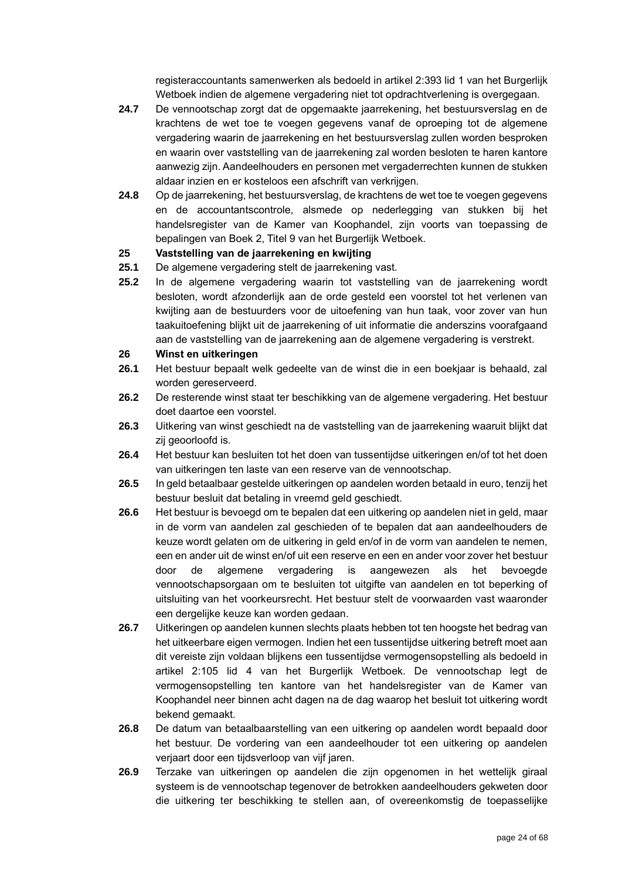registeraccountants samenwerken als bedoeld in artikel 2:393 lid 1 van het Burgerlijk Wetboek indien de algemene vergadering niet tot opdrachtverlening is overgegaan.

- **24.7** De vennootschap zorgt dat de opgemaakte jaarrekening, het bestuursverslag en de krachtens de wet toe te voegen gegevens vanaf de oproeping tot de algemene vergadering waarin de jaarrekening en het bestuursverslag zullen worden besproken en waarin over vaststelling van de jaarrekening zal worden besloten te haren kantore aanwezig zijn. Aandeelhouders en personen met vergaderrechten kunnen de stukken aldaar inzien en er kosteloos een afschrift van verkrijgen.
- **24.8** Op de jaarrekening, het bestuursverslag, de krachtens de wet toe te voegen gegevens en de accountantscontrole, alsmede op nederlegging van stukken bij het handelsregister van de Kamer van Koophandel, zijn voorts van toepassing de bepalingen van Boek 2, Titel 9 van het Burgerlijk Wetboek.

## **25 Vaststelling van de jaarrekening en kwijting**

- **25.1** De algemene vergadering stelt de jaarrekening vast.
- **25.2** In de algemene vergadering waarin tot vaststelling van de jaarrekening wordt besloten, wordt afzonderlijk aan de orde gesteld een voorstel tot het verlenen van kwijting aan de bestuurders voor de uitoefening van hun taak, voor zover van hun taakuitoefening blijkt uit de jaarrekening of uit informatie die anderszins voorafgaand aan de vaststelling van de jaarrekening aan de algemene vergadering is verstrekt.

### **26 Winst en uitkeringen**

- **26.1** Het bestuur bepaalt welk gedeelte van de winst die in een boekjaar is behaald, zal worden gereserveerd.
- **26.2** De resterende winst staat ter beschikking van de algemene vergadering. Het bestuur doet daartoe een voorstel.
- **26.3** Uitkering van winst geschiedt na de vaststelling van de jaarrekening waaruit blijkt dat zij geoorloofd is.
- **26.4** Het bestuur kan besluiten tot het doen van tussentijdse uitkeringen en/of tot het doen van uitkeringen ten laste van een reserve van de vennootschap.
- **26.5** In geld betaalbaar gestelde uitkeringen op aandelen worden betaald in euro, tenzij het bestuur besluit dat betaling in vreemd geld geschiedt.
- **26.6** Het bestuur is bevoegd om te bepalen dat een uitkering op aandelen niet in geld, maar in de vorm van aandelen zal geschieden of te bepalen dat aan aandeelhouders de keuze wordt gelaten om de uitkering in geld en/of in de vorm van aandelen te nemen, een en ander uit de winst en/of uit een reserve en een en ander voor zover het bestuur door de algemene vergadering is aangewezen als het bevoegde vennootschapsorgaan om te besluiten tot uitgifte van aandelen en tot beperking of uitsluiting van het voorkeursrecht. Het bestuur stelt de voorwaarden vast waaronder een dergelijke keuze kan worden gedaan.
- **26.7** Uitkeringen op aandelen kunnen slechts plaats hebben tot ten hoogste het bedrag van het uitkeerbare eigen vermogen. Indien het een tussentijdse uitkering betreft moet aan dit vereiste zijn voldaan blijkens een tussentijdse vermogensopstelling als bedoeld in artikel 2:105 lid 4 van het Burgerlijk Wetboek. De vennootschap legt de vermogensopstelling ten kantore van het handelsregister van de Kamer van Koophandel neer binnen acht dagen na de dag waarop het besluit tot uitkering wordt bekend gemaakt.
- **26.8** De datum van betaalbaarstelling van een uitkering op aandelen wordt bepaald door het bestuur. De vordering van een aandeelhouder tot een uitkering op aandelen verjaart door een tijdsverloop van vijf jaren.
- **26.9** Terzake van uitkeringen op aandelen die zijn opgenomen in het wettelijk giraal systeem is de vennootschap tegenover de betrokken aandeelhouders gekweten door die uitkering ter beschikking te stellen aan, of overeenkomstig de toepasselijke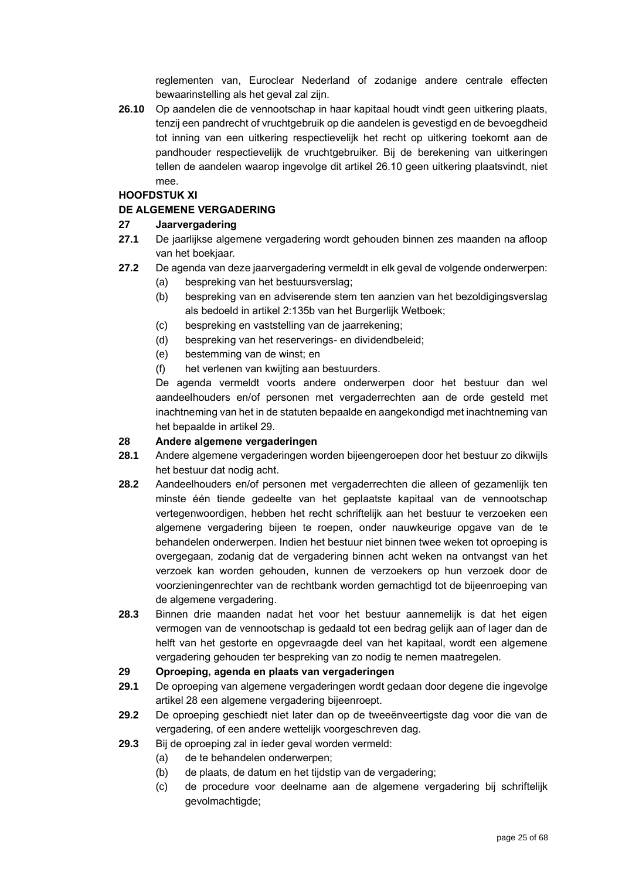reglementen van, Euroclear Nederland of zodanige andere centrale effecten bewaarinstelling als het geval zal zijn.

<span id="page-24-0"></span>**26.10** Op aandelen die de vennootschap in haar kapitaal houdt vindt geen uitkering plaats, tenzij een pandrecht of vruchtgebruik op die aandelen is gevestigd en de bevoegdheid tot inning van een uitkering respectievelijk het recht op uitkering toekomt aan de pandhouder respectievelijk de vruchtgebruiker. Bij de berekening van uitkeringen tellen de aandelen waarop ingevolge dit artikel [26.10](#page-24-0) geen uitkering plaatsvindt, niet mee.

## **HOOFDSTUK XI**

## **DE ALGEMENE VERGADERING**

## **27 Jaarvergadering**

- **27.1** De jaarlijkse algemene vergadering wordt gehouden binnen zes maanden na afloop van het boekjaar.
- **27.2** De agenda van deze jaarvergadering vermeldt in elk geval de volgende onderwerpen:
	- (a) bespreking van het bestuursverslag;
	- (b) bespreking van en adviserende stem ten aanzien van het bezoldigingsverslag als bedoeld in artikel 2:135b van het Burgerlijk Wetboek;
	- (c) bespreking en vaststelling van de jaarrekening;
	- (d) bespreking van het reserverings- en dividendbeleid;
	- (e) bestemming van de winst; en
	- (f) het verlenen van kwijting aan bestuurders.

De agenda vermeldt voorts andere onderwerpen door het bestuur dan wel aandeelhouders en/of personen met vergaderrechten aan de orde gesteld met inachtneming van het in de statuten bepaalde en aangekondigd met inachtneming van het bepaalde in artikel [29.](#page-24-1)

## <span id="page-24-2"></span>**28 Andere algemene vergaderingen**

- **28.1** Andere algemene vergaderingen worden bijeengeroepen door het bestuur zo dikwijls het bestuur dat nodig acht.
- **28.2** Aandeelhouders en/of personen met vergaderrechten die alleen of gezamenlijk ten minste één tiende gedeelte van het geplaatste kapitaal van de vennootschap vertegenwoordigen, hebben het recht schriftelijk aan het bestuur te verzoeken een algemene vergadering bijeen te roepen, onder nauwkeurige opgave van de te behandelen onderwerpen. Indien het bestuur niet binnen twee weken tot oproeping is overgegaan, zodanig dat de vergadering binnen acht weken na ontvangst van het verzoek kan worden gehouden, kunnen de verzoekers op hun verzoek door de voorzieningenrechter van de rechtbank worden gemachtigd tot de bijeenroeping van de algemene vergadering.
- **28.3** Binnen drie maanden nadat het voor het bestuur aannemelijk is dat het eigen vermogen van de vennootschap is gedaald tot een bedrag gelijk aan of lager dan de helft van het gestorte en opgevraagde deel van het kapitaal, wordt een algemene vergadering gehouden ter bespreking van zo nodig te nemen maatregelen.

## <span id="page-24-1"></span>**29 Oproeping, agenda en plaats van vergaderingen**

- **29.1** De oproeping van algemene vergaderingen wordt gedaan door degene die ingevolge artikel [28](#page-24-2) een algemene vergadering bijeenroept.
- **29.2** De oproeping geschiedt niet later dan op de tweeënveertigste dag voor die van de vergadering, of een andere wettelijk voorgeschreven dag.
- **29.3** Bij de oproeping zal in ieder geval worden vermeld:
	- (a) de te behandelen onderwerpen;
	- (b) de plaats, de datum en het tijdstip van de vergadering;
	- (c) de procedure voor deelname aan de algemene vergadering bij schriftelijk gevolmachtigde;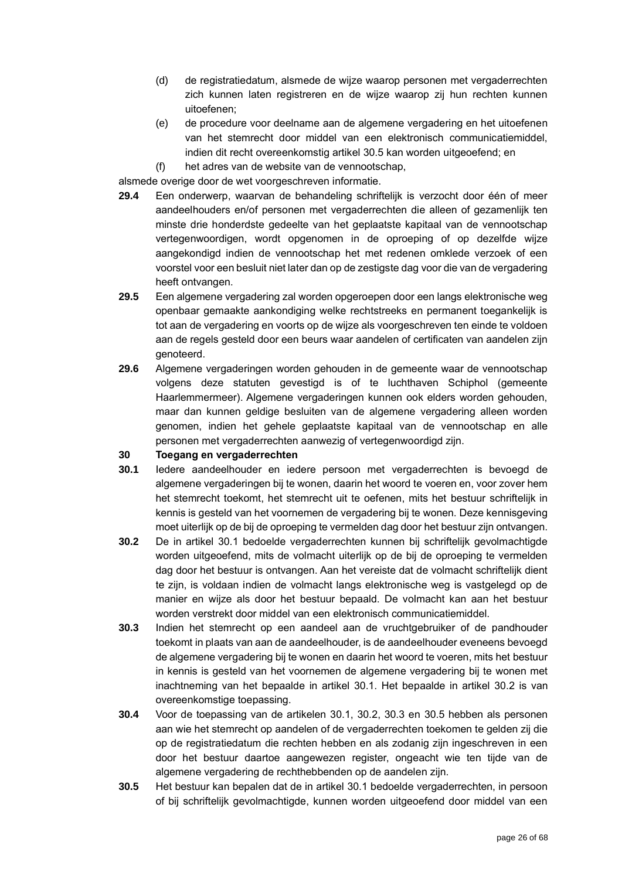- (d) de registratiedatum, alsmede de wijze waarop personen met vergaderrechten zich kunnen laten registreren en de wijze waarop zij hun rechten kunnen uitoefenen;
- (e) de procedure voor deelname aan de algemene vergadering en het uitoefenen van het stemrecht door middel van een elektronisch communicatiemiddel, indien dit recht overeenkomstig artikel [30.5](#page-25-0) kan worden uitgeoefend; en
- (f) het adres van de website van de vennootschap,

alsmede overige door de wet voorgeschreven informatie.

- **29.4** Een onderwerp, waarvan de behandeling schriftelijk is verzocht door één of meer aandeelhouders en/of personen met vergaderrechten die alleen of gezamenlijk ten minste drie honderdste gedeelte van het geplaatste kapitaal van de vennootschap vertegenwoordigen, wordt opgenomen in de oproeping of op dezelfde wijze aangekondigd indien de vennootschap het met redenen omklede verzoek of een voorstel voor een besluit niet later dan op de zestigste dag voor die van de vergadering heeft ontvangen.
- **29.5** Een algemene vergadering zal worden opgeroepen door een langs elektronische weg openbaar gemaakte aankondiging welke rechtstreeks en permanent toegankelijk is tot aan de vergadering en voorts op de wijze als voorgeschreven ten einde te voldoen aan de regels gesteld door een beurs waar aandelen of certificaten van aandelen zijn genoteerd.
- **29.6** Algemene vergaderingen worden gehouden in de gemeente waar de vennootschap volgens deze statuten gevestigd is of te luchthaven Schiphol (gemeente Haarlemmermeer). Algemene vergaderingen kunnen ook elders worden gehouden, maar dan kunnen geldige besluiten van de algemene vergadering alleen worden genomen, indien het gehele geplaatste kapitaal van de vennootschap en alle personen met vergaderrechten aanwezig of vertegenwoordigd zijn.

## **30 Toegang en vergaderrechten**

- <span id="page-25-1"></span>**30.1** Iedere aandeelhouder en iedere persoon met vergaderrechten is bevoegd de algemene vergaderingen bij te wonen, daarin het woord te voeren en, voor zover hem het stemrecht toekomt, het stemrecht uit te oefenen, mits het bestuur schriftelijk in kennis is gesteld van het voornemen de vergadering bij te wonen. Deze kennisgeving moet uiterlijk op de bij de oproeping te vermelden dag door het bestuur zijn ontvangen.
- <span id="page-25-2"></span>**30.2** De in artikel [30.1](#page-25-1) bedoelde vergaderrechten kunnen bij schriftelijk gevolmachtigde worden uitgeoefend, mits de volmacht uiterlijk op de bij de oproeping te vermelden dag door het bestuur is ontvangen. Aan het vereiste dat de volmacht schriftelijk dient te zijn, is voldaan indien de volmacht langs elektronische weg is vastgelegd op de manier en wijze als door het bestuur bepaald. De volmacht kan aan het bestuur worden verstrekt door middel van een elektronisch communicatiemiddel.
- <span id="page-25-3"></span>**30.3** Indien het stemrecht op een aandeel aan de vruchtgebruiker of de pandhouder toekomt in plaats van aan de aandeelhouder, is de aandeelhouder eveneens bevoegd de algemene vergadering bij te wonen en daarin het woord te voeren, mits het bestuur in kennis is gesteld van het voornemen de algemene vergadering bij te wonen met inachtneming van het bepaalde in artikel [30.1.](#page-25-1) Het bepaalde in artikel [30.2](#page-25-2) is van overeenkomstige toepassing.
- **30.4** Voor de toepassing van de artikelen [30.1,](#page-25-1) [30.2,](#page-25-2) [30.3](#page-25-3) en [30.5](#page-25-0) hebben als personen aan wie het stemrecht op aandelen of de vergaderrechten toekomen te gelden zij die op de registratiedatum die rechten hebben en als zodanig zijn ingeschreven in een door het bestuur daartoe aangewezen register, ongeacht wie ten tijde van de algemene vergadering de rechthebbenden op de aandelen zijn.
- <span id="page-25-0"></span>**30.5** Het bestuur kan bepalen dat de in artikel [30.1](#page-25-1) bedoelde vergaderrechten, in persoon of bij schriftelijk gevolmachtigde, kunnen worden uitgeoefend door middel van een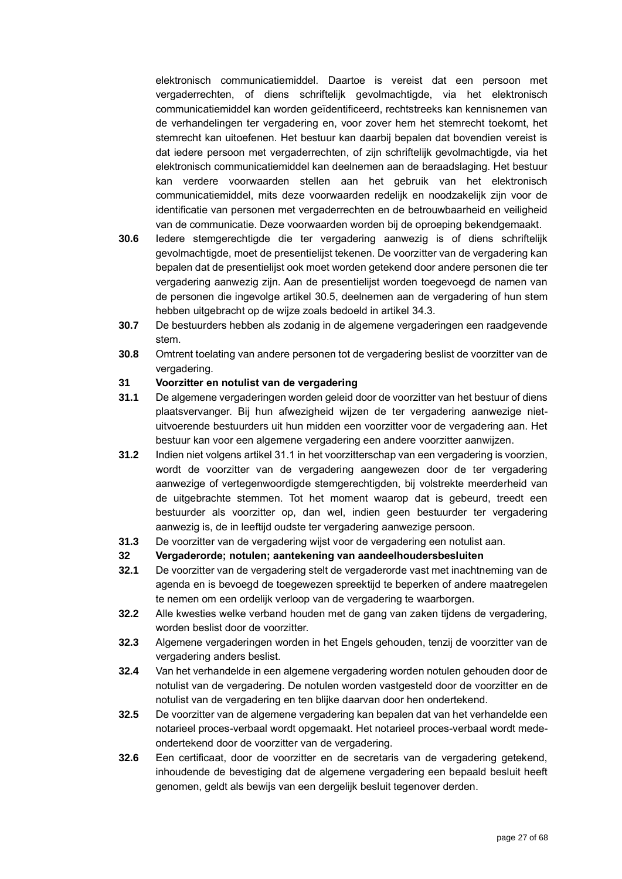elektronisch communicatiemiddel. Daartoe is vereist dat een persoon met vergaderrechten, of diens schriftelijk gevolmachtigde, via het elektronisch communicatiemiddel kan worden geïdentificeerd, rechtstreeks kan kennisnemen van de verhandelingen ter vergadering en, voor zover hem het stemrecht toekomt, het stemrecht kan uitoefenen. Het bestuur kan daarbij bepalen dat bovendien vereist is dat iedere persoon met vergaderrechten, of zijn schriftelijk gevolmachtigde, via het elektronisch communicatiemiddel kan deelnemen aan de beraadslaging. Het bestuur kan verdere voorwaarden stellen aan het gebruik van het elektronisch communicatiemiddel, mits deze voorwaarden redelijk en noodzakelijk zijn voor de identificatie van personen met vergaderrechten en de betrouwbaarheid en veiligheid van de communicatie. Deze voorwaarden worden bij de oproeping bekendgemaakt.

- **30.6** Iedere stemgerechtigde die ter vergadering aanwezig is of diens schriftelijk gevolmachtigde, moet de presentielijst tekenen. De voorzitter van de vergadering kan bepalen dat de presentielijst ook moet worden getekend door andere personen die ter vergadering aanwezig zijn. Aan de presentielijst worden toegevoegd de namen van de personen die ingevolge artikel [30.5,](#page-25-0) deelnemen aan de vergadering of hun stem hebben uitgebracht op de wijze zoals bedoeld in artikel [34.3.](#page-27-0)
- **30.7** De bestuurders hebben als zodanig in de algemene vergaderingen een raadgevende stem.
- **30.8** Omtrent toelating van andere personen tot de vergadering beslist de voorzitter van de vergadering.

### **31 Voorzitter en notulist van de vergadering**

- <span id="page-26-0"></span>**31.1** De algemene vergaderingen worden geleid door de voorzitter van het bestuur of diens plaatsvervanger. Bij hun afwezigheid wijzen de ter vergadering aanwezige nietuitvoerende bestuurders uit hun midden een voorzitter voor de vergadering aan. Het bestuur kan voor een algemene vergadering een andere voorzitter aanwijzen.
- **31.2** Indien niet volgens artikel [31.1](#page-26-0) in het voorzitterschap van een vergadering is voorzien, wordt de voorzitter van de vergadering aangewezen door de ter vergadering aanwezige of vertegenwoordigde stemgerechtigden, bij volstrekte meerderheid van de uitgebrachte stemmen. Tot het moment waarop dat is gebeurd, treedt een bestuurder als voorzitter op, dan wel, indien geen bestuurder ter vergadering aanwezig is, de in leeftijd oudste ter vergadering aanwezige persoon.
- **31.3** De voorzitter van de vergadering wijst voor de vergadering een notulist aan.
- **32 Vergaderorde; notulen; aantekening van aandeelhoudersbesluiten**
- **32.1** De voorzitter van de vergadering stelt de vergaderorde vast met inachtneming van de agenda en is bevoegd de toegewezen spreektijd te beperken of andere maatregelen te nemen om een ordelijk verloop van de vergadering te waarborgen.
- **32.2** Alle kwesties welke verband houden met de gang van zaken tijdens de vergadering, worden beslist door de voorzitter.
- **32.3** Algemene vergaderingen worden in het Engels gehouden, tenzij de voorzitter van de vergadering anders beslist.
- **32.4** Van het verhandelde in een algemene vergadering worden notulen gehouden door de notulist van de vergadering. De notulen worden vastgesteld door de voorzitter en de notulist van de vergadering en ten blijke daarvan door hen ondertekend.
- **32.5** De voorzitter van de algemene vergadering kan bepalen dat van het verhandelde een notarieel proces-verbaal wordt opgemaakt. Het notarieel proces-verbaal wordt medeondertekend door de voorzitter van de vergadering.
- **32.6** Een certificaat, door de voorzitter en de secretaris van de vergadering getekend, inhoudende de bevestiging dat de algemene vergadering een bepaald besluit heeft genomen, geldt als bewijs van een dergelijk besluit tegenover derden.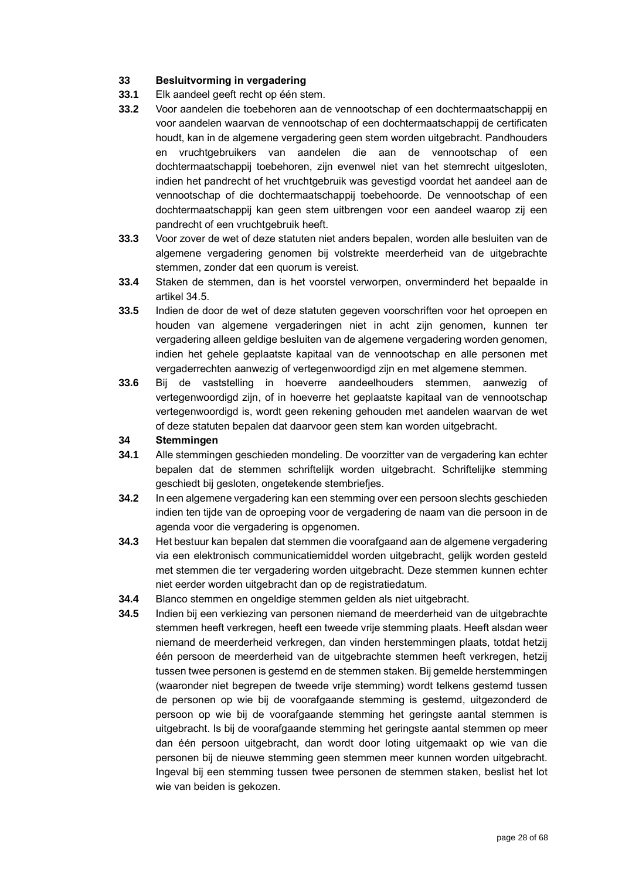## **33 Besluitvorming in vergadering**

- **33.1** Elk aandeel geeft recht op één stem.
- **33.2** Voor aandelen die toebehoren aan de vennootschap of een dochtermaatschappij en voor aandelen waarvan de vennootschap of een dochtermaatschappij de certificaten houdt, kan in de algemene vergadering geen stem worden uitgebracht. Pandhouders en vruchtgebruikers van aandelen die aan de vennootschap of een dochtermaatschappij toebehoren, zijn evenwel niet van het stemrecht uitgesloten, indien het pandrecht of het vruchtgebruik was gevestigd voordat het aandeel aan de vennootschap of die dochtermaatschappij toebehoorde. De vennootschap of een dochtermaatschappij kan geen stem uitbrengen voor een aandeel waarop zij een pandrecht of een vruchtgebruik heeft.
- **33.3** Voor zover de wet of deze statuten niet anders bepalen, worden alle besluiten van de algemene vergadering genomen bij volstrekte meerderheid van de uitgebrachte stemmen, zonder dat een quorum is vereist.
- **33.4** Staken de stemmen, dan is het voorstel verworpen, onverminderd het bepaalde in artikel [34.5.](#page-27-1)
- **33.5** Indien de door de wet of deze statuten gegeven voorschriften voor het oproepen en houden van algemene vergaderingen niet in acht zijn genomen, kunnen ter vergadering alleen geldige besluiten van de algemene vergadering worden genomen, indien het gehele geplaatste kapitaal van de vennootschap en alle personen met vergaderrechten aanwezig of vertegenwoordigd zijn en met algemene stemmen.
- **33.6** Bij de vaststelling in hoeverre aandeelhouders stemmen, aanwezig of vertegenwoordigd zijn, of in hoeverre het geplaatste kapitaal van de vennootschap vertegenwoordigd is, wordt geen rekening gehouden met aandelen waarvan de wet of deze statuten bepalen dat daarvoor geen stem kan worden uitgebracht.

### **34 Stemmingen**

- **34.1** Alle stemmingen geschieden mondeling. De voorzitter van de vergadering kan echter bepalen dat de stemmen schriftelijk worden uitgebracht. Schriftelijke stemming geschiedt bij gesloten, ongetekende stembriefjes.
- **34.2** In een algemene vergadering kan een stemming over een persoon slechts geschieden indien ten tijde van de oproeping voor de vergadering de naam van die persoon in de agenda voor die vergadering is opgenomen.
- <span id="page-27-0"></span>**34.3** Het bestuur kan bepalen dat stemmen die voorafgaand aan de algemene vergadering via een elektronisch communicatiemiddel worden uitgebracht, gelijk worden gesteld met stemmen die ter vergadering worden uitgebracht. Deze stemmen kunnen echter niet eerder worden uitgebracht dan op de registratiedatum.
- **34.4** Blanco stemmen en ongeldige stemmen gelden als niet uitgebracht.
- <span id="page-27-1"></span>**34.5** Indien bij een verkiezing van personen niemand de meerderheid van de uitgebrachte stemmen heeft verkregen, heeft een tweede vrije stemming plaats. Heeft alsdan weer niemand de meerderheid verkregen, dan vinden herstemmingen plaats, totdat hetzij één persoon de meerderheid van de uitgebrachte stemmen heeft verkregen, hetzij tussen twee personen is gestemd en de stemmen staken. Bij gemelde herstemmingen (waaronder niet begrepen de tweede vrije stemming) wordt telkens gestemd tussen de personen op wie bij de voorafgaande stemming is gestemd, uitgezonderd de persoon op wie bij de voorafgaande stemming het geringste aantal stemmen is uitgebracht. Is bij de voorafgaande stemming het geringste aantal stemmen op meer dan één persoon uitgebracht, dan wordt door loting uitgemaakt op wie van die personen bij de nieuwe stemming geen stemmen meer kunnen worden uitgebracht. Ingeval bij een stemming tussen twee personen de stemmen staken, beslist het lot wie van beiden is gekozen.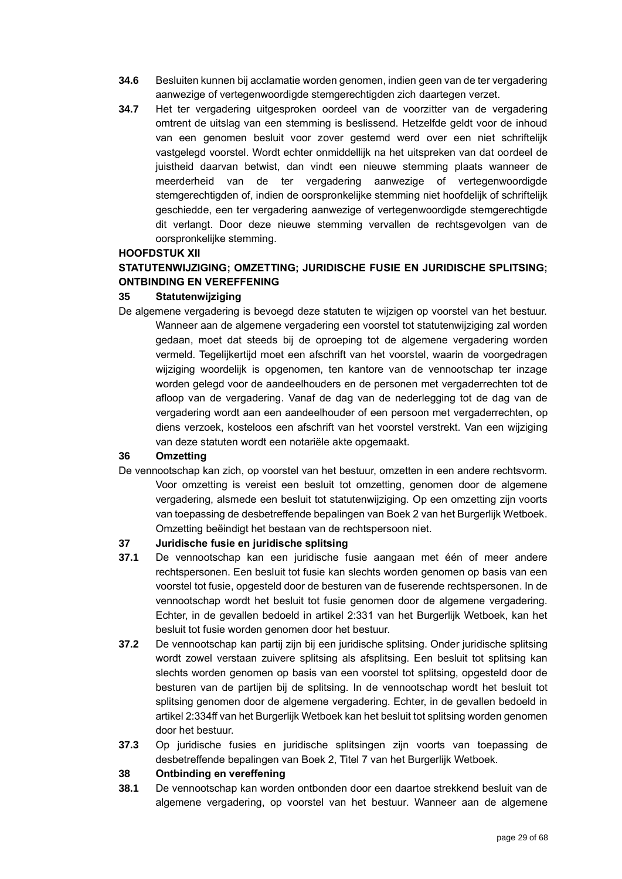- **34.6** Besluiten kunnen bij acclamatie worden genomen, indien geen van de ter vergadering aanwezige of vertegenwoordigde stemgerechtigden zich daartegen verzet.
- **34.7** Het ter vergadering uitgesproken oordeel van de voorzitter van de vergadering omtrent de uitslag van een stemming is beslissend. Hetzelfde geldt voor de inhoud van een genomen besluit voor zover gestemd werd over een niet schriftelijk vastgelegd voorstel. Wordt echter onmiddellijk na het uitspreken van dat oordeel de juistheid daarvan betwist, dan vindt een nieuwe stemming plaats wanneer de meerderheid van de ter vergadering aanwezige of vertegenwoordigde stemgerechtigden of, indien de oorspronkelijke stemming niet hoofdelijk of schriftelijk geschiedde, een ter vergadering aanwezige of vertegenwoordigde stemgerechtigde dit verlangt. Door deze nieuwe stemming vervallen de rechtsgevolgen van de oorspronkelijke stemming.

### **HOOFDSTUK XII**

## **STATUTENWIJZIGING; OMZETTING; JURIDISCHE FUSIE EN JURIDISCHE SPLITSING; ONTBINDING EN VEREFFENING**

## **35 Statutenwijziging**

De algemene vergadering is bevoegd deze statuten te wijzigen op voorstel van het bestuur. Wanneer aan de algemene vergadering een voorstel tot statutenwijziging zal worden gedaan, moet dat steeds bij de oproeping tot de algemene vergadering worden vermeld. Tegelijkertijd moet een afschrift van het voorstel, waarin de voorgedragen wijziging woordelijk is opgenomen, ten kantore van de vennootschap ter inzage worden gelegd voor de aandeelhouders en de personen met vergaderrechten tot de afloop van de vergadering. Vanaf de dag van de nederlegging tot de dag van de vergadering wordt aan een aandeelhouder of een persoon met vergaderrechten, op diens verzoek, kosteloos een afschrift van het voorstel verstrekt. Van een wijziging van deze statuten wordt een notariële akte opgemaakt.

## **36 Omzetting**

De vennootschap kan zich, op voorstel van het bestuur, omzetten in een andere rechtsvorm. Voor omzetting is vereist een besluit tot omzetting, genomen door de algemene vergadering, alsmede een besluit tot statutenwijziging. Op een omzetting zijn voorts van toepassing de desbetreffende bepalingen van Boek 2 van het Burgerlijk Wetboek. Omzetting beëindigt het bestaan van de rechtspersoon niet.

## **37 Juridische fusie en juridische splitsing**

- **37.1** De vennootschap kan een juridische fusie aangaan met één of meer andere rechtspersonen. Een besluit tot fusie kan slechts worden genomen op basis van een voorstel tot fusie, opgesteld door de besturen van de fuserende rechtspersonen. In de vennootschap wordt het besluit tot fusie genomen door de algemene vergadering. Echter, in de gevallen bedoeld in artikel 2:331 van het Burgerlijk Wetboek, kan het besluit tot fusie worden genomen door het bestuur.
- **37.2** De vennootschap kan partij zijn bij een juridische splitsing. Onder juridische splitsing wordt zowel verstaan zuivere splitsing als afsplitsing. Een besluit tot splitsing kan slechts worden genomen op basis van een voorstel tot splitsing, opgesteld door de besturen van de partijen bij de splitsing. In de vennootschap wordt het besluit tot splitsing genomen door de algemene vergadering. Echter, in de gevallen bedoeld in artikel 2:334ff van het Burgerlijk Wetboek kan het besluit tot splitsing worden genomen door het bestuur.
- **37.3** Op juridische fusies en juridische splitsingen zijn voorts van toepassing de desbetreffende bepalingen van Boek 2, Titel 7 van het Burgerlijk Wetboek.

## **38 Ontbinding en vereffening**

**38.1** De vennootschap kan worden ontbonden door een daartoe strekkend besluit van de algemene vergadering, op voorstel van het bestuur. Wanneer aan de algemene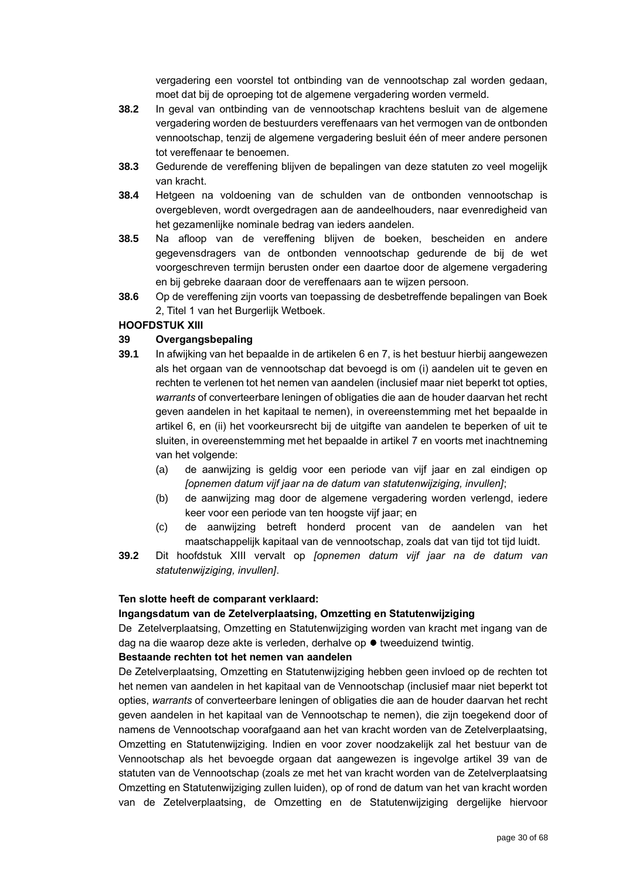vergadering een voorstel tot ontbinding van de vennootschap zal worden gedaan, moet dat bij de oproeping tot de algemene vergadering worden vermeld.

- **38.2** In geval van ontbinding van de vennootschap krachtens besluit van de algemene vergadering worden de bestuurders vereffenaars van het vermogen van de ontbonden vennootschap, tenzij de algemene vergadering besluit één of meer andere personen tot vereffenaar te benoemen.
- **38.3** Gedurende de vereffening blijven de bepalingen van deze statuten zo veel mogelijk van kracht.
- **38.4** Hetgeen na voldoening van de schulden van de ontbonden vennootschap is overgebleven, wordt overgedragen aan de aandeelhouders, naar evenredigheid van het gezamenlijke nominale bedrag van ieders aandelen.
- **38.5** Na afloop van de vereffening blijven de boeken, bescheiden en andere gegevensdragers van de ontbonden vennootschap gedurende de bij de wet voorgeschreven termijn berusten onder een daartoe door de algemene vergadering en bij gebreke daaraan door de vereffenaars aan te wijzen persoon.
- **38.6** Op de vereffening zijn voorts van toepassing de desbetreffende bepalingen van Boek 2, Titel 1 van het Burgerlijk Wetboek.

## **HOOFDSTUK XIII**

### **39 Overgangsbepaling**

- **39.1** In afwijking van het bepaalde in de artikelen [6](#page-14-1) en [7,](#page-15-3) is het bestuur hierbij aangewezen als het orgaan van de vennootschap dat bevoegd is om (i) aandelen uit te geven en rechten te verlenen tot het nemen van aandelen (inclusief maar niet beperkt tot opties, *warrants* of converteerbare leningen of obligaties die aan de houder daarvan het recht geven aandelen in het kapitaal te nemen), in overeenstemming met het bepaalde in artikel 6, en (ii) het voorkeursrecht bij de uitgifte van aandelen te beperken of uit te sluiten, in overeenstemming met het bepaalde in artikel [7](#page-15-3) en voorts met inachtneming van het volgende:
	- (a) de aanwijzing is geldig voor een periode van vijf jaar en zal eindigen op *[opnemen datum vijf jaar na de datum van statutenwijziging, invullen]*;
	- (b) de aanwijzing mag door de algemene vergadering worden verlengd, iedere keer voor een periode van ten hoogste vijf jaar; en
	- (c) de aanwijzing betreft honderd procent van de aandelen van het maatschappelijk kapitaal van de vennootschap, zoals dat van tijd tot tijd luidt.
- **39.2** Dit hoofdstuk XIII vervalt op *[opnemen datum vijf jaar na de datum van statutenwijziging, invullen]*.

#### **Ten slotte heeft de comparant verklaard:**

#### **Ingangsdatum van de Zetelverplaatsing, Omzetting en Statutenwijziging**

De Zetelverplaatsing, Omzetting en Statutenwijziging worden van kracht met ingang van de dag na die waarop deze akte is verleden, derhalve op ● tweeduizend twintig.

### **Bestaande rechten tot het nemen van aandelen**

De Zetelverplaatsing, Omzetting en Statutenwijziging hebben geen invloed op de rechten tot het nemen van aandelen in het kapitaal van de Vennootschap (inclusief maar niet beperkt tot opties, *warrants* of converteerbare leningen of obligaties die aan de houder daarvan het recht geven aandelen in het kapitaal van de Vennootschap te nemen), die zijn toegekend door of namens de Vennootschap voorafgaand aan het van kracht worden van de Zetelverplaatsing, Omzetting en Statutenwijziging. Indien en voor zover noodzakelijk zal het bestuur van de Vennootschap als het bevoegde orgaan dat aangewezen is ingevolge artikel 39 van de statuten van de Vennootschap (zoals ze met het van kracht worden van de Zetelverplaatsing Omzetting en Statutenwijziging zullen luiden), op of rond de datum van het van kracht worden van de Zetelverplaatsing, de Omzetting en de Statutenwijziging dergelijke hiervoor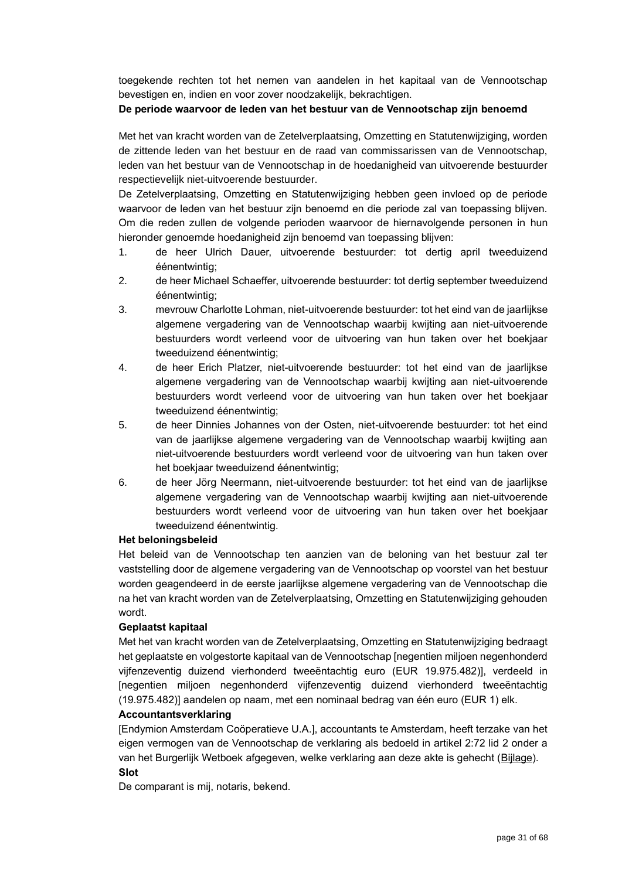toegekende rechten tot het nemen van aandelen in het kapitaal van de Vennootschap bevestigen en, indien en voor zover noodzakelijk, bekrachtigen.

### **De periode waarvoor de leden van het bestuur van de Vennootschap zijn benoemd**

Met het van kracht worden van de Zetelverplaatsing, Omzetting en Statutenwijziging, worden de zittende leden van het bestuur en de raad van commissarissen van de Vennootschap, leden van het bestuur van de Vennootschap in de hoedanigheid van uitvoerende bestuurder respectievelijk niet-uitvoerende bestuurder.

De Zetelverplaatsing, Omzetting en Statutenwijziging hebben geen invloed op de periode waarvoor de leden van het bestuur zijn benoemd en die periode zal van toepassing blijven. Om die reden zullen de volgende perioden waarvoor de hiernavolgende personen in hun hieronder genoemde hoedanigheid zijn benoemd van toepassing blijven:

- 1. de heer Ulrich Dauer, uitvoerende bestuurder: tot dertig april tweeduizend éénentwintig;
- 2. de heer Michael Schaeffer, uitvoerende bestuurder: tot dertig september tweeduizend éénentwintig;
- 3. mevrouw Charlotte Lohman, niet-uitvoerende bestuurder: tot het eind van de jaarlijkse algemene vergadering van de Vennootschap waarbij kwijting aan niet-uitvoerende bestuurders wordt verleend voor de uitvoering van hun taken over het boekjaar tweeduizend éénentwintig;
- 4. de heer Erich Platzer, niet-uitvoerende bestuurder: tot het eind van de jaarlijkse algemene vergadering van de Vennootschap waarbij kwijting aan niet-uitvoerende bestuurders wordt verleend voor de uitvoering van hun taken over het boekjaar tweeduizend éénentwintig;
- 5. de heer Dinnies Johannes von der Osten, niet-uitvoerende bestuurder: tot het eind van de jaarlijkse algemene vergadering van de Vennootschap waarbij kwijting aan niet-uitvoerende bestuurders wordt verleend voor de uitvoering van hun taken over het boekjaar tweeduizend éénentwintig;
- 6. de heer Jörg Neermann, niet-uitvoerende bestuurder: tot het eind van de jaarlijkse algemene vergadering van de Vennootschap waarbij kwijting aan niet-uitvoerende bestuurders wordt verleend voor de uitvoering van hun taken over het boekjaar tweeduizend éénentwintig.

#### **Het beloningsbeleid**

Het beleid van de Vennootschap ten aanzien van de beloning van het bestuur zal ter vaststelling door de algemene vergadering van de Vennootschap op voorstel van het bestuur worden geagendeerd in de eerste jaarlijkse algemene vergadering van de Vennootschap die na het van kracht worden van de Zetelverplaatsing, Omzetting en Statutenwijziging gehouden wordt.

## **Geplaatst kapitaal**

Met het van kracht worden van de Zetelverplaatsing, Omzetting en Statutenwijziging bedraagt het geplaatste en volgestorte kapitaal van de Vennootschap [negentien miljoen negenhonderd vijfenzeventig duizend vierhonderd tweeëntachtig euro (EUR 19.975.482)], verdeeld in [negentien miljoen negenhonderd vijfenzeventig duizend vierhonderd tweeëntachtig (19.975.482)] aandelen op naam, met een nominaal bedrag van één euro (EUR 1) elk.

#### **Accountantsverklaring**

[Endymion Amsterdam Coöperatieve U.A.], accountants te Amsterdam, heeft terzake van het eigen vermogen van de Vennootschap de verklaring als bedoeld in artikel 2:72 lid 2 onder a van het Burgerlijk Wetboek afgegeven, welke verklaring aan deze akte is gehecht (Bijlage). **Slot**

De comparant is mij, notaris, bekend.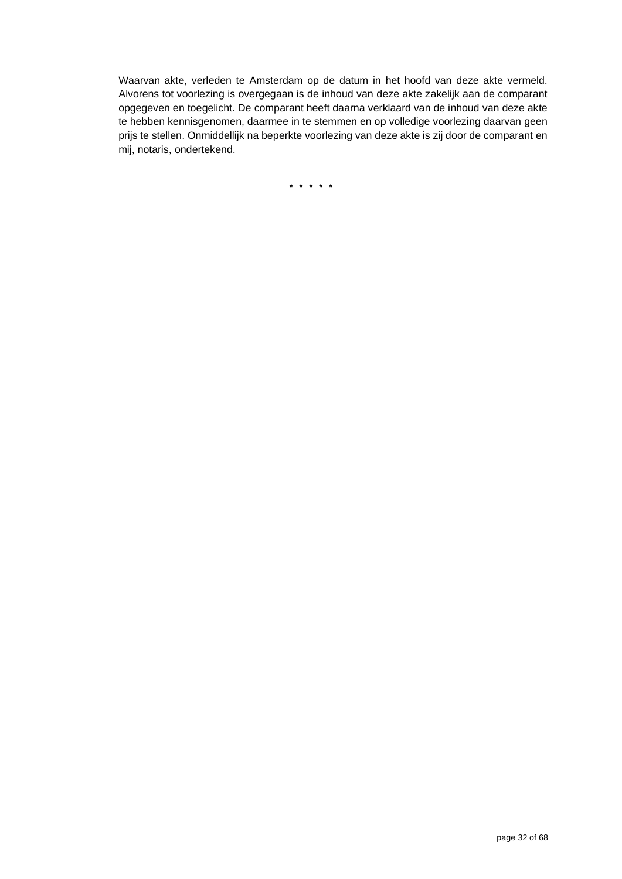Waarvan akte, verleden te Amsterdam op de datum in het hoofd van deze akte vermeld. Alvorens tot voorlezing is overgegaan is de inhoud van deze akte zakelijk aan de comparant opgegeven en toegelicht. De comparant heeft daarna verklaard van de inhoud van deze akte te hebben kennisgenomen, daarmee in te stemmen en op volledige voorlezing daarvan geen prijs te stellen. Onmiddellijk na beperkte voorlezing van deze akte is zij door de comparant en mij, notaris, ondertekend.

\* \* \* \* \*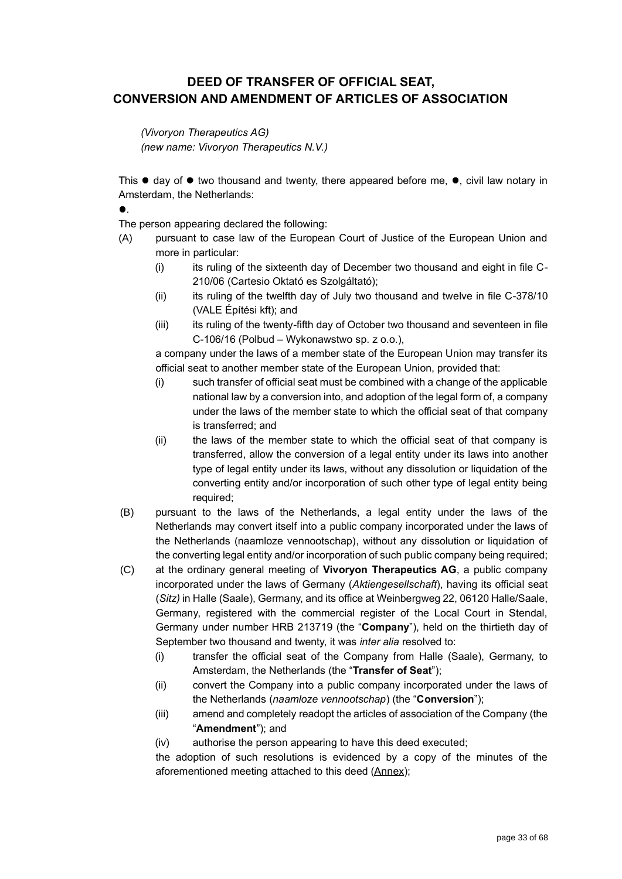## **DEED OF TRANSFER OF OFFICIAL SEAT, CONVERSION AND AMENDMENT OF ARTICLES OF ASSOCIATION**

### *(Vivoryon Therapeutics AG)*

*(new name: Vivoryon Therapeutics N.V.)*

This  $\bullet$  day of  $\bullet$  two thousand and twenty, there appeared before me,  $\bullet$ , civil law notary in Amsterdam, the Netherlands:

 $\bullet$ .

The person appearing declared the following:

- (A) pursuant to case law of the European Court of Justice of the European Union and more in particular:
	- (i) its ruling of the sixteenth day of December two thousand and eight in file C-210/06 (Cartesio Oktató es Szolgáltató);
	- (ii) its ruling of the twelfth day of July two thousand and twelve in file C-378/10 (VALE Építési kft); and
	- (iii) its ruling of the twenty-fifth day of October two thousand and seventeen in file C-106/16 (Polbud – Wykonawstwo sp. z o.o.),

a company under the laws of a member state of the European Union may transfer its official seat to another member state of the European Union, provided that:

- (i) such transfer of official seat must be combined with a change of the applicable national law by a conversion into, and adoption of the legal form of, a company under the laws of the member state to which the official seat of that company is transferred; and
- (ii) the laws of the member state to which the official seat of that company is transferred, allow the conversion of a legal entity under its laws into another type of legal entity under its laws, without any dissolution or liquidation of the converting entity and/or incorporation of such other type of legal entity being required;
- (B) pursuant to the laws of the Netherlands, a legal entity under the laws of the Netherlands may convert itself into a public company incorporated under the laws of the Netherlands (naamloze vennootschap), without any dissolution or liquidation of the converting legal entity and/or incorporation of such public company being required;
- (C) at the ordinary general meeting of **Vivoryon Therapeutics AG**, a public company incorporated under the laws of Germany (*Aktiengesellschaft*), having its official seat (*Sitz)* in Halle (Saale), Germany, and its office at Weinbergweg 22, 06120 Halle/Saale, Germany, registered with the commercial register of the Local Court in Stendal, Germany under number HRB 213719 (the "**Company**"), held on the thirtieth day of September two thousand and twenty, it was *inter alia* resolved to:
	- (i) transfer the official seat of the Company from Halle (Saale), Germany, to Amsterdam, the Netherlands (the "**Transfer of Seat**");
	- (ii) convert the Company into a public company incorporated under the laws of the Netherlands (*naamloze vennootschap*) (the "**Conversion**");
	- (iii) amend and completely readopt the articles of association of the Company (the "**Amendment**"); and
	- (iv) authorise the person appearing to have this deed executed;

the adoption of such resolutions is evidenced by a copy of the minutes of the aforementioned meeting attached to this deed (Annex);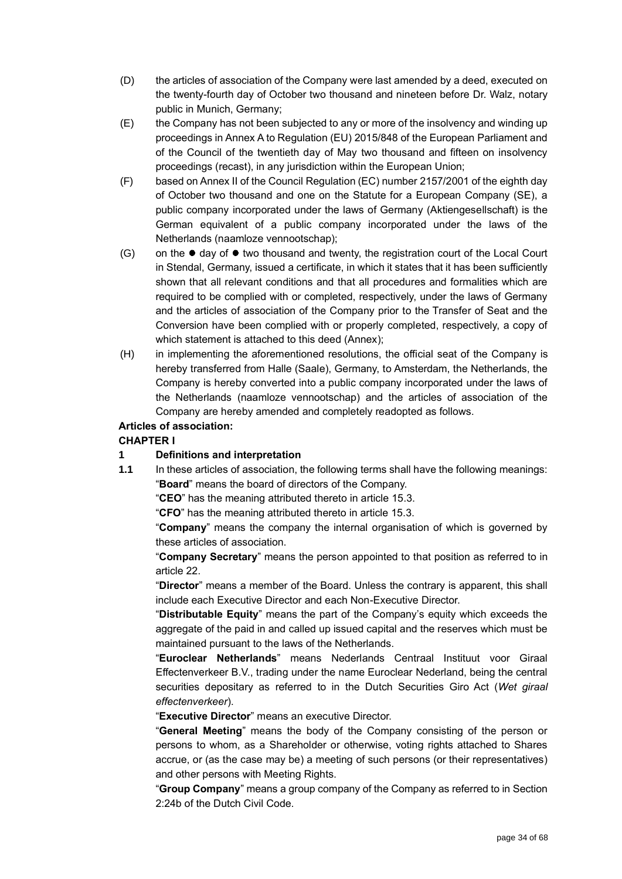- (D) the articles of association of the Company were last amended by a deed, executed on the twenty-fourth day of October two thousand and nineteen before Dr. Walz, notary public in Munich, Germany;
- (E) the Company has not been subjected to any or more of the insolvency and winding up proceedings in Annex A to Regulation (EU) 2015/848 of the European Parliament and of the Council of the twentieth day of May two thousand and fifteen on insolvency proceedings (recast), in any jurisdiction within the European Union;
- (F) based on Annex II of the Council Regulation (EC) number 2157/2001 of the eighth day of October two thousand and one on the Statute for a European Company (SE), a public company incorporated under the laws of Germany (Aktiengesellschaft) is the German equivalent of a public company incorporated under the laws of the Netherlands (naamloze vennootschap);
- (G) on the  $\bullet$  day of  $\bullet$  two thousand and twenty, the registration court of the Local Court in Stendal, Germany, issued a certificate, in which it states that it has been sufficiently shown that all relevant conditions and that all procedures and formalities which are required to be complied with or completed, respectively, under the laws of Germany and the articles of association of the Company prior to the Transfer of Seat and the Conversion have been complied with or properly completed, respectively, a copy of which statement is attached to this deed (Annex);
- (H) in implementing the aforementioned resolutions, the official seat of the Company is hereby transferred from Halle (Saale), Germany, to Amsterdam, the Netherlands, the Company is hereby converted into a public company incorporated under the laws of the Netherlands (naamloze vennootschap) and the articles of association of the Company are hereby amended and completely readopted as follows.

## **Articles of association:**

## **CHAPTER I**

## **1 Definitions and interpretation**

**1.1** In these articles of association, the following terms shall have the following meanings: "**Board**" means the board of directors of the Company.

"**CEO**" has the meaning attributed thereto in article [15.3.](#page-38-0)

"**CFO**" has the meaning attributed thereto in article [15.3.](#page-38-0)

"**Company**" means the company the internal organisation of which is governed by these articles of association.

"**Company Secretary**" means the person appointed to that position as referred to in article [22.](#page-41-0)

"**Director**" means a member of the Board. Unless the contrary is apparent, this shall include each Executive Director and each Non-Executive Director.

"**Distributable Equity**" means the part of the Company's equity which exceeds the aggregate of the paid in and called up issued capital and the reserves which must be maintained pursuant to the laws of the Netherlands.

"**Euroclear Netherlands**" means Nederlands Centraal Instituut voor Giraal Effectenverkeer B.V., trading under the name Euroclear Nederland, being the central securities depositary as referred to in the Dutch Securities Giro Act (*Wet giraal effectenverkeer*).

"**Executive Director**" means an executive Director.

"**General Meeting**" means the body of the Company consisting of the person or persons to whom, as a Shareholder or otherwise, voting rights attached to Shares accrue, or (as the case may be) a meeting of such persons (or their representatives) and other persons with Meeting Rights.

"**Group Company**" means a group company of the Company as referred to in Section 2:24b of the Dutch Civil Code.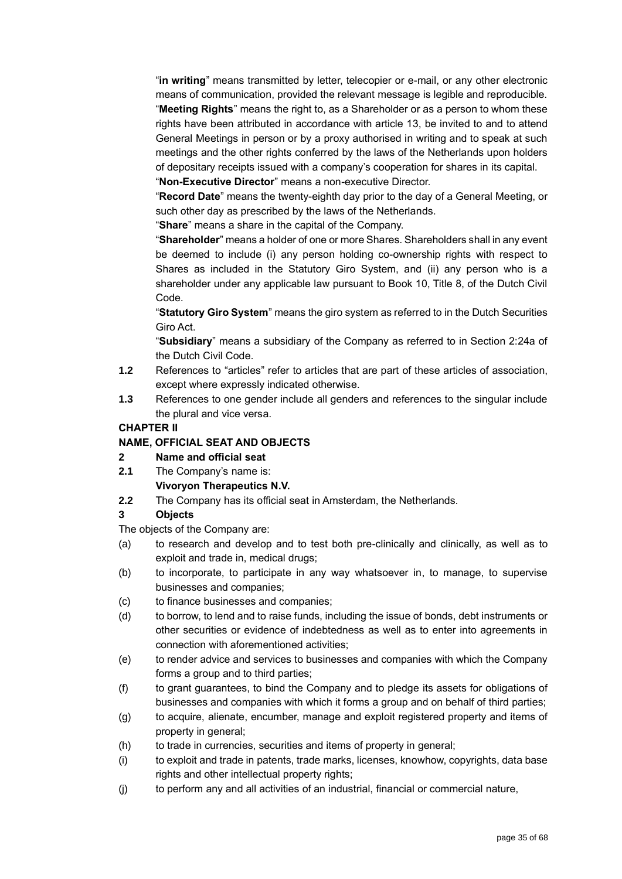"**in writing**" means transmitted by letter, telecopier or e-mail, or any other electronic means of communication, provided the relevant message is legible and reproducible. "**Meeting Rights**" means the right to, as a Shareholder or as a person to whom these rights have been attributed in accordance with article [13,](#page-38-1) be invited to and to attend General Meetings in person or by a proxy authorised in writing and to speak at such meetings and the other rights conferred by the laws of the Netherlands upon holders of depositary receipts issued with a company's cooperation for shares in its capital.

"**Non-Executive Director**" means a non-executive Director.

"**Record Date**" means the twenty-eighth day prior to the day of a General Meeting, or such other day as prescribed by the laws of the Netherlands.

"**Share**" means a share in the capital of the Company.

"**Shareholder**" means a holder of one or more Shares. Shareholders shall in any event be deemed to include (i) any person holding co-ownership rights with respect to Shares as included in the Statutory Giro System, and (ii) any person who is a shareholder under any applicable law pursuant to Book 10, Title 8, of the Dutch Civil Code.

"**Statutory Giro System**" means the giro system as referred to in the Dutch Securities Giro Act.

"**Subsidiary**" means a subsidiary of the Company as referred to in Section 2:24a of the Dutch Civil Code.

- **1.2** References to "articles" refer to articles that are part of these articles of association, except where expressly indicated otherwise.
- **1.3** References to one gender include all genders and references to the singular include the plural and vice versa.

### **CHAPTER II**

### **NAME, OFFICIAL SEAT AND OBJECTS**

#### **2 Name and official seat**

**2.1** The Company's name is:

## **Vivoryon Therapeutics N.V.**

**2.2** The Company has its official seat in Amsterdam, the Netherlands.

## **3 Objects**

The objects of the Company are:

- (a) to research and develop and to test both pre-clinically and clinically, as well as to exploit and trade in, medical drugs;
- (b) to incorporate, to participate in any way whatsoever in, to manage, to supervise businesses and companies;
- (c) to finance businesses and companies;
- (d) to borrow, to lend and to raise funds, including the issue of bonds, debt instruments or other securities or evidence of indebtedness as well as to enter into agreements in connection with aforementioned activities;
- (e) to render advice and services to businesses and companies with which the Company forms a group and to third parties;
- (f) to grant guarantees, to bind the Company and to pledge its assets for obligations of businesses and companies with which it forms a group and on behalf of third parties;
- (g) to acquire, alienate, encumber, manage and exploit registered property and items of property in general;
- (h) to trade in currencies, securities and items of property in general;
- (i) to exploit and trade in patents, trade marks, licenses, knowhow, copyrights, data base rights and other intellectual property rights;
- (j) to perform any and all activities of an industrial, financial or commercial nature,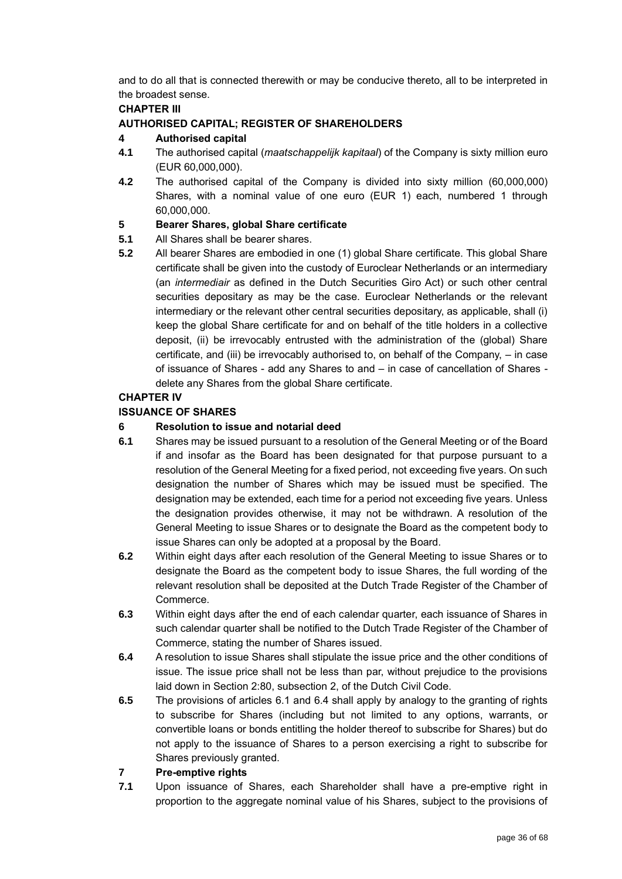and to do all that is connected therewith or may be conducive thereto, all to be interpreted in the broadest sense.

## **CHAPTER III**

## **AUTHORISED CAPITAL; REGISTER OF SHAREHOLDERS**

## **4 Authorised capital**

- **4.1** The authorised capital (*maatschappelijk kapitaal*) of the Company is sixty million euro (EUR 60,000,000).
- **4.2** The authorised capital of the Company is divided into sixty million (60,000,000) Shares, with a nominal value of one euro (EUR 1) each, numbered 1 through 60,000,000.

## **5 Bearer Shares, global Share certificate**

- **5.1** All Shares shall be bearer shares.
- **5.2** All bearer Shares are embodied in one (1) global Share certificate. This global Share certificate shall be given into the custody of Euroclear Netherlands or an intermediary (an *intermediair* as defined in the Dutch Securities Giro Act) or such other central securities depositary as may be the case. Euroclear Netherlands or the relevant intermediary or the relevant other central securities depositary, as applicable, shall (i) keep the global Share certificate for and on behalf of the title holders in a collective deposit, (ii) be irrevocably entrusted with the administration of the (global) Share certificate, and (iii) be irrevocably authorised to, on behalf of the Company, – in case of issuance of Shares - add any Shares to and – in case of cancellation of Shares delete any Shares from the global Share certificate.

## **CHAPTER IV**

## **ISSUANCE OF SHARES**

## <span id="page-35-2"></span>**6 Resolution to issue and notarial deed**

- <span id="page-35-0"></span>**6.1** Shares may be issued pursuant to a resolution of the General Meeting or of the Board if and insofar as the Board has been designated for that purpose pursuant to a resolution of the General Meeting for a fixed period, not exceeding five years. On such designation the number of Shares which may be issued must be specified. The designation may be extended, each time for a period not exceeding five years. Unless the designation provides otherwise, it may not be withdrawn. A resolution of the General Meeting to issue Shares or to designate the Board as the competent body to issue Shares can only be adopted at a proposal by the Board.
- **6.2** Within eight days after each resolution of the General Meeting to issue Shares or to designate the Board as the competent body to issue Shares, the full wording of the relevant resolution shall be deposited at the Dutch Trade Register of the Chamber of Commerce.
- **6.3** Within eight days after the end of each calendar quarter, each issuance of Shares in such calendar quarter shall be notified to the Dutch Trade Register of the Chamber of Commerce, stating the number of Shares issued.
- <span id="page-35-1"></span>**6.4** A resolution to issue Shares shall stipulate the issue price and the other conditions of issue. The issue price shall not be less than par, without prejudice to the provisions laid down in Section 2:80, subsection 2, of the Dutch Civil Code.
- **6.5** The provisions of articles [6.1](#page-35-0) and [6.4](#page-35-1) shall apply by analogy to the granting of rights to subscribe for Shares (including but not limited to any options, warrants, or convertible loans or bonds entitling the holder thereof to subscribe for Shares) but do not apply to the issuance of Shares to a person exercising a right to subscribe for Shares previously granted.

## <span id="page-35-3"></span>**7 Pre-emptive rights**

**7.1** Upon issuance of Shares, each Shareholder shall have a pre-emptive right in proportion to the aggregate nominal value of his Shares, subject to the provisions of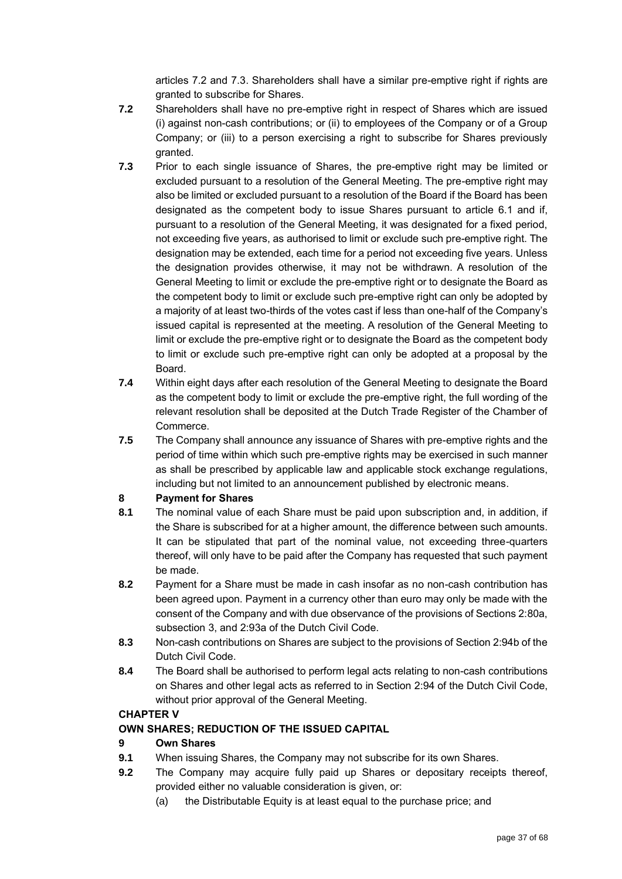articles [7.2](#page-36-0) and [7.3.](#page-36-1) Shareholders shall have a similar pre-emptive right if rights are granted to subscribe for Shares.

- <span id="page-36-0"></span>**7.2** Shareholders shall have no pre-emptive right in respect of Shares which are issued (i) against non-cash contributions; or (ii) to employees of the Company or of a Group Company; or (iii) to a person exercising a right to subscribe for Shares previously granted.
- <span id="page-36-1"></span>**7.3** Prior to each single issuance of Shares, the pre-emptive right may be limited or excluded pursuant to a resolution of the General Meeting. The pre-emptive right may also be limited or excluded pursuant to a resolution of the Board if the Board has been designated as the competent body to issue Shares pursuant to article [6.1](#page-35-0) and if, pursuant to a resolution of the General Meeting, it was designated for a fixed period, not exceeding five years, as authorised to limit or exclude such pre-emptive right. The designation may be extended, each time for a period not exceeding five years. Unless the designation provides otherwise, it may not be withdrawn. A resolution of the General Meeting to limit or exclude the pre-emptive right or to designate the Board as the competent body to limit or exclude such pre-emptive right can only be adopted by a majority of at least two-thirds of the votes cast if less than one-half of the Company's issued capital is represented at the meeting. A resolution of the General Meeting to limit or exclude the pre-emptive right or to designate the Board as the competent body to limit or exclude such pre-emptive right can only be adopted at a proposal by the Board.
- **7.4** Within eight days after each resolution of the General Meeting to designate the Board as the competent body to limit or exclude the pre-emptive right, the full wording of the relevant resolution shall be deposited at the Dutch Trade Register of the Chamber of Commerce.
- **7.5** The Company shall announce any issuance of Shares with pre-emptive rights and the period of time within which such pre-emptive rights may be exercised in such manner as shall be prescribed by applicable law and applicable stock exchange regulations, including but not limited to an announcement published by electronic means.

## **8 Payment for Shares**

- **8.1** The nominal value of each Share must be paid upon subscription and, in addition, if the Share is subscribed for at a higher amount, the difference between such amounts. It can be stipulated that part of the nominal value, not exceeding three-quarters thereof, will only have to be paid after the Company has requested that such payment be made.
- **8.2** Payment for a Share must be made in cash insofar as no non-cash contribution has been agreed upon. Payment in a currency other than euro may only be made with the consent of the Company and with due observance of the provisions of Sections 2:80a, subsection 3, and 2:93a of the Dutch Civil Code.
- **8.3** Non-cash contributions on Shares are subject to the provisions of Section 2:94b of the Dutch Civil Code.
- **8.4** The Board shall be authorised to perform legal acts relating to non-cash contributions on Shares and other legal acts as referred to in Section 2:94 of the Dutch Civil Code, without prior approval of the General Meeting.

## **CHAPTER V**

## **OWN SHARES; REDUCTION OF THE ISSUED CAPITAL**

## <span id="page-36-3"></span>**9 Own Shares**

- **9.1** When issuing Shares, the Company may not subscribe for its own Shares.
- <span id="page-36-2"></span>**9.2** The Company may acquire fully paid up Shares or depositary receipts thereof, provided either no valuable consideration is given, or:
	- (a) the Distributable Equity is at least equal to the purchase price; and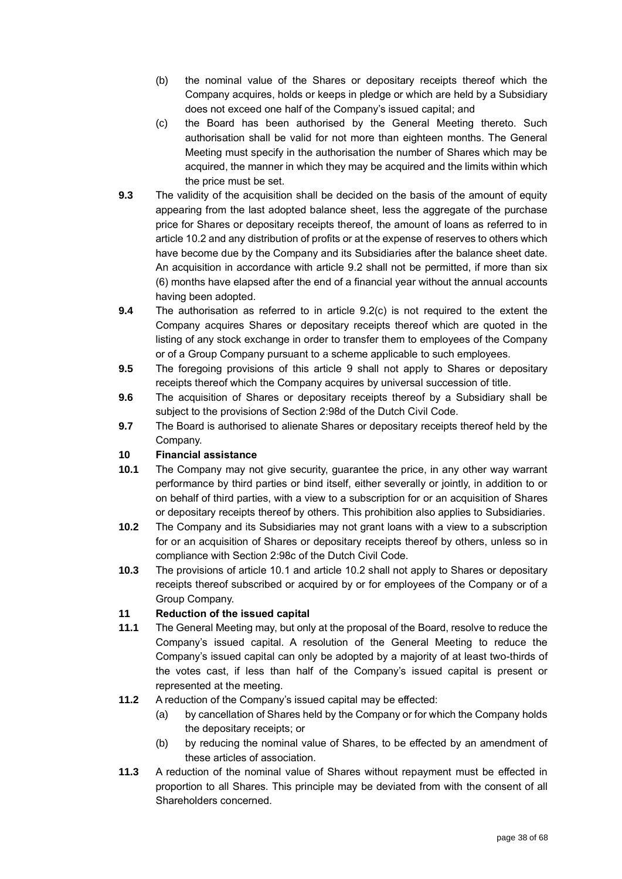- (b) the nominal value of the Shares or depositary receipts thereof which the Company acquires, holds or keeps in pledge or which are held by a Subsidiary does not exceed one half of the Company's issued capital; and
- <span id="page-37-1"></span>(c) the Board has been authorised by the General Meeting thereto. Such authorisation shall be valid for not more than eighteen months. The General Meeting must specify in the authorisation the number of Shares which may be acquired, the manner in which they may be acquired and the limits within which the price must be set.
- **9.3** The validity of the acquisition shall be decided on the basis of the amount of equity appearing from the last adopted balance sheet, less the aggregate of the purchase price for Shares or depositary receipts thereof, the amount of loans as referred to in article [10.2](#page-37-0) and any distribution of profits or at the expense of reserves to others which have become due by the Company and its Subsidiaries after the balance sheet date. An acquisition in accordance with article [9.2](#page-36-2) shall not be permitted, if more than six (6) months have elapsed after the end of a financial year without the annual accounts having been adopted.
- **9.4** The authorisation as referred to in article [9.2](#page-36-2)[\(c\)](#page-37-1) is not required to the extent the Company acquires Shares or depositary receipts thereof which are quoted in the listing of any stock exchange in order to transfer them to employees of the Company or of a Group Company pursuant to a scheme applicable to such employees.
- **9.5** The foregoing provisions of this article [9](#page-36-3) shall not apply to Shares or depositary receipts thereof which the Company acquires by universal succession of title.
- **9.6** The acquisition of Shares or depositary receipts thereof by a Subsidiary shall be subject to the provisions of Section 2:98d of the Dutch Civil Code.
- **9.7** The Board is authorised to alienate Shares or depositary receipts thereof held by the Company.

## **10 Financial assistance**

- <span id="page-37-2"></span>**10.1** The Company may not give security, guarantee the price, in any other way warrant performance by third parties or bind itself, either severally or jointly, in addition to or on behalf of third parties, with a view to a subscription for or an acquisition of Shares or depositary receipts thereof by others. This prohibition also applies to Subsidiaries.
- <span id="page-37-0"></span>**10.2** The Company and its Subsidiaries may not grant loans with a view to a subscription for or an acquisition of Shares or depositary receipts thereof by others, unless so in compliance with Section 2:98c of the Dutch Civil Code.
- **10.3** The provisions of article [10.1](#page-37-2) and article [10.2](#page-37-0) shall not apply to Shares or depositary receipts thereof subscribed or acquired by or for employees of the Company or of a Group Company.

## **11 Reduction of the issued capital**

- **11.1** The General Meeting may, but only at the proposal of the Board, resolve to reduce the Company's issued capital. A resolution of the General Meeting to reduce the Company's issued capital can only be adopted by a majority of at least two-thirds of the votes cast, if less than half of the Company's issued capital is present or represented at the meeting.
- **11.2** A reduction of the Company's issued capital may be effected:
	- (a) by cancellation of Shares held by the Company or for which the Company holds the depositary receipts; or
	- (b) by reducing the nominal value of Shares, to be effected by an amendment of these articles of association.
- **11.3** A reduction of the nominal value of Shares without repayment must be effected in proportion to all Shares. This principle may be deviated from with the consent of all Shareholders concerned.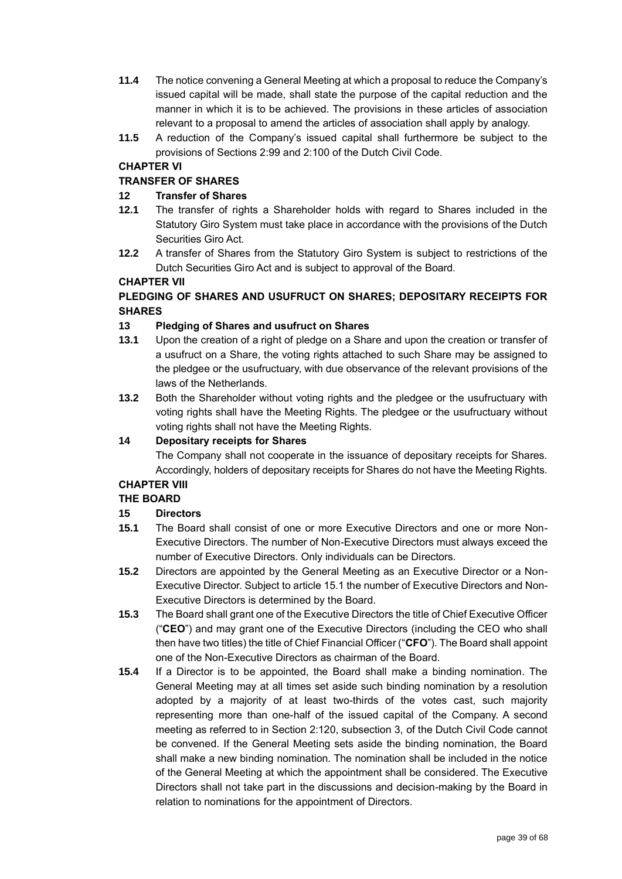- **11.4** The notice convening a General Meeting at which a proposal to reduce the Company's issued capital will be made, shall state the purpose of the capital reduction and the manner in which it is to be achieved. The provisions in these articles of association relevant to a proposal to amend the articles of association shall apply by analogy.
- **11.5** A reduction of the Company's issued capital shall furthermore be subject to the provisions of Sections 2:99 and 2:100 of the Dutch Civil Code.

## **CHAPTER VI**

## **TRANSFER OF SHARES**

## **12 Transfer of Shares**

- **12.1** The transfer of rights a Shareholder holds with regard to Shares included in the Statutory Giro System must take place in accordance with the provisions of the Dutch Securities Giro Act.
- **12.2** A transfer of Shares from the Statutory Giro System is subject to restrictions of the Dutch Securities Giro Act and is subject to approval of the Board.

## **CHAPTER VII**

## **PLEDGING OF SHARES AND USUFRUCT ON SHARES; DEPOSITARY RECEIPTS FOR SHARES**

## <span id="page-38-1"></span>**13 Pledging of Shares and usufruct on Shares**

- **13.1** Upon the creation of a right of pledge on a Share and upon the creation or transfer of a usufruct on a Share, the voting rights attached to such Share may be assigned to the pledgee or the usufructuary, with due observance of the relevant provisions of the laws of the Netherlands.
- **13.2** Both the Shareholder without voting rights and the pledgee or the usufructuary with voting rights shall have the Meeting Rights. The pledgee or the usufructuary without voting rights shall not have the Meeting Rights.

## **14 Depositary receipts for Shares**

The Company shall not cooperate in the issuance of depositary receipts for Shares. Accordingly, holders of depositary receipts for Shares do not have the Meeting Rights.

## **CHAPTER VIII**

## **THE BOARD**

## **15 Directors**

- <span id="page-38-2"></span>**15.1** The Board shall consist of one or more Executive Directors and one or more Non-Executive Directors. The number of Non-Executive Directors must always exceed the number of Executive Directors. Only individuals can be Directors.
- **15.2** Directors are appointed by the General Meeting as an Executive Director or a Non-Executive Director. Subject to article [15.1](#page-38-2) the number of Executive Directors and Non-Executive Directors is determined by the Board.
- <span id="page-38-0"></span>**15.3** The Board shall grant one of the Executive Directors the title of Chief Executive Officer ("**CEO**") and may grant one of the Executive Directors (including the CEO who shall then have two titles) the title of Chief Financial Officer ("**CFO**"). The Board shall appoint one of the Non-Executive Directors as chairman of the Board.
- **15.4** If a Director is to be appointed, the Board shall make a binding nomination. The General Meeting may at all times set aside such binding nomination by a resolution adopted by a majority of at least two-thirds of the votes cast, such majority representing more than one-half of the issued capital of the Company. A second meeting as referred to in Section 2:120, subsection 3, of the Dutch Civil Code cannot be convened. If the General Meeting sets aside the binding nomination, the Board shall make a new binding nomination. The nomination shall be included in the notice of the General Meeting at which the appointment shall be considered. The Executive Directors shall not take part in the discussions and decision-making by the Board in relation to nominations for the appointment of Directors.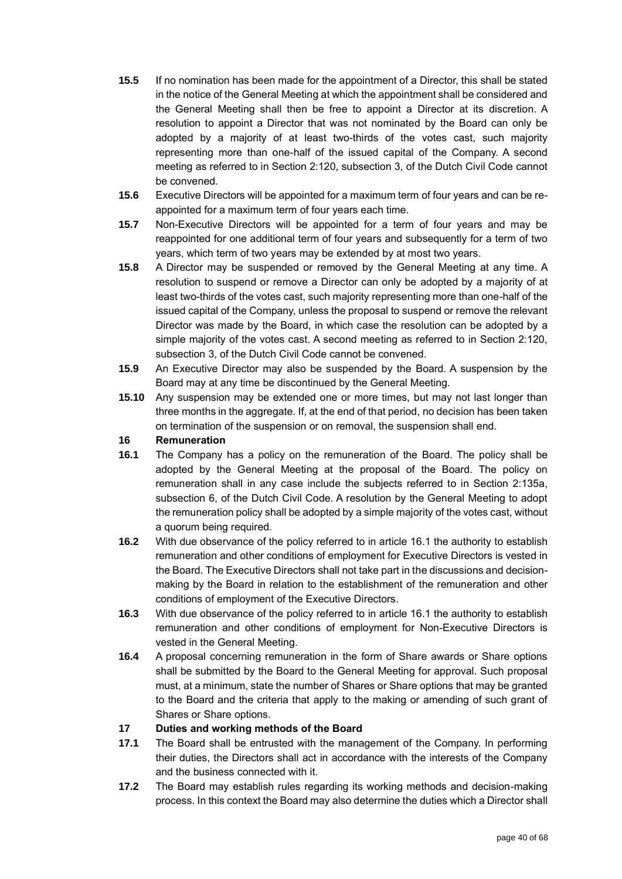- **15.5** If no nomination has been made for the appointment of a Director, this shall be stated in the notice of the General Meeting at which the appointment shall be considered and the General Meeting shall then be free to appoint a Director at its discretion. A resolution to appoint a Director that was not nominated by the Board can only be adopted by a majority of at least two-thirds of the votes cast, such majority representing more than one-half of the issued capital of the Company. A second meeting as referred to in Section 2:120, subsection 3, of the Dutch Civil Code cannot be convened.
- **15.6** Executive Directors will be appointed for a maximum term of four years and can be reappointed for a maximum term of four years each time.
- **15.7** Non-Executive Directors will be appointed for a term of four years and may be reappointed for one additional term of four years and subsequently for a term of two years, which term of two years may be extended by at most two years.
- **15.8** A Director may be suspended or removed by the General Meeting at any time. A resolution to suspend or remove a Director can only be adopted by a majority of at least two-thirds of the votes cast, such majority representing more than one-half of the issued capital of the Company, unless the proposal to suspend or remove the relevant Director was made by the Board, in which case the resolution can be adopted by a simple majority of the votes cast. A second meeting as referred to in Section 2:120, subsection 3, of the Dutch Civil Code cannot be convened.
- **15.9** An Executive Director may also be suspended by the Board. A suspension by the Board may at any time be discontinued by the General Meeting.
- **15.10** Any suspension may be extended one or more times, but may not last longer than three months in the aggregate. If, at the end of that period, no decision has been taken on termination of the suspension or on removal, the suspension shall end.

## **16 Remuneration**

- <span id="page-39-0"></span>**16.1** The Company has a policy on the remuneration of the Board. The policy shall be adopted by the General Meeting at the proposal of the Board. The policy on remuneration shall in any case include the subjects referred to in Section 2:135a, subsection 6, of the Dutch Civil Code. A resolution by the General Meeting to adopt the remuneration policy shall be adopted by a simple majority of the votes cast, without a quorum being required.
- **16.2** With due observance of the policy referred to in article [16.1](#page-39-0) the authority to establish remuneration and other conditions of employment for Executive Directors is vested in the Board. The Executive Directors shall not take part in the discussions and decisionmaking by the Board in relation to the establishment of the remuneration and other conditions of employment of the Executive Directors.
- **16.3** With due observance of the policy referred to in article [16.1](#page-39-0) the authority to establish remuneration and other conditions of employment for Non-Executive Directors is vested in the General Meeting.
- **16.4** A proposal concerning remuneration in the form of Share awards or Share options shall be submitted by the Board to the General Meeting for approval. Such proposal must, at a minimum, state the number of Shares or Share options that may be granted to the Board and the criteria that apply to the making or amending of such grant of Shares or Share options.

## **17 Duties and working methods of the Board**

- **17.1** The Board shall be entrusted with the management of the Company. In performing their duties, the Directors shall act in accordance with the interests of the Company and the business connected with it.
- <span id="page-39-1"></span>**17.2** The Board may establish rules regarding its working methods and decision-making process. In this context the Board may also determine the duties which a Director shall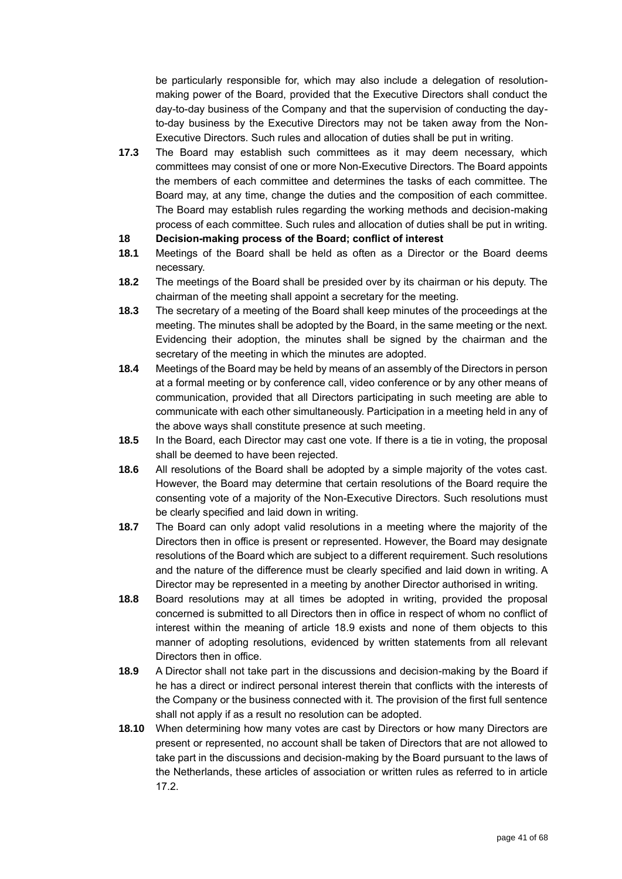be particularly responsible for, which may also include a delegation of resolutionmaking power of the Board, provided that the Executive Directors shall conduct the day-to-day business of the Company and that the supervision of conducting the dayto-day business by the Executive Directors may not be taken away from the Non-Executive Directors. Such rules and allocation of duties shall be put in writing.

- **17.3** The Board may establish such committees as it may deem necessary, which committees may consist of one or more Non-Executive Directors. The Board appoints the members of each committee and determines the tasks of each committee. The Board may, at any time, change the duties and the composition of each committee. The Board may establish rules regarding the working methods and decision-making process of each committee. Such rules and allocation of duties shall be put in writing.
- **18 Decision-making process of the Board; conflict of interest**
- **18.1** Meetings of the Board shall be held as often as a Director or the Board deems necessary.
- **18.2** The meetings of the Board shall be presided over by its chairman or his deputy. The chairman of the meeting shall appoint a secretary for the meeting.
- **18.3** The secretary of a meeting of the Board shall keep minutes of the proceedings at the meeting. The minutes shall be adopted by the Board, in the same meeting or the next. Evidencing their adoption, the minutes shall be signed by the chairman and the secretary of the meeting in which the minutes are adopted.
- **18.4** Meetings of the Board may be held by means of an assembly of the Directors in person at a formal meeting or by conference call, video conference or by any other means of communication, provided that all Directors participating in such meeting are able to communicate with each other simultaneously. Participation in a meeting held in any of the above ways shall constitute presence at such meeting.
- **18.5** In the Board, each Director may cast one vote. If there is a tie in voting, the proposal shall be deemed to have been rejected.
- **18.6** All resolutions of the Board shall be adopted by a simple majority of the votes cast. However, the Board may determine that certain resolutions of the Board require the consenting vote of a majority of the Non-Executive Directors. Such resolutions must be clearly specified and laid down in writing.
- **18.7** The Board can only adopt valid resolutions in a meeting where the majority of the Directors then in office is present or represented. However, the Board may designate resolutions of the Board which are subject to a different requirement. Such resolutions and the nature of the difference must be clearly specified and laid down in writing. A Director may be represented in a meeting by another Director authorised in writing.
- **18.8** Board resolutions may at all times be adopted in writing, provided the proposal concerned is submitted to all Directors then in office in respect of whom no conflict of interest within the meaning of article [18.9](#page-40-0) exists and none of them objects to this manner of adopting resolutions, evidenced by written statements from all relevant Directors then in office.
- <span id="page-40-0"></span>**18.9** A Director shall not take part in the discussions and decision-making by the Board if he has a direct or indirect personal interest therein that conflicts with the interests of the Company or the business connected with it. The provision of the first full sentence shall not apply if as a result no resolution can be adopted.
- **18.10** When determining how many votes are cast by Directors or how many Directors are present or represented, no account shall be taken of Directors that are not allowed to take part in the discussions and decision-making by the Board pursuant to the laws of the Netherlands, these articles of association or written rules as referred to in article [17.2.](#page-39-1)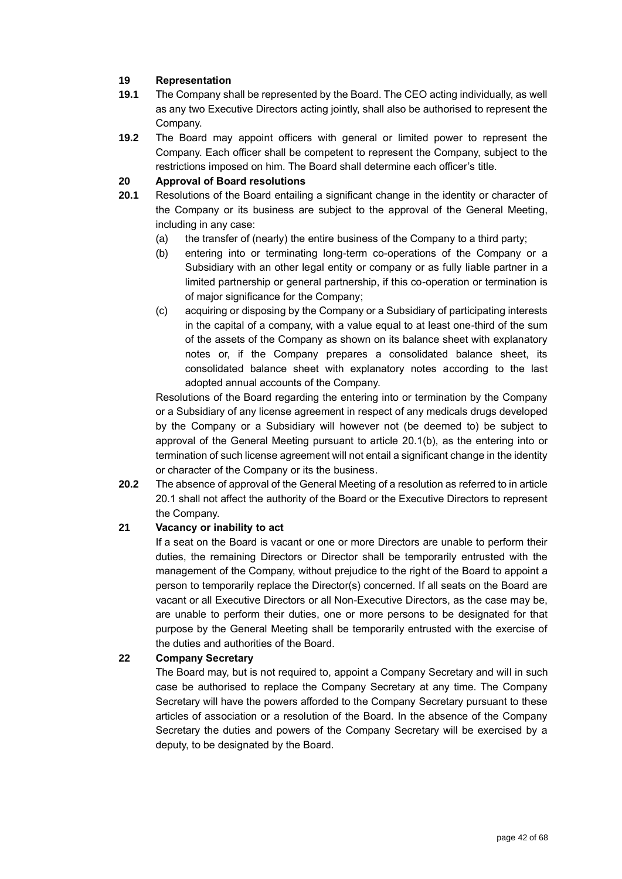## **19 Representation**

- **19.1** The Company shall be represented by the Board. The CEO acting individually, as well as any two Executive Directors acting jointly, shall also be authorised to represent the Company.
- **19.2** The Board may appoint officers with general or limited power to represent the Company. Each officer shall be competent to represent the Company, subject to the restrictions imposed on him. The Board shall determine each officer's title.

## **20 Approval of Board resolutions**

- <span id="page-41-2"></span><span id="page-41-1"></span>**20.1** Resolutions of the Board entailing a significant change in the identity or character of the Company or its business are subject to the approval of the General Meeting, including in any case:
	- (a) the transfer of (nearly) the entire business of the Company to a third party;
	- (b) entering into or terminating long-term co-operations of the Company or a Subsidiary with an other legal entity or company or as fully liable partner in a limited partnership or general partnership, if this co-operation or termination is of major significance for the Company;
	- (c) acquiring or disposing by the Company or a Subsidiary of participating interests in the capital of a company, with a value equal to at least one-third of the sum of the assets of the Company as shown on its balance sheet with explanatory notes or, if the Company prepares a consolidated balance sheet, its consolidated balance sheet with explanatory notes according to the last adopted annual accounts of the Company.

Resolutions of the Board regarding the entering into or termination by the Company or a Subsidiary of any license agreement in respect of any medicals drugs developed by the Company or a Subsidiary will however not (be deemed to) be subject to approval of the General Meeting pursuant to article [20.1](#page-41-1)[\(b\),](#page-41-2) as the entering into or termination of such license agreement will not entail a significant change in the identity or character of the Company or its the business.

**20.2** The absence of approval of the General Meeting of a resolution as referred to in article [20.1](#page-41-1) shall not affect the authority of the Board or the Executive Directors to represent the Company.

## **21 Vacancy or inability to act**

If a seat on the Board is vacant or one or more Directors are unable to perform their duties, the remaining Directors or Director shall be temporarily entrusted with the management of the Company, without prejudice to the right of the Board to appoint a person to temporarily replace the Director(s) concerned. If all seats on the Board are vacant or all Executive Directors or all Non-Executive Directors, as the case may be, are unable to perform their duties, one or more persons to be designated for that purpose by the General Meeting shall be temporarily entrusted with the exercise of the duties and authorities of the Board.

## <span id="page-41-0"></span>**22 Company Secretary**

The Board may, but is not required to, appoint a Company Secretary and will in such case be authorised to replace the Company Secretary at any time. The Company Secretary will have the powers afforded to the Company Secretary pursuant to these articles of association or a resolution of the Board. In the absence of the Company Secretary the duties and powers of the Company Secretary will be exercised by a deputy, to be designated by the Board.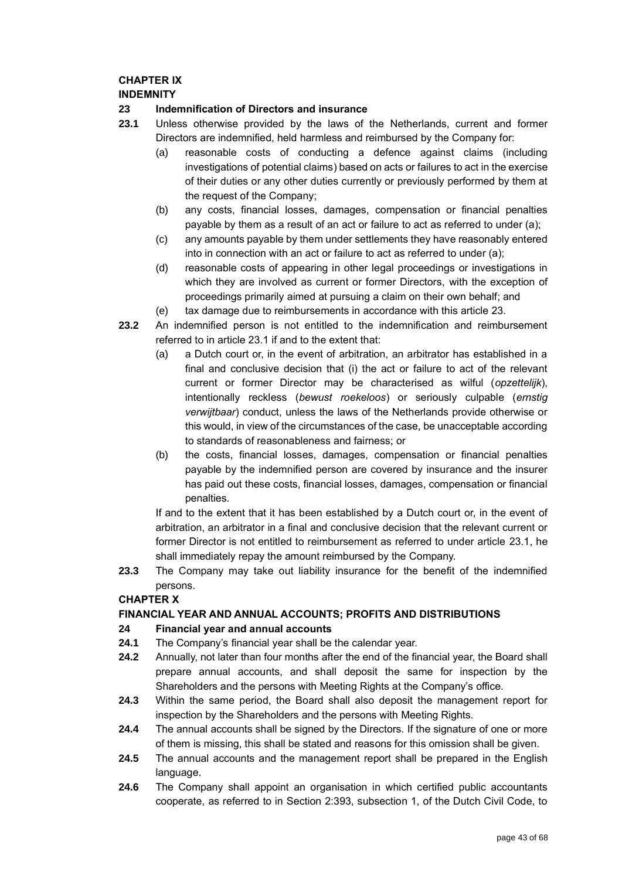## **CHAPTER IX**

## **INDEMNITY**

## <span id="page-42-1"></span>**23 Indemnification of Directors and insurance**

- <span id="page-42-2"></span><span id="page-42-0"></span>**23.1** Unless otherwise provided by the laws of the Netherlands, current and former Directors are indemnified, held harmless and reimbursed by the Company for:
	- (a) reasonable costs of conducting a defence against claims (including investigations of potential claims) based on acts or failures to act in the exercise of their duties or any other duties currently or previously performed by them at the request of the Company;
	- (b) any costs, financial losses, damages, compensation or financial penalties payable by them as a result of an act or failure to act as referred to under [\(a\);](#page-42-0)
	- (c) any amounts payable by them under settlements they have reasonably entered into in connection with an act or failure to act as referred to under [\(a\);](#page-42-0)
	- (d) reasonable costs of appearing in other legal proceedings or investigations in which they are involved as current or former Directors, with the exception of proceedings primarily aimed at pursuing a claim on their own behalf; and
	- (e) tax damage due to reimbursements in accordance with this article [23.](#page-42-1)
- **23.2** An indemnified person is not entitled to the indemnification and reimbursement referred to in article [23.1](#page-42-2) if and to the extent that:
	- (a) a Dutch court or, in the event of arbitration, an arbitrator has established in a final and conclusive decision that (i) the act or failure to act of the relevant current or former Director may be characterised as wilful (*opzettelijk*), intentionally reckless (*bewust roekeloos*) or seriously culpable (*ernstig verwijtbaar*) conduct, unless the laws of the Netherlands provide otherwise or this would, in view of the circumstances of the case, be unacceptable according to standards of reasonableness and fairness; or
	- (b) the costs, financial losses, damages, compensation or financial penalties payable by the indemnified person are covered by insurance and the insurer has paid out these costs, financial losses, damages, compensation or financial penalties.

If and to the extent that it has been established by a Dutch court or, in the event of arbitration, an arbitrator in a final and conclusive decision that the relevant current or former Director is not entitled to reimbursement as referred to under article [23.1,](#page-42-2) he shall immediately repay the amount reimbursed by the Company.

**23.3** The Company may take out liability insurance for the benefit of the indemnified persons.

## **CHAPTER X**

## **FINANCIAL YEAR AND ANNUAL ACCOUNTS; PROFITS AND DISTRIBUTIONS**

## **24 Financial year and annual accounts**

- **24.1** The Company's financial year shall be the calendar year.
- **24.2** Annually, not later than four months after the end of the financial year, the Board shall prepare annual accounts, and shall deposit the same for inspection by the Shareholders and the persons with Meeting Rights at the Company's office.
- **24.3** Within the same period, the Board shall also deposit the management report for inspection by the Shareholders and the persons with Meeting Rights.
- **24.4** The annual accounts shall be signed by the Directors. If the signature of one or more of them is missing, this shall be stated and reasons for this omission shall be given.
- **24.5** The annual accounts and the management report shall be prepared in the English language.
- **24.6** The Company shall appoint an organisation in which certified public accountants cooperate, as referred to in Section 2:393, subsection 1, of the Dutch Civil Code, to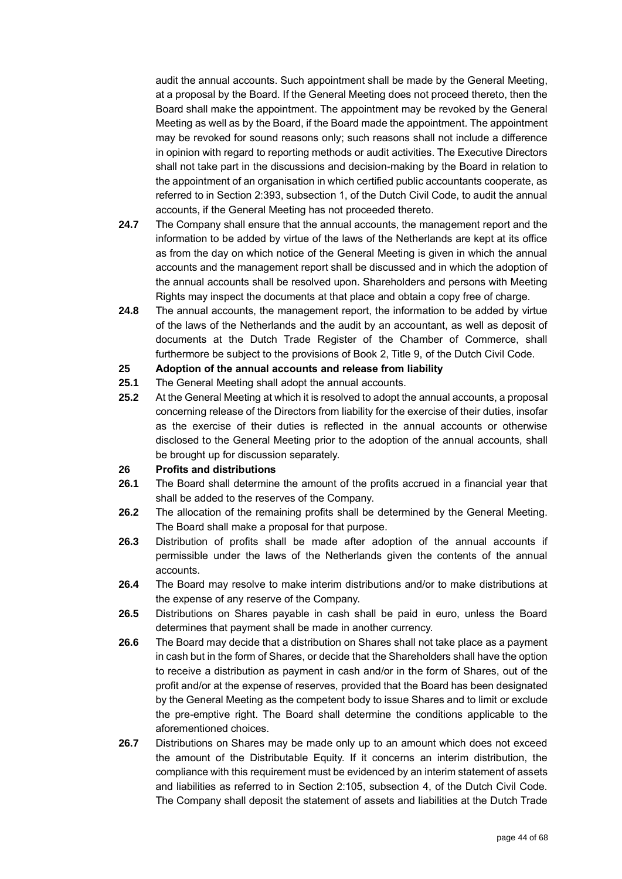audit the annual accounts. Such appointment shall be made by the General Meeting, at a proposal by the Board. If the General Meeting does not proceed thereto, then the Board shall make the appointment. The appointment may be revoked by the General Meeting as well as by the Board, if the Board made the appointment. The appointment may be revoked for sound reasons only; such reasons shall not include a difference in opinion with regard to reporting methods or audit activities. The Executive Directors shall not take part in the discussions and decision-making by the Board in relation to the appointment of an organisation in which certified public accountants cooperate, as referred to in Section 2:393, subsection 1, of the Dutch Civil Code, to audit the annual accounts, if the General Meeting has not proceeded thereto.

- **24.7** The Company shall ensure that the annual accounts, the management report and the information to be added by virtue of the laws of the Netherlands are kept at its office as from the day on which notice of the General Meeting is given in which the annual accounts and the management report shall be discussed and in which the adoption of the annual accounts shall be resolved upon. Shareholders and persons with Meeting Rights may inspect the documents at that place and obtain a copy free of charge.
- **24.8** The annual accounts, the management report, the information to be added by virtue of the laws of the Netherlands and the audit by an accountant, as well as deposit of documents at the Dutch Trade Register of the Chamber of Commerce, shall furthermore be subject to the provisions of Book 2, Title 9, of the Dutch Civil Code.

### **25 Adoption of the annual accounts and release from liability**

- **25.1** The General Meeting shall adopt the annual accounts.
- **25.2** At the General Meeting at which it is resolved to adopt the annual accounts, a proposal concerning release of the Directors from liability for the exercise of their duties, insofar as the exercise of their duties is reflected in the annual accounts or otherwise disclosed to the General Meeting prior to the adoption of the annual accounts, shall be brought up for discussion separately.

#### **26 Profits and distributions**

- **26.1** The Board shall determine the amount of the profits accrued in a financial year that shall be added to the reserves of the Company.
- **26.2** The allocation of the remaining profits shall be determined by the General Meeting. The Board shall make a proposal for that purpose.
- **26.3** Distribution of profits shall be made after adoption of the annual accounts if permissible under the laws of the Netherlands given the contents of the annual accounts.
- **26.4** The Board may resolve to make interim distributions and/or to make distributions at the expense of any reserve of the Company.
- **26.5** Distributions on Shares payable in cash shall be paid in euro, unless the Board determines that payment shall be made in another currency.
- **26.6** The Board may decide that a distribution on Shares shall not take place as a payment in cash but in the form of Shares, or decide that the Shareholders shall have the option to receive a distribution as payment in cash and/or in the form of Shares, out of the profit and/or at the expense of reserves, provided that the Board has been designated by the General Meeting as the competent body to issue Shares and to limit or exclude the pre-emptive right. The Board shall determine the conditions applicable to the aforementioned choices.
- **26.7** Distributions on Shares may be made only up to an amount which does not exceed the amount of the Distributable Equity. If it concerns an interim distribution, the compliance with this requirement must be evidenced by an interim statement of assets and liabilities as referred to in Section 2:105, subsection 4, of the Dutch Civil Code. The Company shall deposit the statement of assets and liabilities at the Dutch Trade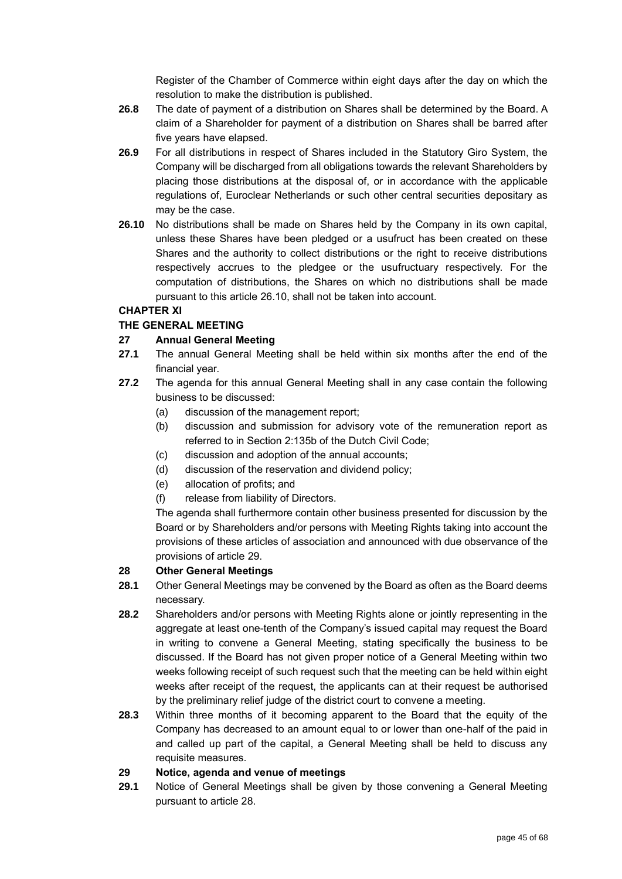Register of the Chamber of Commerce within eight days after the day on which the resolution to make the distribution is published.

- **26.8** The date of payment of a distribution on Shares shall be determined by the Board. A claim of a Shareholder for payment of a distribution on Shares shall be barred after five years have elapsed.
- **26.9** For all distributions in respect of Shares included in the Statutory Giro System, the Company will be discharged from all obligations towards the relevant Shareholders by placing those distributions at the disposal of, or in accordance with the applicable regulations of, Euroclear Netherlands or such other central securities depositary as may be the case.
- <span id="page-44-0"></span>**26.10** No distributions shall be made on Shares held by the Company in its own capital, unless these Shares have been pledged or a usufruct has been created on these Shares and the authority to collect distributions or the right to receive distributions respectively accrues to the pledgee or the usufructuary respectively. For the computation of distributions, the Shares on which no distributions shall be made pursuant to this article [26.10,](#page-44-0) shall not be taken into account.

## **CHAPTER XI**

## **THE GENERAL MEETING**

## **27 Annual General Meeting**

- **27.1** The annual General Meeting shall be held within six months after the end of the financial year.
- **27.2** The agenda for this annual General Meeting shall in any case contain the following business to be discussed:
	- (a) discussion of the management report;
	- (b) discussion and submission for advisory vote of the remuneration report as referred to in Section 2:135b of the Dutch Civil Code;
	- (c) discussion and adoption of the annual accounts;
	- (d) discussion of the reservation and dividend policy;
	- (e) allocation of profits; and
	- (f) release from liability of Directors.

The agenda shall furthermore contain other business presented for discussion by the Board or by Shareholders and/or persons with Meeting Rights taking into account the provisions of these articles of association and announced with due observance of the provisions of article [29.](#page-44-1)

## <span id="page-44-2"></span>**28 Other General Meetings**

- **28.1** Other General Meetings may be convened by the Board as often as the Board deems necessary.
- **28.2** Shareholders and/or persons with Meeting Rights alone or jointly representing in the aggregate at least one-tenth of the Company's issued capital may request the Board in writing to convene a General Meeting, stating specifically the business to be discussed. If the Board has not given proper notice of a General Meeting within two weeks following receipt of such request such that the meeting can be held within eight weeks after receipt of the request, the applicants can at their request be authorised by the preliminary relief judge of the district court to convene a meeting.
- **28.3** Within three months of it becoming apparent to the Board that the equity of the Company has decreased to an amount equal to or lower than one-half of the paid in and called up part of the capital, a General Meeting shall be held to discuss any requisite measures.

## <span id="page-44-1"></span>**29 Notice, agenda and venue of meetings**

**29.1** Notice of General Meetings shall be given by those convening a General Meeting pursuant to article [28.](#page-44-2)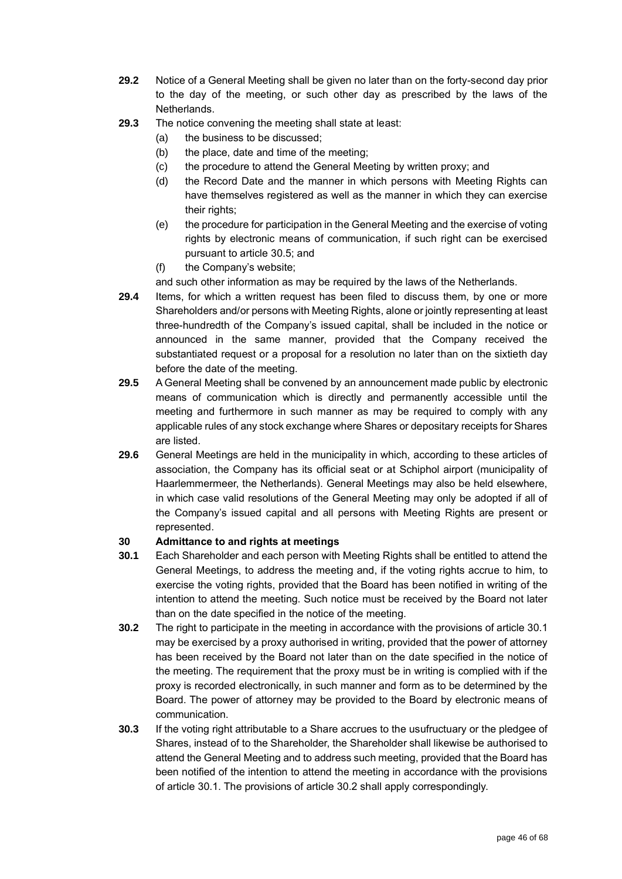- **29.2** Notice of a General Meeting shall be given no later than on the forty-second day prior to the day of the meeting, or such other day as prescribed by the laws of the Netherlands.
- **29.3** The notice convening the meeting shall state at least:
	- (a) the business to be discussed;
	- (b) the place, date and time of the meeting;
	- (c) the procedure to attend the General Meeting by written proxy; and
	- (d) the Record Date and the manner in which persons with Meeting Rights can have themselves registered as well as the manner in which they can exercise their rights;
	- (e) the procedure for participation in the General Meeting and the exercise of voting rights by electronic means of communication, if such right can be exercised pursuant to article [30.5;](#page-46-0) and
	- (f) the Company's website;

and such other information as may be required by the laws of the Netherlands.

- **29.4** Items, for which a written request has been filed to discuss them, by one or more Shareholders and/or persons with Meeting Rights, alone or jointly representing at least three-hundredth of the Company's issued capital, shall be included in the notice or announced in the same manner, provided that the Company received the substantiated request or a proposal for a resolution no later than on the sixtieth day before the date of the meeting.
- **29.5** A General Meeting shall be convened by an announcement made public by electronic means of communication which is directly and permanently accessible until the meeting and furthermore in such manner as may be required to comply with any applicable rules of any stock exchange where Shares or depositary receipts for Shares are listed.
- **29.6** General Meetings are held in the municipality in which, according to these articles of association, the Company has its official seat or at Schiphol airport (municipality of Haarlemmermeer, the Netherlands). General Meetings may also be held elsewhere, in which case valid resolutions of the General Meeting may only be adopted if all of the Company's issued capital and all persons with Meeting Rights are present or represented.

## **30 Admittance to and rights at meetings**

- <span id="page-45-0"></span>**30.1** Each Shareholder and each person with Meeting Rights shall be entitled to attend the General Meetings, to address the meeting and, if the voting rights accrue to him, to exercise the voting rights, provided that the Board has been notified in writing of the intention to attend the meeting. Such notice must be received by the Board not later than on the date specified in the notice of the meeting.
- <span id="page-45-1"></span>**30.2** The right to participate in the meeting in accordance with the provisions of article [30.1](#page-45-0) may be exercised by a proxy authorised in writing, provided that the power of attorney has been received by the Board not later than on the date specified in the notice of the meeting. The requirement that the proxy must be in writing is complied with if the proxy is recorded electronically, in such manner and form as to be determined by the Board. The power of attorney may be provided to the Board by electronic means of communication.
- <span id="page-45-2"></span>**30.3** If the voting right attributable to a Share accrues to the usufructuary or the pledgee of Shares, instead of to the Shareholder, the Shareholder shall likewise be authorised to attend the General Meeting and to address such meeting, provided that the Board has been notified of the intention to attend the meeting in accordance with the provisions of article [30.1.](#page-45-0) The provisions of article [30.2](#page-45-1) shall apply correspondingly.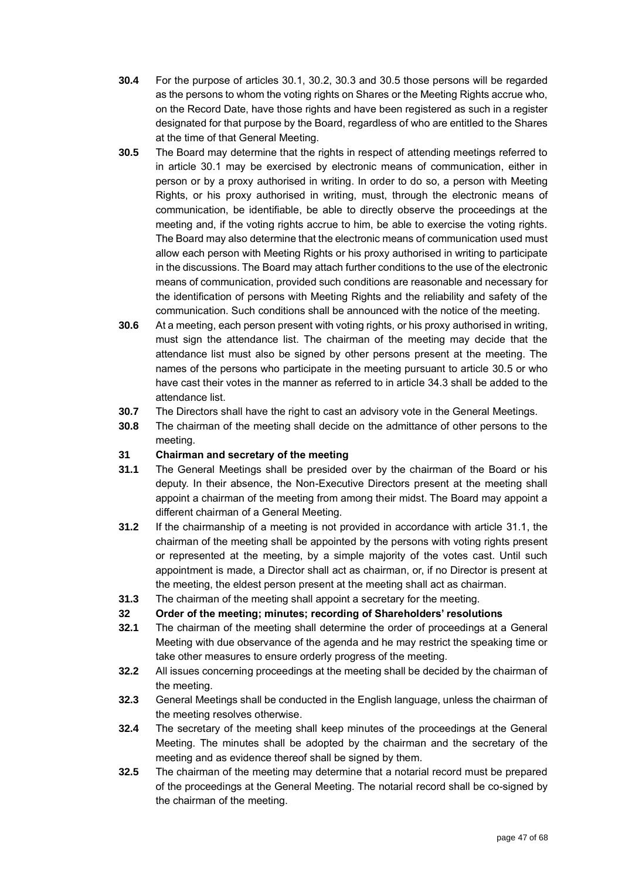- **30.4** For the purpose of articles [30.1,](#page-45-0) [30.2,](#page-45-1) [30.3](#page-45-2) and [30.5](#page-46-0) those persons will be regarded as the persons to whom the voting rights on Shares or the Meeting Rights accrue who, on the Record Date, have those rights and have been registered as such in a register designated for that purpose by the Board, regardless of who are entitled to the Shares at the time of that General Meeting.
- <span id="page-46-0"></span>**30.5** The Board may determine that the rights in respect of attending meetings referred to in article [30.1](#page-45-0) may be exercised by electronic means of communication, either in person or by a proxy authorised in writing. In order to do so, a person with Meeting Rights, or his proxy authorised in writing, must, through the electronic means of communication, be identifiable, be able to directly observe the proceedings at the meeting and, if the voting rights accrue to him, be able to exercise the voting rights. The Board may also determine that the electronic means of communication used must allow each person with Meeting Rights or his proxy authorised in writing to participate in the discussions. The Board may attach further conditions to the use of the electronic means of communication, provided such conditions are reasonable and necessary for the identification of persons with Meeting Rights and the reliability and safety of the communication. Such conditions shall be announced with the notice of the meeting.
- **30.6** At a meeting, each person present with voting rights, or his proxy authorised in writing, must sign the attendance list. The chairman of the meeting may decide that the attendance list must also be signed by other persons present at the meeting. The names of the persons who participate in the meeting pursuant to article [30.5](#page-46-0) or who have cast their votes in the manner as referred to in article [34.3](#page-47-0) shall be added to the attendance list.
- **30.7** The Directors shall have the right to cast an advisory vote in the General Meetings.
- **30.8** The chairman of the meeting shall decide on the admittance of other persons to the meeting.

## **31 Chairman and secretary of the meeting**

- <span id="page-46-1"></span>**31.1** The General Meetings shall be presided over by the chairman of the Board or his deputy. In their absence, the Non-Executive Directors present at the meeting shall appoint a chairman of the meeting from among their midst. The Board may appoint a different chairman of a General Meeting.
- **31.2** If the chairmanship of a meeting is not provided in accordance with article [31.1,](#page-46-1) the chairman of the meeting shall be appointed by the persons with voting rights present or represented at the meeting, by a simple majority of the votes cast. Until such appointment is made, a Director shall act as chairman, or, if no Director is present at the meeting, the eldest person present at the meeting shall act as chairman.
- **31.3** The chairman of the meeting shall appoint a secretary for the meeting.
- **32 Order of the meeting; minutes; recording of Shareholders' resolutions**
- **32.1** The chairman of the meeting shall determine the order of proceedings at a General Meeting with due observance of the agenda and he may restrict the speaking time or take other measures to ensure orderly progress of the meeting.
- **32.2** All issues concerning proceedings at the meeting shall be decided by the chairman of the meeting.
- **32.3** General Meetings shall be conducted in the English language, unless the chairman of the meeting resolves otherwise.
- **32.4** The secretary of the meeting shall keep minutes of the proceedings at the General Meeting. The minutes shall be adopted by the chairman and the secretary of the meeting and as evidence thereof shall be signed by them.
- **32.5** The chairman of the meeting may determine that a notarial record must be prepared of the proceedings at the General Meeting. The notarial record shall be co-signed by the chairman of the meeting.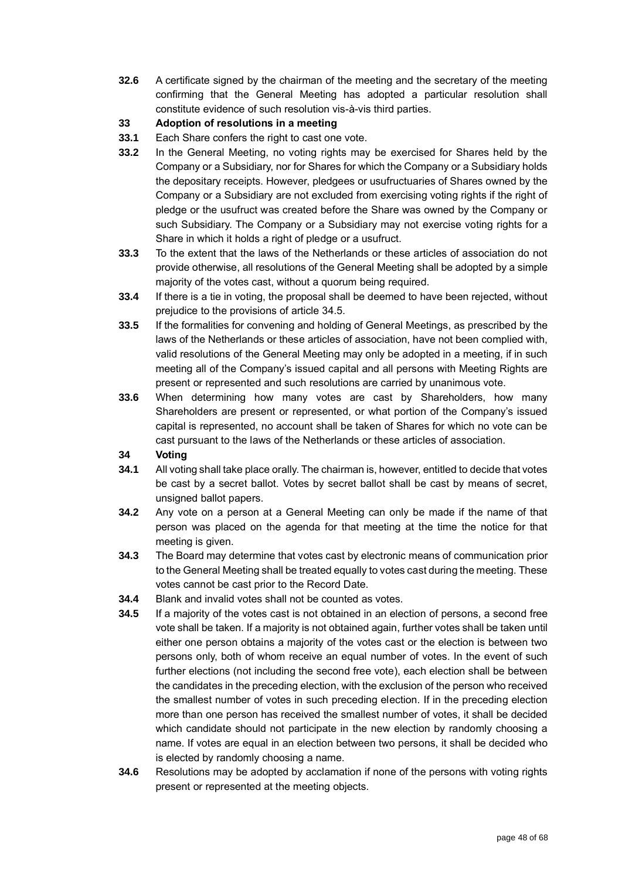**32.6** A certificate signed by the chairman of the meeting and the secretary of the meeting confirming that the General Meeting has adopted a particular resolution shall constitute evidence of such resolution vis-à-vis third parties.

## **33 Adoption of resolutions in a meeting**

- **33.1** Each Share confers the right to cast one vote.
- **33.2** In the General Meeting, no voting rights may be exercised for Shares held by the Company or a Subsidiary, nor for Shares for which the Company or a Subsidiary holds the depositary receipts. However, pledgees or usufructuaries of Shares owned by the Company or a Subsidiary are not excluded from exercising voting rights if the right of pledge or the usufruct was created before the Share was owned by the Company or such Subsidiary. The Company or a Subsidiary may not exercise voting rights for a Share in which it holds a right of pledge or a usufruct.
- **33.3** To the extent that the laws of the Netherlands or these articles of association do not provide otherwise, all resolutions of the General Meeting shall be adopted by a simple majority of the votes cast, without a quorum being required.
- **33.4** If there is a tie in voting, the proposal shall be deemed to have been rejected, without prejudice to the provisions of article [34.5.](#page-47-1)
- **33.5** If the formalities for convening and holding of General Meetings, as prescribed by the laws of the Netherlands or these articles of association, have not been complied with, valid resolutions of the General Meeting may only be adopted in a meeting, if in such meeting all of the Company's issued capital and all persons with Meeting Rights are present or represented and such resolutions are carried by unanimous vote.
- **33.6** When determining how many votes are cast by Shareholders, how many Shareholders are present or represented, or what portion of the Company's issued capital is represented, no account shall be taken of Shares for which no vote can be cast pursuant to the laws of the Netherlands or these articles of association.

## **34 Voting**

- **34.1** All voting shall take place orally. The chairman is, however, entitled to decide that votes be cast by a secret ballot. Votes by secret ballot shall be cast by means of secret, unsigned ballot papers.
- **34.2** Any vote on a person at a General Meeting can only be made if the name of that person was placed on the agenda for that meeting at the time the notice for that meeting is given.
- <span id="page-47-0"></span>**34.3** The Board may determine that votes cast by electronic means of communication prior to the General Meeting shall be treated equally to votes cast during the meeting. These votes cannot be cast prior to the Record Date.
- **34.4** Blank and invalid votes shall not be counted as votes.
- <span id="page-47-1"></span>**34.5** If a majority of the votes cast is not obtained in an election of persons, a second free vote shall be taken. If a majority is not obtained again, further votes shall be taken until either one person obtains a majority of the votes cast or the election is between two persons only, both of whom receive an equal number of votes. In the event of such further elections (not including the second free vote), each election shall be between the candidates in the preceding election, with the exclusion of the person who received the smallest number of votes in such preceding election. If in the preceding election more than one person has received the smallest number of votes, it shall be decided which candidate should not participate in the new election by randomly choosing a name. If votes are equal in an election between two persons, it shall be decided who is elected by randomly choosing a name.
- **34.6** Resolutions may be adopted by acclamation if none of the persons with voting rights present or represented at the meeting objects.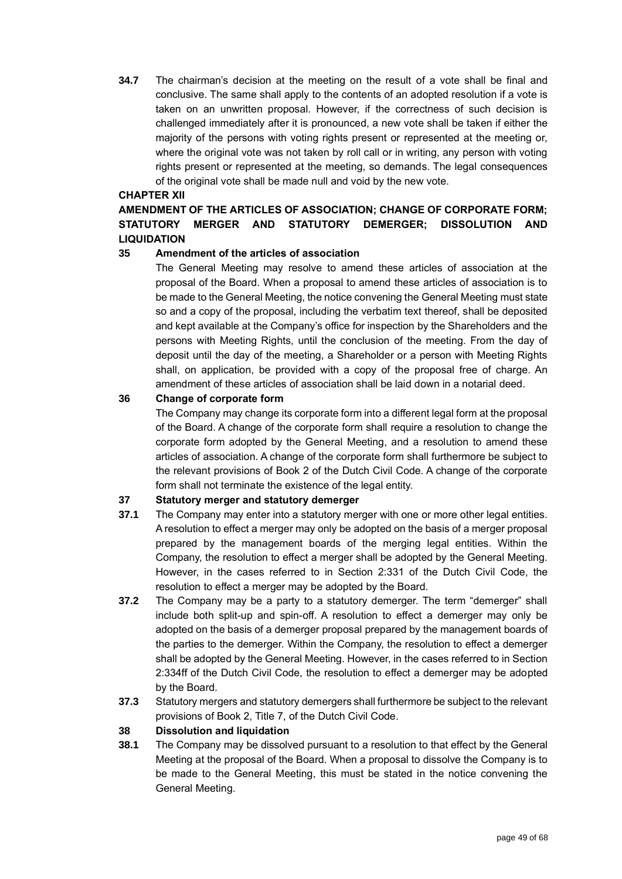**34.7** The chairman's decision at the meeting on the result of a vote shall be final and conclusive. The same shall apply to the contents of an adopted resolution if a vote is taken on an unwritten proposal. However, if the correctness of such decision is challenged immediately after it is pronounced, a new vote shall be taken if either the majority of the persons with voting rights present or represented at the meeting or, where the original vote was not taken by roll call or in writing, any person with voting rights present or represented at the meeting, so demands. The legal consequences of the original vote shall be made null and void by the new vote.

### **CHAPTER XII**

## **AMENDMENT OF THE ARTICLES OF ASSOCIATION; CHANGE OF CORPORATE FORM; STATUTORY MERGER AND STATUTORY DEMERGER; DISSOLUTION AND LIQUIDATION**

## **35 Amendment of the articles of association**

The General Meeting may resolve to amend these articles of association at the proposal of the Board. When a proposal to amend these articles of association is to be made to the General Meeting, the notice convening the General Meeting must state so and a copy of the proposal, including the verbatim text thereof, shall be deposited and kept available at the Company's office for inspection by the Shareholders and the persons with Meeting Rights, until the conclusion of the meeting. From the day of deposit until the day of the meeting, a Shareholder or a person with Meeting Rights shall, on application, be provided with a copy of the proposal free of charge. An amendment of these articles of association shall be laid down in a notarial deed.

## **36 Change of corporate form**

The Company may change its corporate form into a different legal form at the proposal of the Board. A change of the corporate form shall require a resolution to change the corporate form adopted by the General Meeting, and a resolution to amend these articles of association. A change of the corporate form shall furthermore be subject to the relevant provisions of Book 2 of the Dutch Civil Code. A change of the corporate form shall not terminate the existence of the legal entity.

## **37 Statutory merger and statutory demerger**

- **37.1** The Company may enter into a statutory merger with one or more other legal entities. A resolution to effect a merger may only be adopted on the basis of a merger proposal prepared by the management boards of the merging legal entities. Within the Company, the resolution to effect a merger shall be adopted by the General Meeting. However, in the cases referred to in Section 2:331 of the Dutch Civil Code, the resolution to effect a merger may be adopted by the Board.
- **37.2** The Company may be a party to a statutory demerger. The term "demerger" shall include both split-up and spin-off. A resolution to effect a demerger may only be adopted on the basis of a demerger proposal prepared by the management boards of the parties to the demerger. Within the Company, the resolution to effect a demerger shall be adopted by the General Meeting. However, in the cases referred to in Section 2:334ff of the Dutch Civil Code, the resolution to effect a demerger may be adopted by the Board.
- **37.3** Statutory mergers and statutory demergers shall furthermore be subject to the relevant provisions of Book 2, Title 7, of the Dutch Civil Code.

## **38 Dissolution and liquidation**

**38.1** The Company may be dissolved pursuant to a resolution to that effect by the General Meeting at the proposal of the Board. When a proposal to dissolve the Company is to be made to the General Meeting, this must be stated in the notice convening the General Meeting.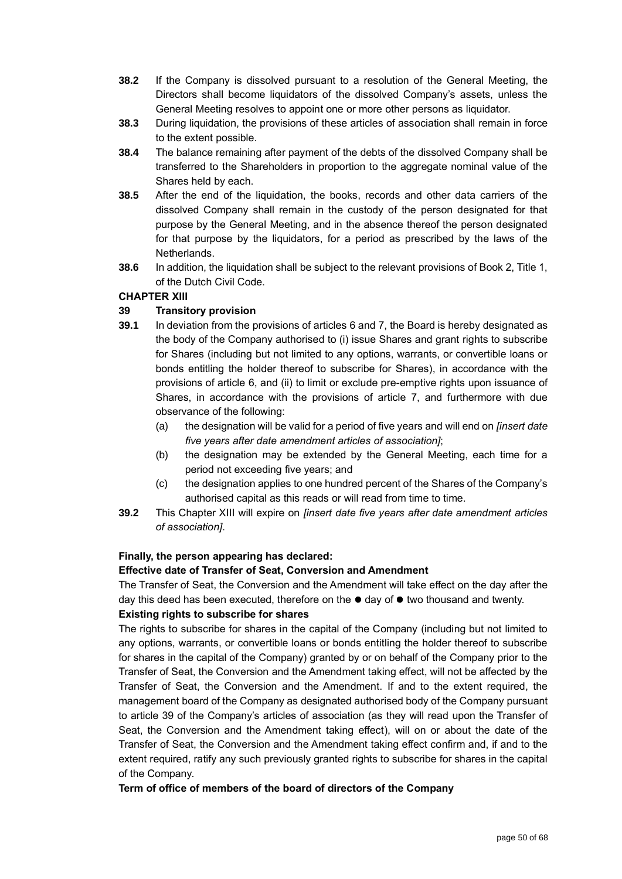- **38.2** If the Company is dissolved pursuant to a resolution of the General Meeting, the Directors shall become liquidators of the dissolved Company's assets, unless the General Meeting resolves to appoint one or more other persons as liquidator.
- **38.3** During liquidation, the provisions of these articles of association shall remain in force to the extent possible.
- **38.4** The balance remaining after payment of the debts of the dissolved Company shall be transferred to the Shareholders in proportion to the aggregate nominal value of the Shares held by each.
- **38.5** After the end of the liquidation, the books, records and other data carriers of the dissolved Company shall remain in the custody of the person designated for that purpose by the General Meeting, and in the absence thereof the person designated for that purpose by the liquidators, for a period as prescribed by the laws of the Netherlands.
- **38.6** In addition, the liquidation shall be subject to the relevant provisions of Book 2, Title 1, of the Dutch Civil Code.

## **CHAPTER XIII**

## **39 Transitory provision**

- **39.1** In deviation from the provisions of articles [6](#page-35-2) and [7,](#page-35-3) the Board is hereby designated as the body of the Company authorised to (i) issue Shares and grant rights to subscribe for Shares (including but not limited to any options, warrants, or convertible loans or bonds entitling the holder thereof to subscribe for Shares), in accordance with the provisions of article [6,](#page-35-2) and (ii) to limit or exclude pre-emptive rights upon issuance of Shares, in accordance with the provisions of article [7,](#page-35-3) and furthermore with due observance of the following:
	- (a) the designation will be valid for a period of five years and will end on *[insert date five years after date amendment articles of association]*;
	- (b) the designation may be extended by the General Meeting, each time for a period not exceeding five years; and
	- (c) the designation applies to one hundred percent of the Shares of the Company's authorised capital as this reads or will read from time to time.
- **39.2** This Chapter XIII will expire on *[insert date five years after date amendment articles of association]*.

## **Finally, the person appearing has declared:**

## **Effective date of Transfer of Seat, Conversion and Amendment**

The Transfer of Seat, the Conversion and the Amendment will take effect on the day after the day this deed has been executed, therefore on the  $\bullet$  day of  $\bullet$  two thousand and twenty.

## **Existing rights to subscribe for shares**

The rights to subscribe for shares in the capital of the Company (including but not limited to any options, warrants, or convertible loans or bonds entitling the holder thereof to subscribe for shares in the capital of the Company) granted by or on behalf of the Company prior to the Transfer of Seat, the Conversion and the Amendment taking effect, will not be affected by the Transfer of Seat, the Conversion and the Amendment. If and to the extent required, the management board of the Company as designated authorised body of the Company pursuant to article 39 of the Company's articles of association (as they will read upon the Transfer of Seat, the Conversion and the Amendment taking effect), will on or about the date of the Transfer of Seat, the Conversion and the Amendment taking effect confirm and, if and to the extent required, ratify any such previously granted rights to subscribe for shares in the capital of the Company.

## **Term of office of members of the board of directors of the Company**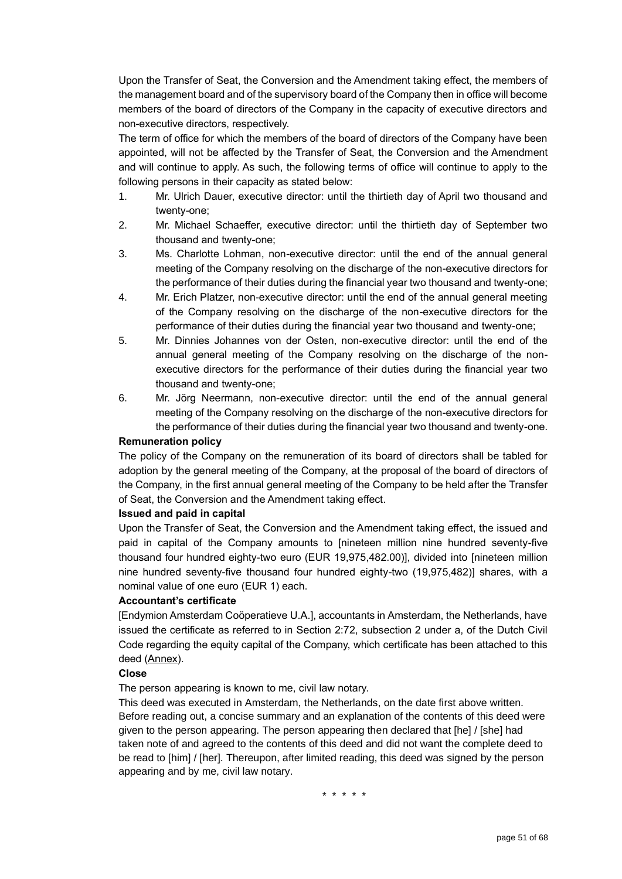Upon the Transfer of Seat, the Conversion and the Amendment taking effect, the members of the management board and of the supervisory board of the Company then in office will become members of the board of directors of the Company in the capacity of executive directors and non-executive directors, respectively.

The term of office for which the members of the board of directors of the Company have been appointed, will not be affected by the Transfer of Seat, the Conversion and the Amendment and will continue to apply. As such, the following terms of office will continue to apply to the following persons in their capacity as stated below:

- 1. Mr. Ulrich Dauer, executive director: until the thirtieth day of April two thousand and twenty-one;
- 2. Mr. Michael Schaeffer, executive director: until the thirtieth day of September two thousand and twenty-one;
- 3. Ms. Charlotte Lohman, non-executive director: until the end of the annual general meeting of the Company resolving on the discharge of the non-executive directors for the performance of their duties during the financial year two thousand and twenty-one;
- 4. Mr. Erich Platzer, non-executive director: until the end of the annual general meeting of the Company resolving on the discharge of the non-executive directors for the performance of their duties during the financial year two thousand and twenty-one;
- 5. Mr. Dinnies Johannes von der Osten, non-executive director: until the end of the annual general meeting of the Company resolving on the discharge of the nonexecutive directors for the performance of their duties during the financial year two thousand and twenty-one;
- 6. Mr. Jörg Neermann, non-executive director: until the end of the annual general meeting of the Company resolving on the discharge of the non-executive directors for the performance of their duties during the financial year two thousand and twenty-one.

## **Remuneration policy**

The policy of the Company on the remuneration of its board of directors shall be tabled for adoption by the general meeting of the Company, at the proposal of the board of directors of the Company, in the first annual general meeting of the Company to be held after the Transfer of Seat, the Conversion and the Amendment taking effect.

#### **Issued and paid in capital**

Upon the Transfer of Seat, the Conversion and the Amendment taking effect, the issued and paid in capital of the Company amounts to [nineteen million nine hundred seventy-five thousand four hundred eighty-two euro (EUR 19,975,482.00)], divided into [nineteen million nine hundred seventy-five thousand four hundred eighty-two (19,975,482)] shares, with a nominal value of one euro (EUR 1) each.

#### **Accountant's certificate**

[Endymion Amsterdam Coöperatieve U.A.], accountants in Amsterdam, the Netherlands, have issued the certificate as referred to in Section 2:72, subsection 2 under a, of the Dutch Civil Code regarding the equity capital of the Company, which certificate has been attached to this deed (Annex).

#### **Close**

The person appearing is known to me, civil law notary.

This deed was executed in Amsterdam, the Netherlands, on the date first above written. Before reading out, a concise summary and an explanation of the contents of this deed were given to the person appearing. The person appearing then declared that [he] / [she] had taken note of and agreed to the contents of this deed and did not want the complete deed to be read to [him] / [her]. Thereupon, after limited reading, this deed was signed by the person appearing and by me, civil law notary.

\* \* \* \* \*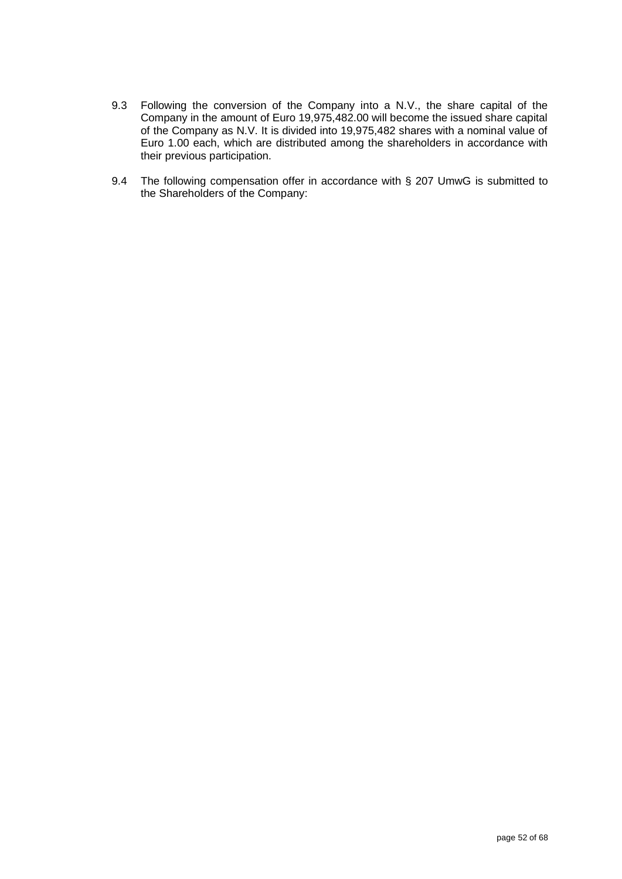- 9.3 Following the conversion of the Company into a N.V., the share capital of the Company in the amount of Euro 19,975,482.00 will become the issued share capital of the Company as N.V. It is divided into 19,975,482 shares with a nominal value of Euro 1.00 each, which are distributed among the shareholders in accordance with their previous participation.
- 9.4 The following compensation offer in accordance with § 207 UmwG is submitted to the Shareholders of the Company: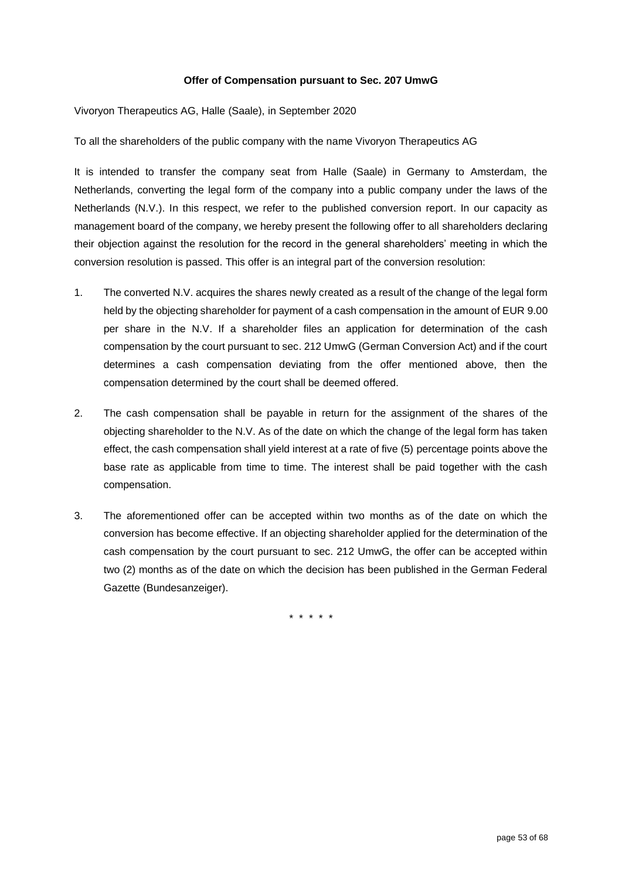### **Offer of Compensation pursuant to Sec. 207 UmwG**

Vivoryon Therapeutics AG, Halle (Saale), in September 2020

To all the shareholders of the public company with the name Vivoryon Therapeutics AG

It is intended to transfer the company seat from Halle (Saale) in Germany to Amsterdam, the Netherlands, converting the legal form of the company into a public company under the laws of the Netherlands (N.V.). In this respect, we refer to the published conversion report. In our capacity as management board of the company, we hereby present the following offer to all shareholders declaring their objection against the resolution for the record in the general shareholders' meeting in which the conversion resolution is passed. This offer is an integral part of the conversion resolution:

- 1. The converted N.V. acquires the shares newly created as a result of the change of the legal form held by the objecting shareholder for payment of a cash compensation in the amount of EUR 9.00 per share in the N.V. If a shareholder files an application for determination of the cash compensation by the court pursuant to sec. 212 UmwG (German Conversion Act) and if the court determines a cash compensation deviating from the offer mentioned above, then the compensation determined by the court shall be deemed offered.
- 2. The cash compensation shall be payable in return for the assignment of the shares of the objecting shareholder to the N.V. As of the date on which the change of the legal form has taken effect, the cash compensation shall yield interest at a rate of five (5) percentage points above the base rate as applicable from time to time. The interest shall be paid together with the cash compensation.
- 3. The aforementioned offer can be accepted within two months as of the date on which the conversion has become effective. If an objecting shareholder applied for the determination of the cash compensation by the court pursuant to sec. 212 UmwG, the offer can be accepted within two (2) months as of the date on which the decision has been published in the German Federal Gazette (Bundesanzeiger).

\* \* \* \* \*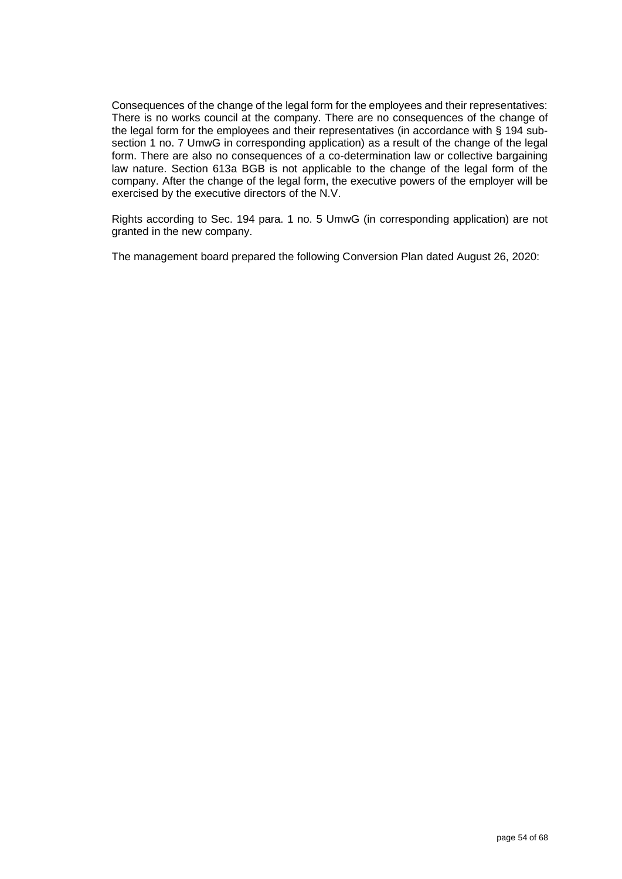Consequences of the change of the legal form for the employees and their representatives: There is no works council at the company. There are no consequences of the change of the legal form for the employees and their representatives (in accordance with § 194 subsection 1 no. 7 UmwG in corresponding application) as a result of the change of the legal form. There are also no consequences of a co-determination law or collective bargaining law nature. Section 613a BGB is not applicable to the change of the legal form of the company. After the change of the legal form, the executive powers of the employer will be exercised by the executive directors of the N.V.

Rights according to Sec. 194 para. 1 no. 5 UmwG (in corresponding application) are not granted in the new company.

The management board prepared the following Conversion Plan dated August 26, 2020: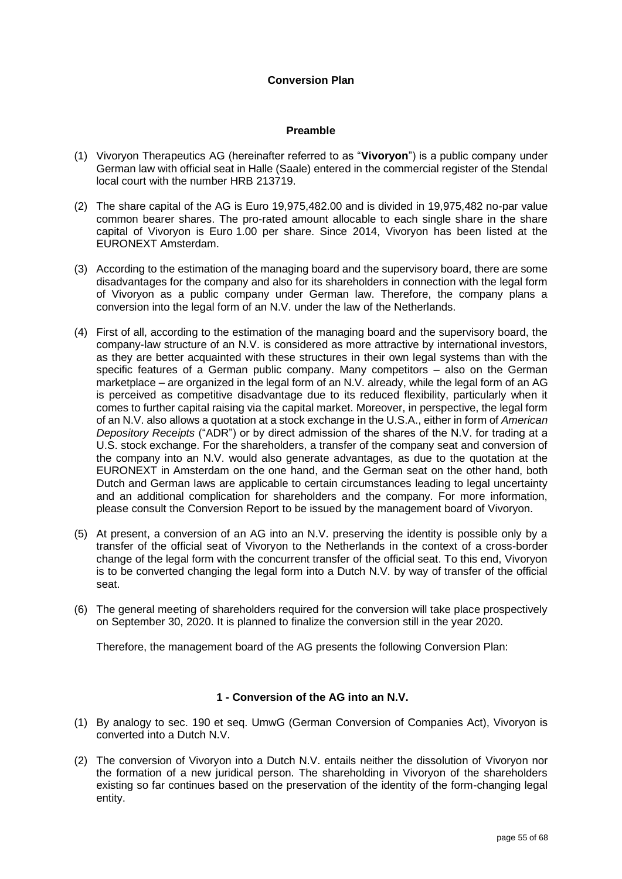## **Conversion Plan**

### **Preamble**

- (1) Vivoryon Therapeutics AG (hereinafter referred to as "**Vivoryon**") is a public company under German law with official seat in Halle (Saale) entered in the commercial register of the Stendal local court with the number HRB 213719.
- (2) The share capital of the AG is Euro 19,975,482.00 and is divided in 19,975,482 no-par value common bearer shares. The pro-rated amount allocable to each single share in the share capital of Vivoryon is Euro 1.00 per share. Since 2014, Vivoryon has been listed at the EURONEXT Amsterdam.
- (3) According to the estimation of the managing board and the supervisory board, there are some disadvantages for the company and also for its shareholders in connection with the legal form of Vivoryon as a public company under German law. Therefore, the company plans a conversion into the legal form of an N.V. under the law of the Netherlands.
- (4) First of all, according to the estimation of the managing board and the supervisory board, the company-law structure of an N.V. is considered as more attractive by international investors, as they are better acquainted with these structures in their own legal systems than with the specific features of a German public company. Many competitors – also on the German marketplace – are organized in the legal form of an N.V. already, while the legal form of an AG is perceived as competitive disadvantage due to its reduced flexibility, particularly when it comes to further capital raising via the capital market. Moreover, in perspective, the legal form of an N.V. also allows a quotation at a stock exchange in the U.S.A., either in form of *American Depository Receipts* ("ADR") or by direct admission of the shares of the N.V. for trading at a U.S. stock exchange. For the shareholders, a transfer of the company seat and conversion of the company into an N.V. would also generate advantages, as due to the quotation at the EURONEXT in Amsterdam on the one hand, and the German seat on the other hand, both Dutch and German laws are applicable to certain circumstances leading to legal uncertainty and an additional complication for shareholders and the company. For more information, please consult the Conversion Report to be issued by the management board of Vivoryon.
- (5) At present, a conversion of an AG into an N.V. preserving the identity is possible only by a transfer of the official seat of Vivoryon to the Netherlands in the context of a cross-border change of the legal form with the concurrent transfer of the official seat. To this end, Vivoryon is to be converted changing the legal form into a Dutch N.V. by way of transfer of the official seat.
- (6) The general meeting of shareholders required for the conversion will take place prospectively on September 30, 2020. It is planned to finalize the conversion still in the year 2020.

Therefore, the management board of the AG presents the following Conversion Plan:

## **1 - Conversion of the AG into an N.V.**

- (1) By analogy to sec. 190 et seq. UmwG (German Conversion of Companies Act), Vivoryon is converted into a Dutch N.V.
- (2) The conversion of Vivoryon into a Dutch N.V. entails neither the dissolution of Vivoryon nor the formation of a new juridical person. The shareholding in Vivoryon of the shareholders existing so far continues based on the preservation of the identity of the form-changing legal entity.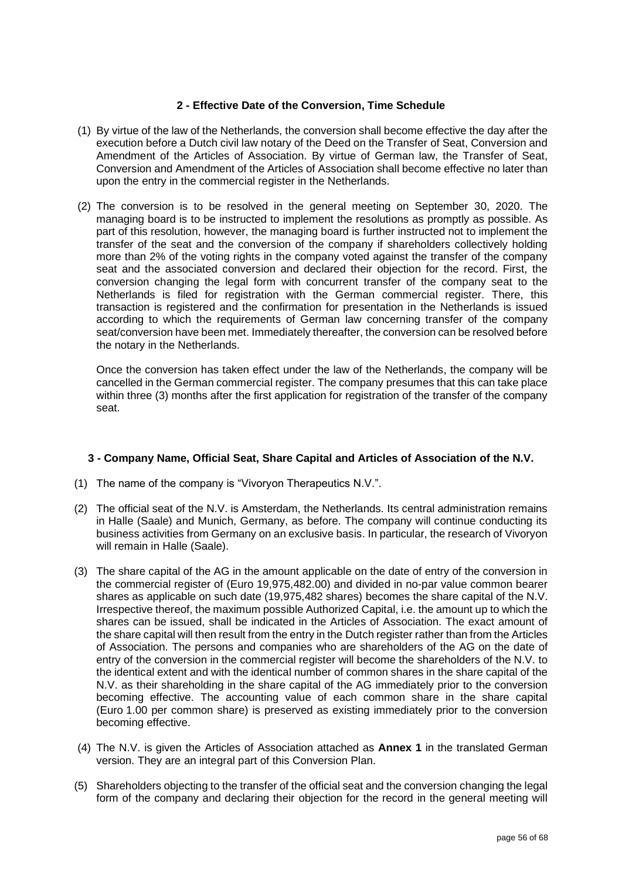## **2 - Effective Date of the Conversion, Time Schedule**

- (1) By virtue of the law of the Netherlands, the conversion shall become effective the day after the execution before a Dutch civil law notary of the Deed on the Transfer of Seat, Conversion and Amendment of the Articles of Association. By virtue of German law, the Transfer of Seat, Conversion and Amendment of the Articles of Association shall become effective no later than upon the entry in the commercial register in the Netherlands.
- (2) The conversion is to be resolved in the general meeting on September 30, 2020. The managing board is to be instructed to implement the resolutions as promptly as possible. As part of this resolution, however, the managing board is further instructed not to implement the transfer of the seat and the conversion of the company if shareholders collectively holding more than 2% of the voting rights in the company voted against the transfer of the company seat and the associated conversion and declared their objection for the record. First, the conversion changing the legal form with concurrent transfer of the company seat to the Netherlands is filed for registration with the German commercial register. There, this transaction is registered and the confirmation for presentation in the Netherlands is issued according to which the requirements of German law concerning transfer of the company seat/conversion have been met. Immediately thereafter, the conversion can be resolved before the notary in the Netherlands.

Once the conversion has taken effect under the law of the Netherlands, the company will be cancelled in the German commercial register. The company presumes that this can take place within three (3) months after the first application for registration of the transfer of the company seat.

## **3 - Company Name, Official Seat, Share Capital and Articles of Association of the N.V.**

- (1) The name of the company is "Vivoryon Therapeutics N.V.".
- (2) The official seat of the N.V. is Amsterdam, the Netherlands. Its central administration remains in Halle (Saale) and Munich, Germany, as before. The company will continue conducting its business activities from Germany on an exclusive basis. In particular, the research of Vivoryon will remain in Halle (Saale).
- (3) The share capital of the AG in the amount applicable on the date of entry of the conversion in the commercial register of (Euro 19,975,482.00) and divided in no-par value common bearer shares as applicable on such date (19,975,482 shares) becomes the share capital of the N.V. Irrespective thereof, the maximum possible Authorized Capital, i.e. the amount up to which the shares can be issued, shall be indicated in the Articles of Association. The exact amount of the share capital will then result from the entry in the Dutch register rather than from the Articles of Association. The persons and companies who are shareholders of the AG on the date of entry of the conversion in the commercial register will become the shareholders of the N.V. to the identical extent and with the identical number of common shares in the share capital of the N.V. as their shareholding in the share capital of the AG immediately prior to the conversion becoming effective. The accounting value of each common share in the share capital (Euro 1.00 per common share) is preserved as existing immediately prior to the conversion becoming effective.
- (4) The N.V. is given the Articles of Association attached as **Annex 1** in the translated German version. They are an integral part of this Conversion Plan.
- (5) Shareholders objecting to the transfer of the official seat and the conversion changing the legal form of the company and declaring their objection for the record in the general meeting will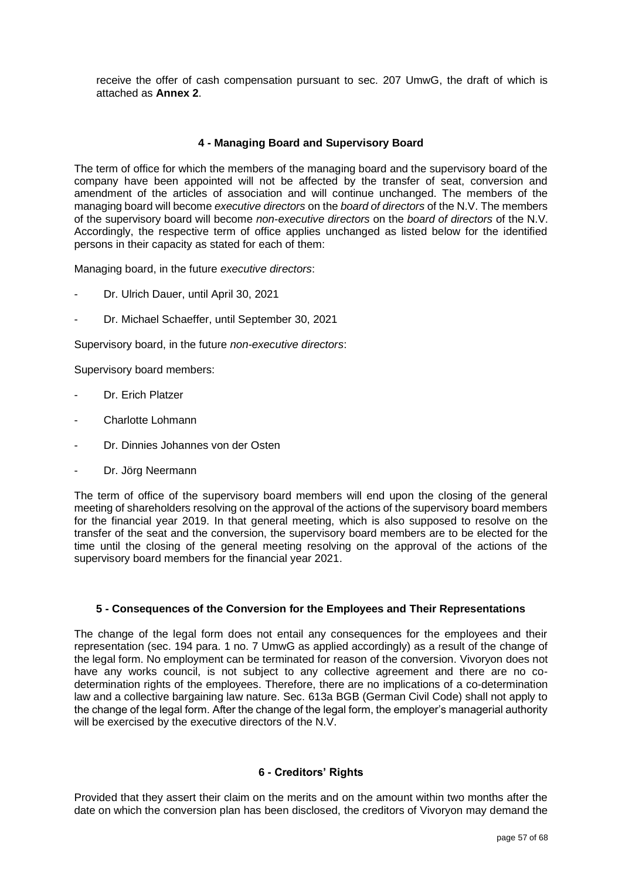receive the offer of cash compensation pursuant to sec. 207 UmwG, the draft of which is attached as **Annex 2**.

## **4 - Managing Board and Supervisory Board**

The term of office for which the members of the managing board and the supervisory board of the company have been appointed will not be affected by the transfer of seat, conversion and amendment of the articles of association and will continue unchanged. The members of the managing board will become *executive directors* on the *board of directors* of the N.V. The members of the supervisory board will become *non-executive directors* on the *board of directors* of the N.V. Accordingly, the respective term of office applies unchanged as listed below for the identified persons in their capacity as stated for each of them:

Managing board, in the future *executive directors*:

- Dr. Ulrich Dauer, until April 30, 2021
- Dr. Michael Schaeffer, until September 30, 2021

Supervisory board, in the future *non-executive directors*:

Supervisory board members:

- Dr. Erich Platzer
- Charlotte Lohmann
- Dr. Dinnies Johannes von der Osten
- Dr. Jörg Neermann

The term of office of the supervisory board members will end upon the closing of the general meeting of shareholders resolving on the approval of the actions of the supervisory board members for the financial year 2019. In that general meeting, which is also supposed to resolve on the transfer of the seat and the conversion, the supervisory board members are to be elected for the time until the closing of the general meeting resolving on the approval of the actions of the supervisory board members for the financial year 2021.

## **5 - Consequences of the Conversion for the Employees and Their Representations**

The change of the legal form does not entail any consequences for the employees and their representation (sec. 194 para. 1 no. 7 UmwG as applied accordingly) as a result of the change of the legal form. No employment can be terminated for reason of the conversion. Vivoryon does not have any works council, is not subject to any collective agreement and there are no codetermination rights of the employees. Therefore, there are no implications of a co-determination law and a collective bargaining law nature. Sec. 613a BGB (German Civil Code) shall not apply to the change of the legal form. After the change of the legal form, the employer's managerial authority will be exercised by the executive directors of the N.V.

#### **6 - Creditors' Rights**

Provided that they assert their claim on the merits and on the amount within two months after the date on which the conversion plan has been disclosed, the creditors of Vivoryon may demand the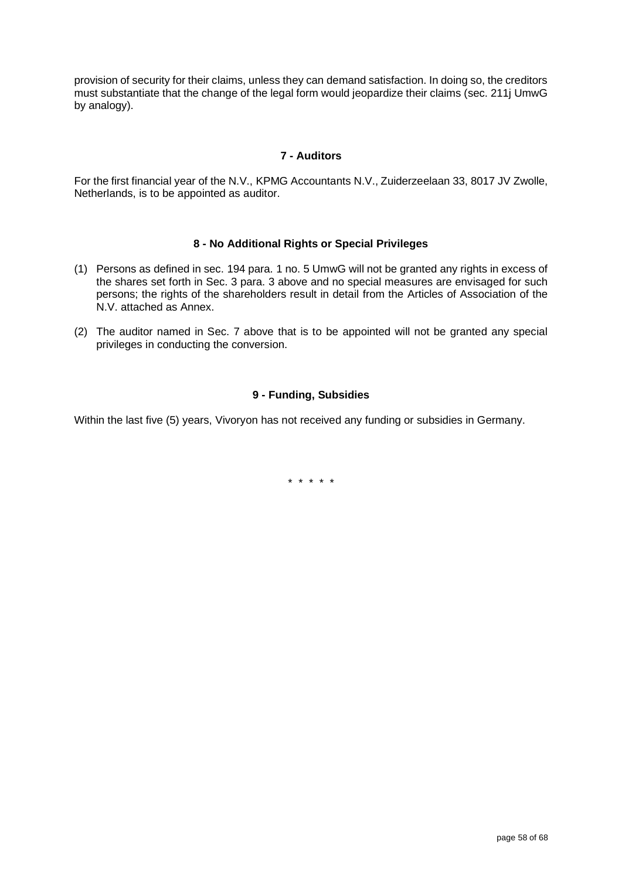provision of security for their claims, unless they can demand satisfaction. In doing so, the creditors must substantiate that the change of the legal form would jeopardize their claims (sec. 211j UmwG by analogy).

## **7 - Auditors**

For the first financial year of the N.V., KPMG Accountants N.V., Zuiderzeelaan 33, 8017 JV Zwolle, Netherlands, is to be appointed as auditor.

## **8 - No Additional Rights or Special Privileges**

- (1) Persons as defined in sec. 194 para. 1 no. 5 UmwG will not be granted any rights in excess of the shares set forth in Sec. 3 para. 3 above and no special measures are envisaged for such persons; the rights of the shareholders result in detail from the Articles of Association of the N.V. attached as Annex.
- (2) The auditor named in Sec. 7 above that is to be appointed will not be granted any special privileges in conducting the conversion.

## **9 - Funding, Subsidies**

Within the last five (5) years, Vivoryon has not received any funding or subsidies in Germany.

\* \* \* \* \*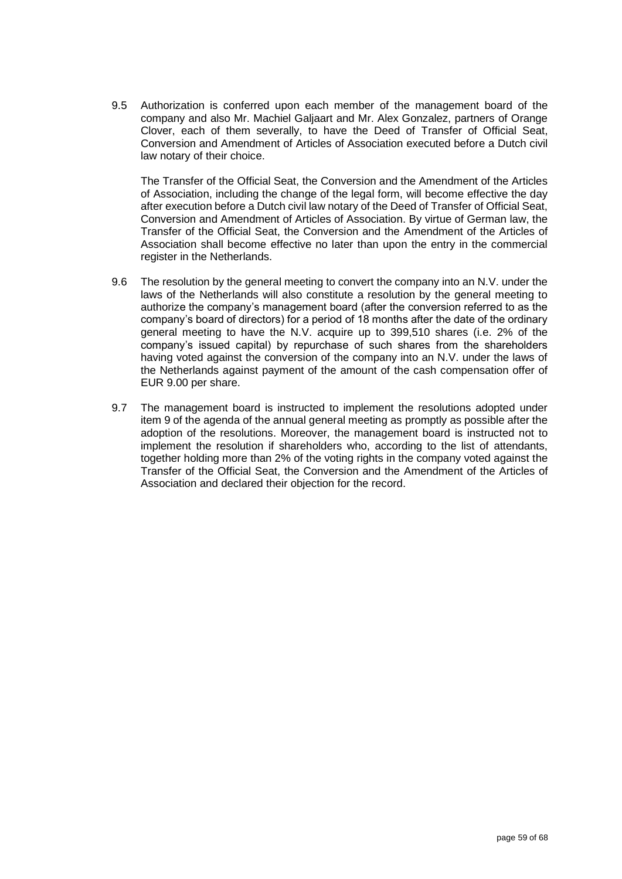9.5 Authorization is conferred upon each member of the management board of the company and also Mr. Machiel Galjaart and Mr. Alex Gonzalez, partners of Orange Clover, each of them severally, to have the Deed of Transfer of Official Seat, Conversion and Amendment of Articles of Association executed before a Dutch civil law notary of their choice.

The Transfer of the Official Seat, the Conversion and the Amendment of the Articles of Association, including the change of the legal form, will become effective the day after execution before a Dutch civil law notary of the Deed of Transfer of Official Seat, Conversion and Amendment of Articles of Association. By virtue of German law, the Transfer of the Official Seat, the Conversion and the Amendment of the Articles of Association shall become effective no later than upon the entry in the commercial register in the Netherlands.

- 9.6 The resolution by the general meeting to convert the company into an N.V. under the laws of the Netherlands will also constitute a resolution by the general meeting to authorize the company's management board (after the conversion referred to as the company's board of directors) for a period of 18 months after the date of the ordinary general meeting to have the N.V. acquire up to 399,510 shares (i.e. 2% of the company's issued capital) by repurchase of such shares from the shareholders having voted against the conversion of the company into an N.V. under the laws of the Netherlands against payment of the amount of the cash compensation offer of EUR 9.00 per share.
- 9.7 The management board is instructed to implement the resolutions adopted under item 9 of the agenda of the annual general meeting as promptly as possible after the adoption of the resolutions. Moreover, the management board is instructed not to implement the resolution if shareholders who, according to the list of attendants, together holding more than 2% of the voting rights in the company voted against the Transfer of the Official Seat, the Conversion and the Amendment of the Articles of Association and declared their objection for the record.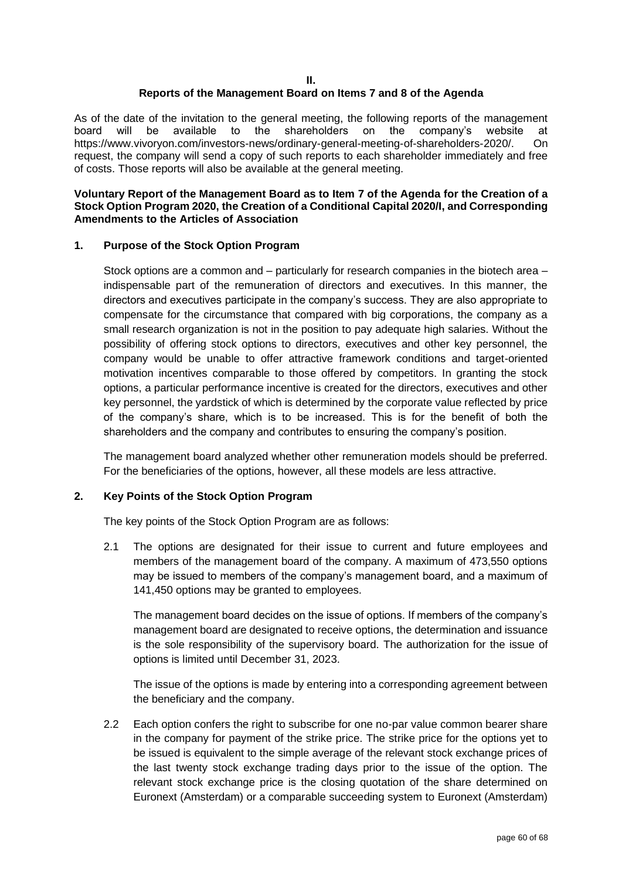#### **II. Reports of the Management Board on Items 7 and 8 of the Agenda**

As of the date of the invitation to the general meeting, the following reports of the management board will be available to the shareholders on the company's website at https://www.vivoryon.com/investors-news/ordinary-general-meeting-of-shareholders-2020/. On request, the company will send a copy of such reports to each shareholder immediately and free of costs. Those reports will also be available at the general meeting.

## **Voluntary Report of the Management Board as to Item 7 of the Agenda for the Creation of a Stock Option Program 2020, the Creation of a Conditional Capital 2020/I, and Corresponding Amendments to the Articles of Association**

## **1. Purpose of the Stock Option Program**

Stock options are a common and – particularly for research companies in the biotech area – indispensable part of the remuneration of directors and executives. In this manner, the directors and executives participate in the company's success. They are also appropriate to compensate for the circumstance that compared with big corporations, the company as a small research organization is not in the position to pay adequate high salaries. Without the possibility of offering stock options to directors, executives and other key personnel, the company would be unable to offer attractive framework conditions and target-oriented motivation incentives comparable to those offered by competitors. In granting the stock options, a particular performance incentive is created for the directors, executives and other key personnel, the yardstick of which is determined by the corporate value reflected by price of the company's share, which is to be increased. This is for the benefit of both the shareholders and the company and contributes to ensuring the company's position.

The management board analyzed whether other remuneration models should be preferred. For the beneficiaries of the options, however, all these models are less attractive.

## **2. Key Points of the Stock Option Program**

The key points of the Stock Option Program are as follows:

2.1 The options are designated for their issue to current and future employees and members of the management board of the company. A maximum of 473,550 options may be issued to members of the company's management board, and a maximum of 141,450 options may be granted to employees.

The management board decides on the issue of options. If members of the company's management board are designated to receive options, the determination and issuance is the sole responsibility of the supervisory board. The authorization for the issue of options is limited until December 31, 2023.

 The issue of the options is made by entering into a corresponding agreement between the beneficiary and the company.

2.2 Each option confers the right to subscribe for one no-par value common bearer share in the company for payment of the strike price. The strike price for the options yet to be issued is equivalent to the simple average of the relevant stock exchange prices of the last twenty stock exchange trading days prior to the issue of the option. The relevant stock exchange price is the closing quotation of the share determined on Euronext (Amsterdam) or a comparable succeeding system to Euronext (Amsterdam)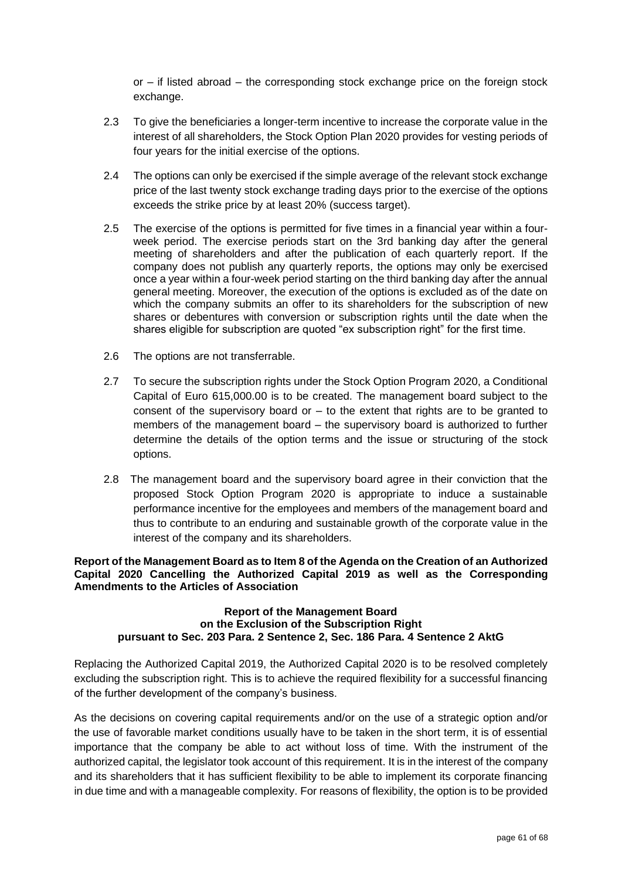or – if listed abroad – the corresponding stock exchange price on the foreign stock exchange.

- 2.3 To give the beneficiaries a longer-term incentive to increase the corporate value in the interest of all shareholders, the Stock Option Plan 2020 provides for vesting periods of four years for the initial exercise of the options.
- 2.4 The options can only be exercised if the simple average of the relevant stock exchange price of the last twenty stock exchange trading days prior to the exercise of the options exceeds the strike price by at least 20% (success target).
- 2.5 The exercise of the options is permitted for five times in a financial year within a fourweek period. The exercise periods start on the 3rd banking day after the general meeting of shareholders and after the publication of each quarterly report. If the company does not publish any quarterly reports, the options may only be exercised once a year within a four-week period starting on the third banking day after the annual general meeting. Moreover, the execution of the options is excluded as of the date on which the company submits an offer to its shareholders for the subscription of new shares or debentures with conversion or subscription rights until the date when the shares eligible for subscription are quoted "ex subscription right" for the first time.
- 2.6 The options are not transferrable.
- 2.7 To secure the subscription rights under the Stock Option Program 2020, a Conditional Capital of Euro 615,000.00 is to be created. The management board subject to the consent of the supervisory board or  $-$  to the extent that rights are to be granted to members of the management board – the supervisory board is authorized to further determine the details of the option terms and the issue or structuring of the stock options.
- 2.8 The management board and the supervisory board agree in their conviction that the proposed Stock Option Program 2020 is appropriate to induce a sustainable performance incentive for the employees and members of the management board and thus to contribute to an enduring and sustainable growth of the corporate value in the interest of the company and its shareholders.

**Report of the Management Board as to Item 8 of the Agenda on the Creation of an Authorized Capital 2020 Cancelling the Authorized Capital 2019 as well as the Corresponding Amendments to the Articles of Association**

#### **Report of the Management Board on the Exclusion of the Subscription Right pursuant to Sec. 203 Para. 2 Sentence 2, Sec. 186 Para. 4 Sentence 2 AktG**

Replacing the Authorized Capital 2019, the Authorized Capital 2020 is to be resolved completely excluding the subscription right. This is to achieve the required flexibility for a successful financing of the further development of the company's business.

As the decisions on covering capital requirements and/or on the use of a strategic option and/or the use of favorable market conditions usually have to be taken in the short term, it is of essential importance that the company be able to act without loss of time. With the instrument of the authorized capital, the legislator took account of this requirement. It is in the interest of the company and its shareholders that it has sufficient flexibility to be able to implement its corporate financing in due time and with a manageable complexity. For reasons of flexibility, the option is to be provided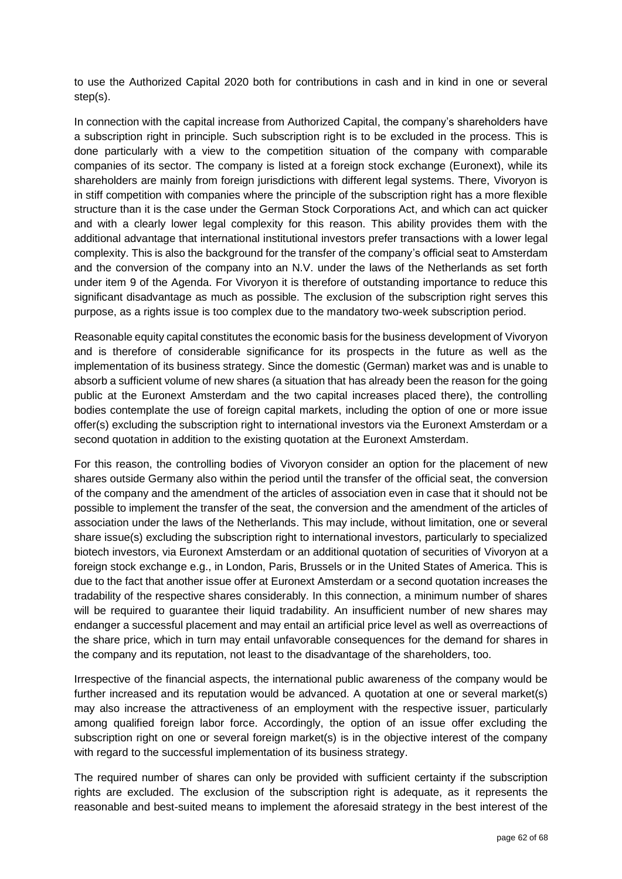to use the Authorized Capital 2020 both for contributions in cash and in kind in one or several step(s).

In connection with the capital increase from Authorized Capital, the company's shareholders have a subscription right in principle. Such subscription right is to be excluded in the process. This is done particularly with a view to the competition situation of the company with comparable companies of its sector. The company is listed at a foreign stock exchange (Euronext), while its shareholders are mainly from foreign jurisdictions with different legal systems. There, Vivoryon is in stiff competition with companies where the principle of the subscription right has a more flexible structure than it is the case under the German Stock Corporations Act, and which can act quicker and with a clearly lower legal complexity for this reason. This ability provides them with the additional advantage that international institutional investors prefer transactions with a lower legal complexity. This is also the background for the transfer of the company's official seat to Amsterdam and the conversion of the company into an N.V. under the laws of the Netherlands as set forth under item 9 of the Agenda. For Vivoryon it is therefore of outstanding importance to reduce this significant disadvantage as much as possible. The exclusion of the subscription right serves this purpose, as a rights issue is too complex due to the mandatory two-week subscription period.

Reasonable equity capital constitutes the economic basis for the business development of Vivoryon and is therefore of considerable significance for its prospects in the future as well as the implementation of its business strategy. Since the domestic (German) market was and is unable to absorb a sufficient volume of new shares (a situation that has already been the reason for the going public at the Euronext Amsterdam and the two capital increases placed there), the controlling bodies contemplate the use of foreign capital markets, including the option of one or more issue offer(s) excluding the subscription right to international investors via the Euronext Amsterdam or a second quotation in addition to the existing quotation at the Euronext Amsterdam.

For this reason, the controlling bodies of Vivoryon consider an option for the placement of new shares outside Germany also within the period until the transfer of the official seat, the conversion of the company and the amendment of the articles of association even in case that it should not be possible to implement the transfer of the seat, the conversion and the amendment of the articles of association under the laws of the Netherlands. This may include, without limitation, one or several share issue(s) excluding the subscription right to international investors, particularly to specialized biotech investors, via Euronext Amsterdam or an additional quotation of securities of Vivoryon at a foreign stock exchange e.g., in London, Paris, Brussels or in the United States of America. This is due to the fact that another issue offer at Euronext Amsterdam or a second quotation increases the tradability of the respective shares considerably. In this connection, a minimum number of shares will be required to guarantee their liquid tradability. An insufficient number of new shares may endanger a successful placement and may entail an artificial price level as well as overreactions of the share price, which in turn may entail unfavorable consequences for the demand for shares in the company and its reputation, not least to the disadvantage of the shareholders, too.

Irrespective of the financial aspects, the international public awareness of the company would be further increased and its reputation would be advanced. A quotation at one or several market(s) may also increase the attractiveness of an employment with the respective issuer, particularly among qualified foreign labor force. Accordingly, the option of an issue offer excluding the subscription right on one or several foreign market(s) is in the objective interest of the company with regard to the successful implementation of its business strategy.

The required number of shares can only be provided with sufficient certainty if the subscription rights are excluded. The exclusion of the subscription right is adequate, as it represents the reasonable and best-suited means to implement the aforesaid strategy in the best interest of the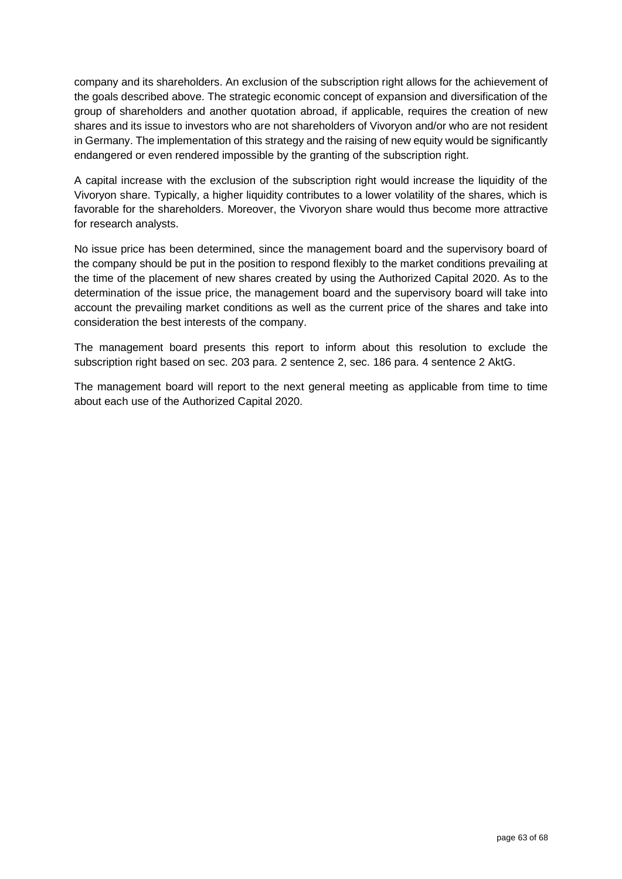company and its shareholders. An exclusion of the subscription right allows for the achievement of the goals described above. The strategic economic concept of expansion and diversification of the group of shareholders and another quotation abroad, if applicable, requires the creation of new shares and its issue to investors who are not shareholders of Vivoryon and/or who are not resident in Germany. The implementation of this strategy and the raising of new equity would be significantly endangered or even rendered impossible by the granting of the subscription right.

A capital increase with the exclusion of the subscription right would increase the liquidity of the Vivoryon share. Typically, a higher liquidity contributes to a lower volatility of the shares, which is favorable for the shareholders. Moreover, the Vivoryon share would thus become more attractive for research analysts.

No issue price has been determined, since the management board and the supervisory board of the company should be put in the position to respond flexibly to the market conditions prevailing at the time of the placement of new shares created by using the Authorized Capital 2020. As to the determination of the issue price, the management board and the supervisory board will take into account the prevailing market conditions as well as the current price of the shares and take into consideration the best interests of the company.

The management board presents this report to inform about this resolution to exclude the subscription right based on sec. 203 para. 2 sentence 2, sec. 186 para. 4 sentence 2 AktG.

The management board will report to the next general meeting as applicable from time to time about each use of the Authorized Capital 2020.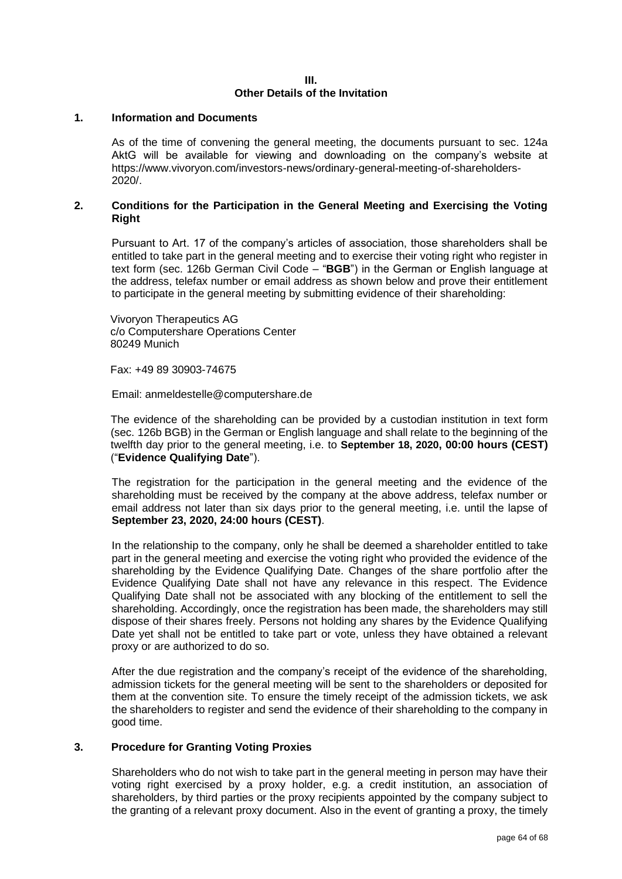#### **III. Other Details of the Invitation**

#### **1. Information and Documents**

As of the time of convening the general meeting, the documents pursuant to sec. 124a AktG will be available for viewing and downloading on the company's website at https://www.vivoryon.com/investors-news/ordinary-general-meeting-of-shareholders-2020/.

### **2. Conditions for the Participation in the General Meeting and Exercising the Voting Right**

Pursuant to Art. 17 of the company's articles of association, those shareholders shall be entitled to take part in the general meeting and to exercise their voting right who register in text form (sec. 126b German Civil Code – "**BGB**") in the German or English language at the address, telefax number or email address as shown below and prove their entitlement to participate in the general meeting by submitting evidence of their shareholding:

Vivoryon Therapeutics AG c/o Computershare Operations Center 80249 Munich

Fax: +49 89 30903-74675

Email: anmeldestelle@computershare.de

The evidence of the shareholding can be provided by a custodian institution in text form (sec. 126b BGB) in the German or English language and shall relate to the beginning of the twelfth day prior to the general meeting, i.e. to **September 18, 2020, 00:00 hours (CEST)** ("**Evidence Qualifying Date**").

The registration for the participation in the general meeting and the evidence of the shareholding must be received by the company at the above address, telefax number or email address not later than six days prior to the general meeting, i.e. until the lapse of **September 23, 2020, 24:00 hours (CEST)**.

In the relationship to the company, only he shall be deemed a shareholder entitled to take part in the general meeting and exercise the voting right who provided the evidence of the shareholding by the Evidence Qualifying Date. Changes of the share portfolio after the Evidence Qualifying Date shall not have any relevance in this respect. The Evidence Qualifying Date shall not be associated with any blocking of the entitlement to sell the shareholding. Accordingly, once the registration has been made, the shareholders may still dispose of their shares freely. Persons not holding any shares by the Evidence Qualifying Date yet shall not be entitled to take part or vote, unless they have obtained a relevant proxy or are authorized to do so.

After the due registration and the company's receipt of the evidence of the shareholding, admission tickets for the general meeting will be sent to the shareholders or deposited for them at the convention site. To ensure the timely receipt of the admission tickets, we ask the shareholders to register and send the evidence of their shareholding to the company in good time.

## **3. Procedure for Granting Voting Proxies**

Shareholders who do not wish to take part in the general meeting in person may have their voting right exercised by a proxy holder, e.g. a credit institution, an association of shareholders, by third parties or the proxy recipients appointed by the company subject to the granting of a relevant proxy document. Also in the event of granting a proxy, the timely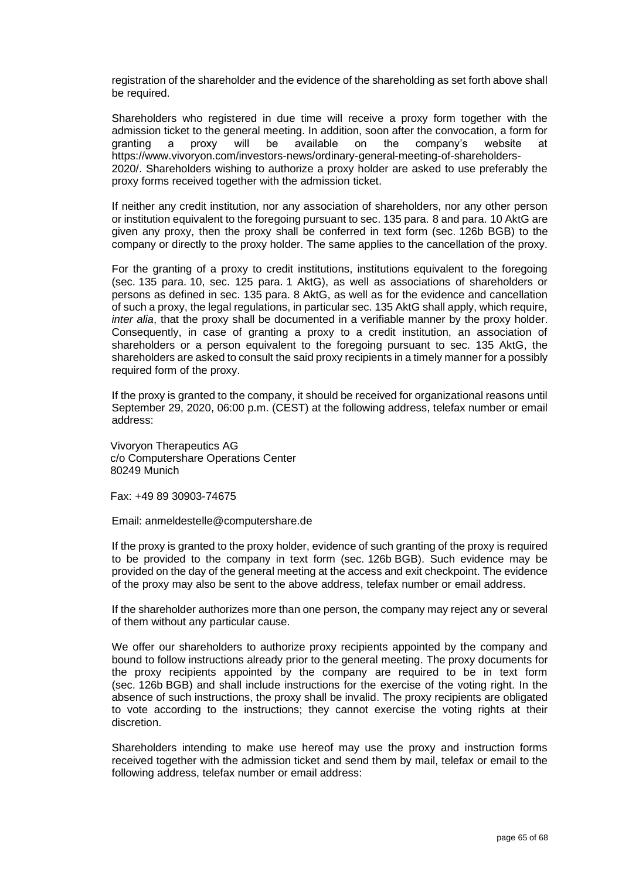registration of the shareholder and the evidence of the shareholding as set forth above shall be required.

Shareholders who registered in due time will receive a proxy form together with the admission ticket to the general meeting. In addition, soon after the convocation, a form for granting a proxy will be available on the company's website at https://www.vivoryon.com/investors-news/ordinary-general-meeting-of-shareholders-2020/. Shareholders wishing to authorize a proxy holder are asked to use preferably the proxy forms received together with the admission ticket.

If neither any credit institution, nor any association of shareholders, nor any other person or institution equivalent to the foregoing pursuant to sec. 135 para. 8 and para. 10 AktG are given any proxy, then the proxy shall be conferred in text form (sec. 126b BGB) to the company or directly to the proxy holder. The same applies to the cancellation of the proxy.

For the granting of a proxy to credit institutions, institutions equivalent to the foregoing (sec. 135 para. 10, sec. 125 para. 1 AktG), as well as associations of shareholders or persons as defined in sec. 135 para. 8 AktG, as well as for the evidence and cancellation of such a proxy, the legal regulations, in particular sec. 135 AktG shall apply, which require, *inter alia*, that the proxy shall be documented in a verifiable manner by the proxy holder. Consequently, in case of granting a proxy to a credit institution, an association of shareholders or a person equivalent to the foregoing pursuant to sec. 135 AktG, the shareholders are asked to consult the said proxy recipients in a timely manner for a possibly required form of the proxy.

If the proxy is granted to the company, it should be received for organizational reasons until September 29, 2020, 06:00 p.m. (CEST) at the following address, telefax number or email address:

Vivoryon Therapeutics AG c/o Computershare Operations Center 80249 Munich

Fax: +49 89 30903-74675

Email: anmeldestelle@computershare.de

If the proxy is granted to the proxy holder, evidence of such granting of the proxy is required to be provided to the company in text form (sec. 126b BGB). Such evidence may be provided on the day of the general meeting at the access and exit checkpoint. The evidence of the proxy may also be sent to the above address, telefax number or email address.

If the shareholder authorizes more than one person, the company may reject any or several of them without any particular cause.

We offer our shareholders to authorize proxy recipients appointed by the company and bound to follow instructions already prior to the general meeting. The proxy documents for the proxy recipients appointed by the company are required to be in text form (sec. 126b BGB) and shall include instructions for the exercise of the voting right. In the absence of such instructions, the proxy shall be invalid. The proxy recipients are obligated to vote according to the instructions; they cannot exercise the voting rights at their discretion.

Shareholders intending to make use hereof may use the proxy and instruction forms received together with the admission ticket and send them by mail, telefax or email to the following address, telefax number or email address: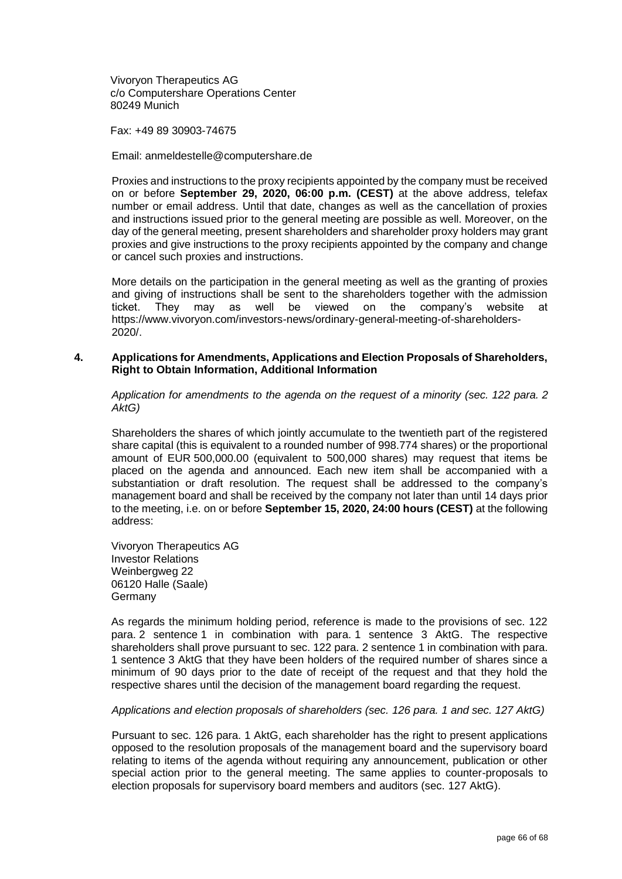Vivoryon Therapeutics AG c/o Computershare Operations Center 80249 Munich

Fax: +49 89 30903-74675

Email: anmeldestelle@computershare.de

Proxies and instructions to the proxy recipients appointed by the company must be received on or before **September 29, 2020, 06:00 p.m. (CEST)** at the above address, telefax number or email address. Until that date, changes as well as the cancellation of proxies and instructions issued prior to the general meeting are possible as well. Moreover, on the day of the general meeting, present shareholders and shareholder proxy holders may grant proxies and give instructions to the proxy recipients appointed by the company and change or cancel such proxies and instructions.

More details on the participation in the general meeting as well as the granting of proxies and giving of instructions shall be sent to the shareholders together with the admission ticket. They may as well be viewed on the company's website at https://www.vivoryon.com/investors-news/ordinary-general-meeting-of-shareholders-2020/.

### **4. Applications for Amendments, Applications and Election Proposals of Shareholders, Right to Obtain Information, Additional Information**

*Application for amendments to the agenda on the request of a minority (sec. 122 para. 2 AktG)*

Shareholders the shares of which jointly accumulate to the twentieth part of the registered share capital (this is equivalent to a rounded number of 998.774 shares) or the proportional amount of EUR 500,000.00 (equivalent to 500,000 shares) may request that items be placed on the agenda and announced. Each new item shall be accompanied with a substantiation or draft resolution. The request shall be addressed to the company's management board and shall be received by the company not later than until 14 days prior to the meeting, i.e. on or before **September 15, 2020, 24:00 hours (CEST)** at the following address:

Vivoryon Therapeutics AG Investor Relations Weinbergweg 22 06120 Halle (Saale) Germany

As regards the minimum holding period, reference is made to the provisions of sec. 122 para. 2 sentence 1 in combination with para. 1 sentence 3 AktG. The respective shareholders shall prove pursuant to sec. 122 para. 2 sentence 1 in combination with para. 1 sentence 3 AktG that they have been holders of the required number of shares since a minimum of 90 days prior to the date of receipt of the request and that they hold the respective shares until the decision of the management board regarding the request.

#### *Applications and election proposals of shareholders (sec. 126 para. 1 and sec. 127 AktG)*

Pursuant to sec. 126 para. 1 AktG, each shareholder has the right to present applications opposed to the resolution proposals of the management board and the supervisory board relating to items of the agenda without requiring any announcement, publication or other special action prior to the general meeting. The same applies to counter-proposals to election proposals for supervisory board members and auditors (sec. 127 AktG).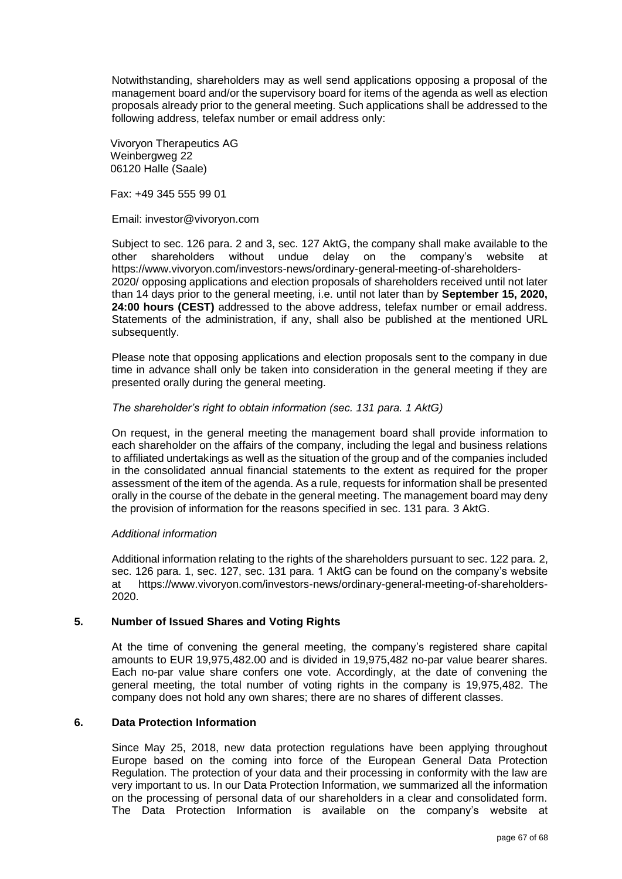Notwithstanding, shareholders may as well send applications opposing a proposal of the management board and/or the supervisory board for items of the agenda as well as election proposals already prior to the general meeting. Such applications shall be addressed to the following address, telefax number or email address only:

Vivoryon Therapeutics AG Weinbergweg 22 06120 Halle (Saale)

Fax: +49 345 555 99 01

Email: investor@vivoryon.com

Subject to sec. 126 para. 2 and 3, sec. 127 AktG, the company shall make available to the other shareholders without undue delay on the company's website at https://www.vivoryon.com/investors-news/ordinary-general-meeting-of-shareholders-2020/ opposing applications and election proposals of shareholders received until not later than 14 days prior to the general meeting, i.e. until not later than by **September 15, 2020, 24:00 hours (CEST)** addressed to the above address, telefax number or email address. Statements of the administration, if any, shall also be published at the mentioned URL subsequently.

Please note that opposing applications and election proposals sent to the company in due time in advance shall only be taken into consideration in the general meeting if they are presented orally during the general meeting.

### *The shareholder's right to obtain information (sec. 131 para. 1 AktG)*

On request, in the general meeting the management board shall provide information to each shareholder on the affairs of the company, including the legal and business relations to affiliated undertakings as well as the situation of the group and of the companies included in the consolidated annual financial statements to the extent as required for the proper assessment of the item of the agenda. As a rule, requests for information shall be presented orally in the course of the debate in the general meeting. The management board may deny the provision of information for the reasons specified in sec. 131 para. 3 AktG.

#### *Additional information*

Additional information relating to the rights of the shareholders pursuant to sec. 122 para. 2, sec. 126 para. 1, sec. 127, sec. 131 para. 1 AktG can be found on the company's website at https://www.vivoryon.com/investors-news/ordinary-general-meeting-of-shareholders-2020.

## **5. Number of Issued Shares and Voting Rights**

At the time of convening the general meeting, the company's registered share capital amounts to EUR 19,975,482.00 and is divided in 19,975,482 no-par value bearer shares. Each no-par value share confers one vote. Accordingly, at the date of convening the general meeting, the total number of voting rights in the company is 19,975,482. The company does not hold any own shares; there are no shares of different classes.

## **6. Data Protection Information**

Since May 25, 2018, new data protection regulations have been applying throughout Europe based on the coming into force of the European General Data Protection Regulation. The protection of your data and their processing in conformity with the law are very important to us. In our Data Protection Information, we summarized all the information on the processing of personal data of our shareholders in a clear and consolidated form. The Data Protection Information is available on the company's website at